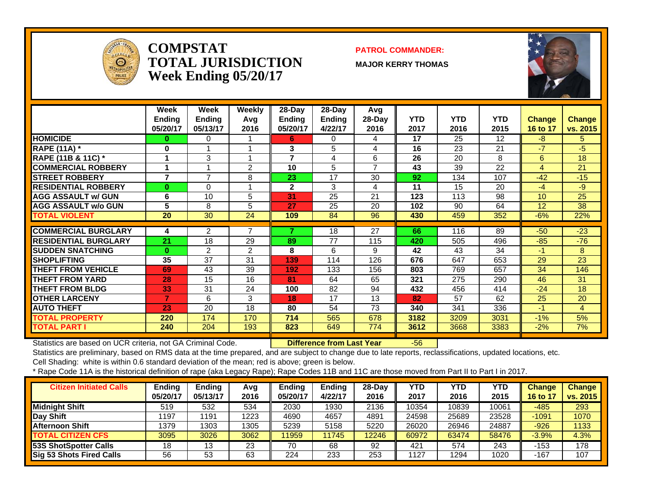

#### **COMPSTATTOTAL JURISDICTIONWeek Ending 05/20/17**

#### **PATROL COMMANDER:**

**MAJOR KERRY THOMAS**



|                               | <b>Week</b><br><b>Ending</b><br>05/20/17 | Week<br><b>Endina</b><br>05/13/17 | <b>Weekly</b><br>Avg<br>2016 | 28-Day<br><b>Ending</b><br>05/20/17 | 28-Day<br>Ending<br>4/22/17 | Avg<br>$28-Day$<br>2016 | <b>YTD</b><br>2017 | <b>YTD</b><br>2016 | <b>YTD</b><br>2015 | <b>Change</b><br>16 to 17 | Change<br>vs. 2015 |
|-------------------------------|------------------------------------------|-----------------------------------|------------------------------|-------------------------------------|-----------------------------|-------------------------|--------------------|--------------------|--------------------|---------------------------|--------------------|
| <b>HOMICIDE</b>               | 0                                        | $\Omega$                          |                              | 6                                   | 0                           | 4                       | 17                 | 25                 | 12                 | $-8$                      | 5.                 |
| <b>RAPE (11A)</b> *           | 0                                        | 4                                 |                              | 3                                   | 5                           | 4                       | 16                 | 23                 | 21                 | $-7$                      | $-5$               |
| <b>RAPE (11B &amp; 11C) *</b> |                                          | 3                                 |                              | $\overline{7}$                      | 4                           | 6                       | 26                 | 20                 | 8                  | 6                         | 18                 |
| <b>COMMERCIAL ROBBERY</b>     |                                          |                                   | $\overline{2}$               | 10                                  | 5                           | $\overline{7}$          | 43                 | 39                 | 22                 | 4                         | 21                 |
| <b>STREET ROBBERY</b>         | $\overline{7}$                           | $\overline{7}$                    | 8                            | 23                                  | 17                          | 30                      | 92                 | 134                | 107                | $-42$                     | $-15$              |
| <b>RESIDENTIAL ROBBERY</b>    | $\bf{0}$                                 | $\Omega$                          |                              | $\mathbf{2}$                        | 3                           | 4                       | 11                 | 15                 | 20                 | $-4$                      | $-9$               |
| <b>AGG ASSAULT w/ GUN</b>     | 6                                        | 10                                | 5                            | 31                                  | 25                          | 21                      | 123                | 113                | 98                 | 10                        | 25                 |
| <b>AGG ASSAULT w/o GUN</b>    | 5                                        | 8                                 | 5                            | 27                                  | 25                          | 20                      | 102                | 90                 | 64                 | 12                        | 38                 |
| <b>TOTAL VIOLENT</b>          | 20                                       | 30                                | 24                           | 109                                 | 84                          | 96                      | 430                | 459                | 352                | $-6%$                     | 22%                |
|                               |                                          |                                   |                              |                                     |                             |                         |                    |                    |                    |                           |                    |
| <b>COMMERCIAL BURGLARY</b>    | 4                                        | $\overline{2}$                    | $\overline{7}$               | ⇁                                   | 18                          | 27                      | 66                 | 116                | 89                 | $-50$                     | $-23$              |
| <b>RESIDENTIAL BURGLARY</b>   | 21                                       | 18                                | 29                           | 89                                  | 77                          | 115                     | 420                | 505                | 496                | $-85$                     | $-76$              |
| <b>SUDDEN SNATCHING</b>       | $\bf{0}$                                 | 2                                 | $\overline{2}$               | 8                                   | 6                           | 9                       | 42                 | 43                 | 34                 | -1                        | 8                  |
| <b>SHOPLIFTING</b>            | 35                                       | 37                                | 31                           | 139                                 | 114                         | 126                     | 676                | 647                | 653                | 29                        | 23                 |
| <b>THEFT FROM VEHICLE</b>     | 69                                       | 43                                | 39                           | 192                                 | 133                         | 156                     | 803                | 769                | 657                | 34                        | 146                |
| <b>THEFT FROM YARD</b>        | 28                                       | 15                                | 16                           | 81                                  | 64                          | 65                      | 321                | 275                | 290                | 46                        | 31                 |
| <b>THEFT FROM BLDG</b>        | 33                                       | 31                                | 24                           | 100                                 | 82                          | 94                      | 432                | 456                | 414                | $-24$                     | 18                 |
| <b>OTHER LARCENY</b>          | 7                                        | 6                                 | 3                            | 18                                  | 17                          | 13                      | 82                 | 57                 | 62                 | 25                        | 20                 |
| <b>AUTO THEFT</b>             | 23                                       | 20                                | 18                           | 80                                  | 54                          | 73                      | 340                | 341                | 336                | $-1$                      | 4                  |
| <b>TOTAL PROPERTY</b>         | 220                                      | 174                               | 170                          | 714                                 | 565                         | 678                     | 3182               | 3209               | 3031               | $-1%$                     | 5%                 |
| <b>TOTAL PART I</b>           | 240                                      | 204                               | 193                          | 823                                 | 649                         | 774                     | 3612               | 3668               | 3383               | $-2\%$                    | 7%                 |

Statistics are based on UCR criteria, not GA Criminal Code. **Difference from Last Year** -56

Statistics are preliminary, based on RMS data at the time prepared, and are subject to change due to late reports, reclassifications, updated locations, etc.

Cell Shading: white is within 0.6 standard deviation of the mean; red is above; green is below.

| <b>Citizen Initiated Calls</b>  | Ending<br>05/20/17 | <b>Ending</b><br>05/13/17 | Avg<br>2016 | Endina<br>05/20/17 | <b>Ending</b><br>4/22/17 | 28-Dav<br>2016 | <b>YTD</b><br>2017 | YTD<br>2016 | <b>YTD</b><br>2015 | <b>Change</b><br><b>16 to 17</b> | <b>Change</b><br>vs. 2015 |
|---------------------------------|--------------------|---------------------------|-------------|--------------------|--------------------------|----------------|--------------------|-------------|--------------------|----------------------------------|---------------------------|
| <b>Midnight Shift</b>           | 519                | 532                       | 534         | 2030               | 1930                     | 2136           | 10354              | 10839       | 10061              | -485                             | 293                       |
| Day Shift                       | 1197               | 191                       | 1223        | 4690               | 4657                     | 4891           | 24598              | 25689       | 23528              | $-1091$                          | 1070                      |
| <b>Afternoon Shift</b>          | 1379               | 1303                      | 1305        | 5239               | 5158                     | 5220           | 26020              | 26946       | 24887              | $-926$                           | 1133                      |
| <b>TOTAL CITIZEN CFS</b>        | 3095               | 3026                      | 3062        | 1959               | 11745                    | 12246          | 60972              | 63474       | 58476              | $-3.9%$                          | 4.3%                      |
| <b>53S ShotSpotter Calls</b>    | 18                 | 13                        | 23          | 70                 | 68                       | 92             | 421                | 574         | 243                | $-153$                           | 178                       |
| <b>Sig 53 Shots Fired Calls</b> | 56                 | 53                        | 63          | 224                | 233                      | 253            | 1127               | 1294        | 1020               | $-167$                           | 107                       |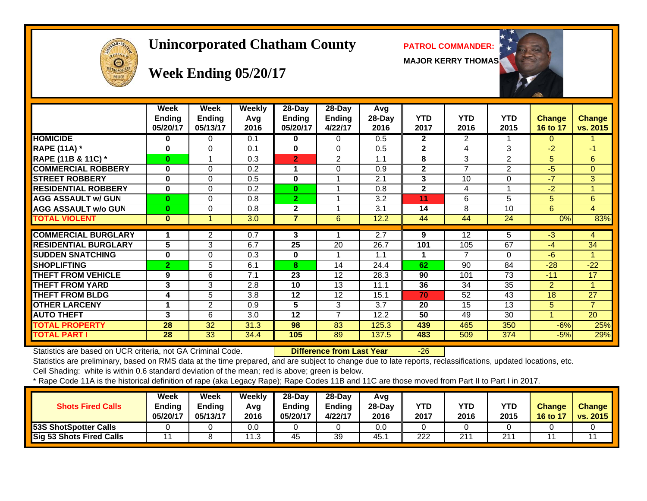

#### **Unincorporated Chatham County PATROL COMMANDER:**

**MAJOR KERRY THOMAS**



# **Week Ending 05/20/17**

|                             | Week<br><b>Ending</b><br>05/20/17 | Week<br><b>Ending</b><br>05/13/17 | <b>Weekly</b><br>Avg<br>2016 | $28 - Day$<br><b>Ending</b><br>05/20/17 | 28-Day<br><b>Ending</b><br>4/22/17 | Avg<br>28-Day<br>2016 | <b>YTD</b><br>2017 | <b>YTD</b><br>2016 | <b>YTD</b><br>2015 | <b>Change</b><br>16 to 17 | <b>Change</b><br>vs. 2015 |
|-----------------------------|-----------------------------------|-----------------------------------|------------------------------|-----------------------------------------|------------------------------------|-----------------------|--------------------|--------------------|--------------------|---------------------------|---------------------------|
| <b>HOMICIDE</b>             | 0                                 | 0                                 | 0.1                          | 0                                       | 0                                  | 0.5                   | $\mathbf{2}$       | 2                  |                    | $\Omega$                  |                           |
| <b>RAPE (11A) *</b>         | $\bf{0}$                          | $\Omega$                          | 0.1                          | $\mathbf{0}$                            | $\Omega$                           | 0.5                   | $\mathbf{2}$       | 4                  | 3                  | $-2$                      | $-1$                      |
| RAPE (11B & 11C) *          | $\bf{0}$                          |                                   | 0.3                          | $\overline{2}$                          | 2                                  | 1.1                   | 8                  | 3                  | $\overline{2}$     | 5                         | 6                         |
| <b>COMMERCIAL ROBBERY</b>   | $\bf{0}$                          | $\Omega$                          | 0.2                          |                                         | $\Omega$                           | 0.9                   | 2                  | 7                  | $\overline{2}$     | $-5$                      | $\Omega$                  |
| <b>STREET ROBBERY</b>       | $\bf{0}$                          | $\Omega$                          | 0.5                          | 0                                       |                                    | 2.1                   | 3                  | 10                 | $\Omega$           | $-7$                      | 3                         |
| <b>RESIDENTIAL ROBBERY</b>  | $\bf{0}$                          | $\Omega$                          | 0.2                          | $\bf{0}$                                |                                    | 0.8                   | $\overline{2}$     | 4                  |                    | $-2$                      |                           |
| <b>AGG ASSAULT w/ GUN</b>   | $\bf{0}$                          | $\Omega$                          | 0.8                          | $\overline{2}$                          |                                    | 3.2                   | 11                 | 6                  | 5                  | 5                         | $6\phantom{1}$            |
| <b>AGG ASSAULT w/o GUN</b>  | $\bf{0}$                          | 0                                 | 0.8                          | $\mathbf{2}$                            |                                    | 3.1                   | 14                 | 8                  | 10                 | 6                         | 4                         |
| <b>TOTAL VIOLENT</b>        | $\bf{0}$                          |                                   | 3.0                          | 7                                       | 6                                  | 12.2                  | 44                 | 44                 | 24                 | 0%                        | 83%                       |
| <b>COMMERCIAL BURGLARY</b>  |                                   |                                   |                              |                                         |                                    | 2.7                   |                    | 12                 |                    |                           |                           |
|                             |                                   | $\overline{2}$                    | 0.7                          | 3                                       |                                    |                       | 9                  |                    | 5.                 | -3                        | 4                         |
| <b>RESIDENTIAL BURGLARY</b> | 5                                 | 3                                 | 6.7                          | 25                                      | 20                                 | 26.7                  | 101                | 105                | 67                 | $-4$                      | 34                        |
| <b>SUDDEN SNATCHING</b>     | $\bf{0}$                          | $\Omega$                          | 0.3                          | 0                                       |                                    | 1.1                   | 1                  | 7                  | $\Omega$           | -6                        |                           |
| <b>SHOPLIFTING</b>          | $\overline{2}$                    | 5                                 | 6.1                          | 8                                       | 14                                 | 24.4                  | 62                 | 90                 | 84                 | $-28$                     | $-22$                     |
| <b>THEFT FROM VEHICLE</b>   | 9                                 | 6                                 | 7.1                          | 23                                      | 12                                 | 28.3                  | 90                 | 101                | 73                 | $-11$                     | 17                        |
| THEFT FROM YARD             | 3                                 | 3                                 | 2.8                          | 10                                      | 13                                 | 11.1                  | 36                 | 34                 | 35                 | $\overline{2}$            |                           |
| <b>THEFT FROM BLDG</b>      | 4                                 | 5                                 | 3.8                          | 12                                      | 12                                 | 15.1                  | 70                 | 52                 | 43                 | 18                        | 27                        |
| <b>OTHER LARCENY</b>        |                                   | 2                                 | 0.9                          | 5                                       | 3                                  | 3.7                   | 20                 | 15                 | 13                 | 5                         | $\overline{7}$            |
| <b>AUTO THEFT</b>           | 3                                 | 6                                 | 3.0                          | 12                                      | 7                                  | 12.2                  | 50                 | 49                 | 30                 | и                         | 20                        |
| <b>TOTAL PROPERTY</b>       | 28                                | 32                                | 31.3                         | 98                                      | 83                                 | 125.3                 | 439                | 465                | 350                | $-6%$                     | 25%                       |
| <b>TOTAL PART I</b>         | 28                                | 33                                | 34.4                         | 105                                     | 89                                 | 137.5                 | 483                | 509                | 374                | $-5%$                     | 29%                       |

Statistics are based on UCR criteria, not GA Criminal Code. **Difference from Last Year** -26

Statistics are preliminary, based on RMS data at the time prepared, and are subject to change due to late reports, reclassifications, updated locations, etc.

Cell Shading: white is within 0.6 standard deviation of the mean; red is above; green is below.

| <b>Shots Fired Calls</b>        | Week<br><b>Ending</b><br>05/20/17 | Week<br><b>Ending</b><br>05/13/17 | Weekly<br>Avg<br>2016 | $28-Dav$<br>Ending<br>05/20/17 | $28$ -Dav<br><b>Endina</b><br>4/22/17 | Avg<br>$28-Dav$<br>2016 | YTD<br>2017 | YTD<br>2016     | YTD<br>2015     | <b>Change</b><br>16 to 17 | <b>Change</b><br><b>VS. 2015</b> |
|---------------------------------|-----------------------------------|-----------------------------------|-----------------------|--------------------------------|---------------------------------------|-------------------------|-------------|-----------------|-----------------|---------------------------|----------------------------------|
| <b>53S ShotSpotter Calls</b>    |                                   |                                   | 0.0                   |                                |                                       | 0.0                     |             |                 |                 |                           |                                  |
| <b>Sig 53 Shots Fired Calls</b> |                                   |                                   | 1.3                   | 45                             | 39                                    | 45.                     | 222         | 21 <sup>2</sup> | 011<br><u>.</u> |                           |                                  |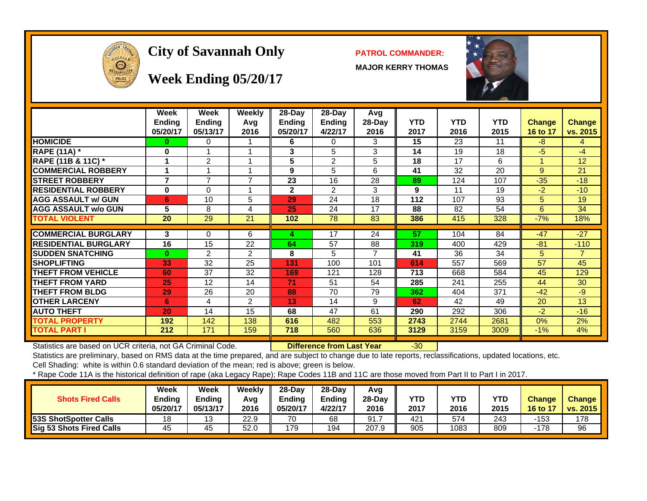

## **City of Savannah Only PATROL COMMANDER:**

**MAJOR KERRY THOMAS**



**Week Ending 05/20/17**

|                             | Week<br><b>Ending</b><br>05/20/17 | Week<br><b>Endina</b><br>05/13/17 | Weekly<br>Avg<br>2016 | $28$ -Day<br><b>Ending</b><br>05/20/17 | $28-Dav$<br><b>Endina</b><br>4/22/17 | Avg<br>$28-Day$<br>2016 | <b>YTD</b><br>2017 | <b>YTD</b><br>2016 | <b>YTD</b><br>2015 | <b>Change</b><br>16 to 17 | Change<br>vs. 2015 |
|-----------------------------|-----------------------------------|-----------------------------------|-----------------------|----------------------------------------|--------------------------------------|-------------------------|--------------------|--------------------|--------------------|---------------------------|--------------------|
| <b>HOMICIDE</b>             | 0                                 | 0                                 |                       | 6                                      | 0                                    | 3                       | 15                 | 23                 | 11                 | $-8$                      | 4                  |
| <b>RAPE (11A) *</b>         | 0                                 |                                   |                       | 3                                      | 5                                    | 3                       | 14                 | 19                 | 18                 | -5                        | -4                 |
| RAPE (11B & 11C) *          |                                   | 2                                 |                       | 5                                      | 2                                    | 5                       | 18                 | 17                 | 6                  |                           | 12                 |
| <b>COMMERCIAL ROBBERY</b>   |                                   |                                   | 4                     | 9                                      | 5                                    | 6                       | 41                 | 32                 | 20                 | 9                         | 21                 |
| <b>STREET ROBBERY</b>       | $\overline{7}$                    | 7                                 | $\overline{7}$        | 23                                     | 16                                   | 28                      | 89                 | 124                | 107                | $-35$                     | $-18$              |
| <b>RESIDENTIAL ROBBERY</b>  | 0                                 | 0                                 |                       | 2                                      | 2                                    | 3                       | 9                  | 11                 | 19                 | $-2$                      | $-10$              |
| <b>AGG ASSAULT w/ GUN</b>   | 6                                 | 10                                | 5                     | 29                                     | 24                                   | 18                      | 112                | 107                | 93                 | 5.                        | 19                 |
| <b>AGG ASSAULT w/o GUN</b>  | 5                                 | 8                                 | 4                     | 25                                     | 24                                   | 17                      | 88                 | 82                 | 54                 | 6                         | 34                 |
| <b>TOTAL VIOLENT</b>        | 20                                | 29                                | 21                    | 102                                    | 78                                   | 83                      | 386                | 415                | 328                | $-7%$                     | 18%                |
|                             |                                   |                                   |                       |                                        |                                      |                         |                    |                    |                    |                           |                    |
| <b>COMMERCIAL BURGLARY</b>  | 3                                 | 0                                 | 6                     |                                        | 17                                   | 24                      | 57                 | 104                | 84                 | $-47$                     | $-27$              |
| <b>RESIDENTIAL BURGLARY</b> | 16                                | 15                                | 22                    | 64                                     | 57                                   | 88                      | 319                | 400                | 429                | $-81$                     | $-110$             |
| <b>SUDDEN SNATCHING</b>     | $\bf{0}$                          | $\mathcal{P}$                     | 2                     | 8                                      | 5                                    | 7                       | 41                 | 36                 | 34                 | 5                         | 7                  |
| SHOPLIFTING                 | 33                                | 32                                | 25                    | 131                                    | 100                                  | 101                     | 614                | 557                | 569                | 57                        | 45                 |
| <b>THEFT FROM VEHICLE</b>   | 60                                | 37                                | 32                    | 169                                    | 121                                  | 128                     | 713                | 668                | 584                | 45                        | 129                |
| THEFT FROM YARD             | 25                                | 12                                | 14                    | 71                                     | 51                                   | 54                      | 285                | 241                | 255                | 44                        | 30                 |
| <b>THEFT FROM BLDG</b>      | 29                                | 26                                | 20                    | 88                                     | 70                                   | 79                      | 362                | 404                | 371                | $-42$                     | $-9$               |
| <b>OTHER LARCENY</b>        | 6                                 | 4                                 | 2                     | 13                                     | 14                                   | 9                       | 62                 | 42                 | 49                 | 20                        | 13                 |
| <b>AUTO THEFT</b>           | 20                                | 14                                | 15                    | 68                                     | 47                                   | 61                      | 290                | 292                | 306                | $-2$                      | $-16$              |
| <b>TOTAL PROPERTY</b>       | 192                               | 142                               | 138                   | 616                                    | 482                                  | 553                     | 2743               | 2744               | 2681               | 0%                        | 2%                 |
| <b>TOTAL PART I</b>         | 212                               | 171                               | 159                   | 718                                    | 560                                  | 636                     | 3129               | 3159               | 3009               | $-1%$                     | 4%                 |

Statistics are based on UCR criteria, not GA Criminal Code. **Difference from Last Year** -30

Statistics are preliminary, based on RMS data at the time prepared, and are subject to change due to late reports, reclassifications, updated locations, etc.

Cell Shading: white is within 0.6 standard deviation of the mean; red is above; green is below.

| <b>Shots Fired Calls</b>     | Week<br>Ending<br>05/20/17 | Week<br>Endina<br>05/13/17 | Weekly<br>Avq<br>2016 | $28-Dav$<br><b>Endina</b><br>05/20/17 | $28-Dav$<br><b>Endina</b><br>4/22/17 | Avg<br>28-Dav<br>2016 | <b>YTD</b><br>2017 | YTD<br>2016 | <b>YTD</b><br>2015 | <b>Change</b><br><b>16 to 17</b> | <b>Change</b><br>vs. 2015 |
|------------------------------|----------------------------|----------------------------|-----------------------|---------------------------------------|--------------------------------------|-----------------------|--------------------|-------------|--------------------|----------------------------------|---------------------------|
| <b>53S ShotSpotter Calls</b> |                            | 13                         | 22.9                  | 70                                    | 68                                   | 91.                   | 421                | 574         | 243                | -153                             | 178                       |
| Sig 53 Shots Fired Calls     | 45                         | 45                         | 52.0                  | 179                                   | 194                                  | 207.9                 | 905                | 1083        | 809                | $-178$                           | 96                        |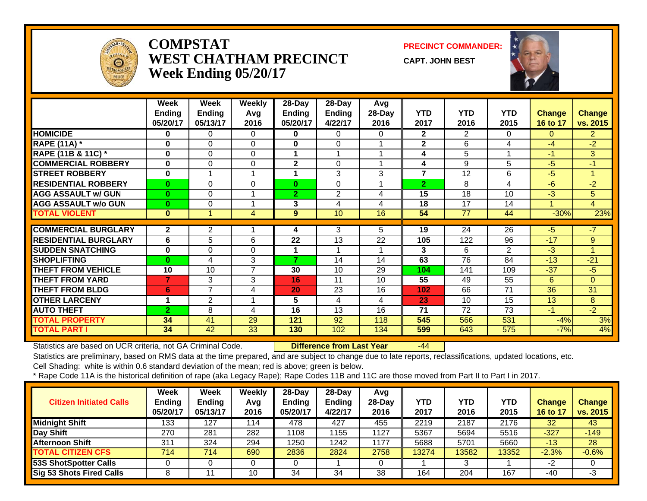

#### **COMPSTATWEST CHATHAM PRECINCTWeek Ending 05/20/17**

**PRECINCT COMMANDER:**

**CAPT. JOHN BEST**



|                             | Week           | Week           | Weekly         | 28-Day         | 28-Day         | Avg    |                |                |                |               |                |
|-----------------------------|----------------|----------------|----------------|----------------|----------------|--------|----------------|----------------|----------------|---------------|----------------|
|                             | <b>Ending</b>  | Ending         | Avg            | <b>Ending</b>  | <b>Ending</b>  | 28-Day | <b>YTD</b>     | <b>YTD</b>     | <b>YTD</b>     | <b>Change</b> | <b>Change</b>  |
|                             | 05/20/17       | 05/13/17       | 2016           | 05/20/17       | 4/22/17        | 2016   | 2017           | 2016           | 2015           | 16 to 17      | vs. 2015       |
| <b>HOMICIDE</b>             | 0              | 0              | 0              | 0              | $\Omega$       | 0      | $\mathbf{2}$   | $\overline{2}$ | $\Omega$       | $\Omega$      | $\overline{2}$ |
| <b>RAPE (11A) *</b>         | 0              | $\Omega$       | 0              | 0              | $\Omega$       |        | $\mathbf{2}$   | 6              | 4              | $-4$          | $-2$           |
| RAPE (11B & 11C) *          | $\bf{0}$       | $\Omega$       | $\Omega$       |                | $\overline{ }$ |        | 4              | 5              | $\overline{A}$ | $-1$          | 3              |
| <b>COMMERCIAL ROBBERY</b>   | $\bf{0}$       | $\Omega$       | $\Omega$       | $\overline{2}$ | $\Omega$       |        | 4              | 9              | 5              | $-5$          | $-1$           |
| <b>STREET ROBBERY</b>       | $\bf{0}$       |                | 1              |                | 3              | 3      | $\overline{7}$ | 12             | 6              | $-5$          |                |
| <b>RESIDENTIAL ROBBERY</b>  | 0              | $\Omega$       | 0              | 0              | $\Omega$       |        | $\overline{2}$ | 8              | 4              | $-6$          | $-2$           |
| <b>AGG ASSAULT w/ GUN</b>   | $\bf{0}$       | $\Omega$       | 4              | $\overline{2}$ | $\overline{2}$ | 4      | 15             | 18             | 10             | $-3$          | 5              |
| <b>AGG ASSAULT w/o GUN</b>  | $\bf{0}$       | 0              |                | 3              | 4              | 4      | 18             | 17             | 14             |               | $\overline{4}$ |
| <b>TOTAL VIOLENT</b>        | $\bf{0}$       | 1              | 4              | 9              | 10             | 16     | 54             | 77             | 44             | $-30%$        | 23%            |
|                             |                |                |                |                |                |        |                |                |                |               |                |
| <b>COMMERCIAL BURGLARY</b>  | $\mathbf{2}$   | 2              |                | 4              | 3              | 5      | 19             | 24             | 26             | $-5$          | $-7$           |
| <b>RESIDENTIAL BURGLARY</b> | 6              | 5              | 6              | 22             | 13             | 22     | 105            | 122            | 96             | $-17$         | 9              |
| <b>SUDDEN SNATCHING</b>     | 0              | $\Omega$       | 0              |                |                |        | 3              | 6              | $\overline{2}$ | $-3$          |                |
| <b>SHOPLIFTING</b>          | 0              | 4              | 3              | 7              | 14             | 14     | 63             | 76             | 84             | $-13$         | $-21$          |
| <b>THEFT FROM VEHICLE</b>   | 10             | 10             | $\overline{7}$ | 30             | 10             | 29     | 104            | 141            | 109            | $-37$         | $-5$           |
| <b>THEFT FROM YARD</b>      | $\overline{7}$ | 3              | 3              | 16             | 11             | 10     | 55             | 49             | 55             | 6             | $\Omega$       |
| <b>THEFT FROM BLDG</b>      | 6              | $\overline{7}$ | 4              | 20             | 23             | 16     | 102            | 66             | 71             | 36            | 31             |
| <b>OTHER LARCENY</b>        | 1              | 2              | 4              | 5              | 4              | 4      | 23             | 10             | 15             | 13            | 8              |
| <b>AUTO THEFT</b>           | $\overline{2}$ | 8              | 4              | 16             | 13             | 16     | 71             | 72             | 73             | $-1$          | $-2$           |
| <b>TOTAL PROPERTY</b>       | 34             | 41             | 29             | 121            | 92             | 118    | 545            | 566            | 531            | $-4%$         | 3%             |
| <b>TOTAL PART I</b>         | 34             | 42             | 33             | 130            | 102            | 134    | 599            | 643            | 575            | $-7%$         | 4%             |

Statistics are based on UCR criteria, not GA Criminal Code. **Difference from Last Year** -44

Statistics are preliminary, based on RMS data at the time prepared, and are subject to change due to late reports, reclassifications, updated locations, etc.

Cell Shading: white is within 0.6 standard deviation of the mean; red is above; green is below.

| <b>Citizen Initiated Calls</b>  | <b>Week</b><br><b>Ending</b><br>05/20/17 | <b>Week</b><br><b>Ending</b><br>05/13/17 | Weekly<br>Avg<br>2016 | $28-Dav$<br><b>Ending</b><br>05/20/17 | $28-Dav$<br><b>Ending</b><br>4/22/17 | Avg<br>$28$ -Day<br>2016 | <b>YTD</b><br>2017 | YTD<br>2016 | YTD<br>2015 | <b>Change</b><br>16 to 17 | <b>Change</b><br>vs. 2015 |
|---------------------------------|------------------------------------------|------------------------------------------|-----------------------|---------------------------------------|--------------------------------------|--------------------------|--------------------|-------------|-------------|---------------------------|---------------------------|
| <b>Midnight Shift</b>           | 133                                      | 127                                      | 114                   | 478                                   | 427                                  | 455                      | 2219               | 2187        | 2176        | 32                        | 43                        |
| Day Shift                       | 270                                      | 281                                      | 282                   | 1108                                  | 155                                  | 1127                     | 5367               | 5694        | 5516        | $-327$                    | $-149$                    |
| <b>Afternoon Shift</b>          | 31'                                      | 324                                      | 294                   | 1250                                  | 1242                                 | 1177                     | 5688               | 5701        | 5660        | $-13$                     | 28                        |
| <b>TOTAL CITIZEN CFS</b>        | 714                                      | 714                                      | 690                   | 2836                                  | 2824                                 | 2758                     | 13274              | 13582       | 13352       | $-2.3%$                   | $-0.6%$                   |
| <b>53S ShotSpotter Calls</b>    |                                          |                                          |                       |                                       |                                      |                          |                    | 3           |             | -2                        |                           |
| <b>Sig 53 Shots Fired Calls</b> |                                          |                                          | 10                    | 34                                    | 34                                   | 38                       | 164                | 204         | 167         | $-40$                     | -3                        |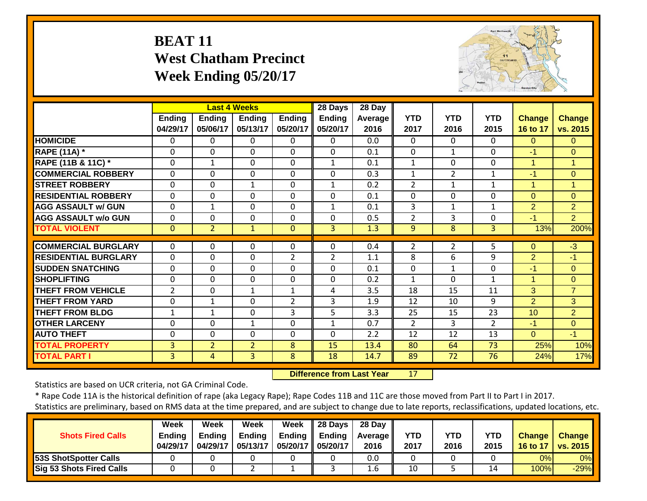### **BEAT 11 West Chatham Precinct Week Ending 05/20/17**



|                             |                           |                           | <b>Last 4 Weeks</b>       |                    | 28 Days                   | 28 Day          |                    |                    |                    |                           |                           |
|-----------------------------|---------------------------|---------------------------|---------------------------|--------------------|---------------------------|-----------------|--------------------|--------------------|--------------------|---------------------------|---------------------------|
|                             | <b>Ending</b><br>04/29/17 | <b>Ending</b><br>05/06/17 | <b>Ending</b><br>05/13/17 | Ending<br>05/20/17 | <b>Ending</b><br>05/20/17 | Average<br>2016 | <b>YTD</b><br>2017 | <b>YTD</b><br>2016 | <b>YTD</b><br>2015 | <b>Change</b><br>16 to 17 | <b>Change</b><br>vs. 2015 |
| <b>HOMICIDE</b>             | $\Omega$                  | 0                         | $\Omega$                  | 0                  | $\Omega$                  | 0.0             | 0                  | $\Omega$           | $\Omega$           | $\Omega$                  | $\Omega$                  |
| <b>RAPE (11A)</b> *         | $\Omega$                  | $\Omega$                  | $\Omega$                  | $\Omega$           | $\Omega$                  | 0.1             | $\Omega$           | $\mathbf{1}$       | $\Omega$           | $-1$                      | $\Omega$                  |
| RAPE (11B & 11C) *          | $\Omega$                  | $\mathbf{1}$              | $\Omega$                  | 0                  | $\mathbf{1}$              | 0.1             | $\mathbf{1}$       | $\Omega$           | $\Omega$           | $\overline{1}$            | $\mathbf{1}$              |
| <b>COMMERCIAL ROBBERY</b>   | $\mathbf 0$               | 0                         | $\mathbf 0$               | $\Omega$           | 0                         | 0.3             | $\mathbf{1}$       | $\overline{2}$     | $\mathbf{1}$       | $-1$                      | $\Omega$                  |
| <b>STREET ROBBERY</b>       | 0                         | $\Omega$                  | $\mathbf{1}$              | 0                  | $\mathbf{1}$              | 0.2             | $\overline{2}$     | $\mathbf{1}$       | 1                  | $\overline{1}$            | 1                         |
| <b>RESIDENTIAL ROBBERY</b>  | 0                         | $\Omega$                  | 0                         | $\Omega$           | $\Omega$                  | 0.1             | $\Omega$           | 0                  | $\Omega$           | $\Omega$                  | $\Omega$                  |
| <b>AGG ASSAULT w/ GUN</b>   | $\Omega$                  | $\mathbf{1}$              | 0                         | $\Omega$           | $\mathbf{1}$              | 0.1             | 3                  | $\mathbf{1}$       | 1                  | $\overline{2}$            | $\overline{2}$            |
| <b>AGG ASSAULT w/o GUN</b>  | 0                         | 0                         | 0                         | $\Omega$           | 0                         | 0.5             | $\overline{2}$     | 3                  | 0                  | $-1$                      | $\overline{2}$            |
| <b>TOTAL VIOLENT</b>        | $\Omega$                  | $\overline{2}$            | $\mathbf{1}$              | $\Omega$           | 3                         | 1.3             | 9                  | 8                  | 3                  | 13%                       | 200%                      |
| <b>COMMERCIAL BURGLARY</b>  | $\Omega$                  | 0                         | $\mathbf 0$               | 0                  | $\Omega$                  | 0.4             | $\overline{2}$     | $\overline{2}$     | 5                  | $\Omega$                  | $-3$                      |
| <b>RESIDENTIAL BURGLARY</b> | $\mathbf 0$               | $\mathbf 0$               | $\mathbf 0$               | $\overline{2}$     | $\overline{2}$            | 1.1             | 8                  | 6                  | 9                  | $\overline{2}$            | $-1$                      |
| <b>ISUDDEN SNATCHING</b>    | $\Omega$                  | $\Omega$                  | $\mathbf{0}$              | $\Omega$           | $\Omega$                  | 0.1             | $\Omega$           | $\mathbf{1}$       | $\Omega$           | $-1$                      | $\Omega$                  |
| <b>SHOPLIFTING</b>          | $\Omega$                  | $\Omega$                  | $\mathbf{0}$              | $\Omega$           | $\Omega$                  | 0.2             | 1                  | $\Omega$           | $\mathbf{1}$       | 1                         | $\Omega$                  |
| <b>THEFT FROM VEHICLE</b>   | $\overline{2}$            | $\Omega$                  | $\mathbf{1}$              | $\mathbf{1}$       | 4                         | 3.5             | 18                 | 15                 | 11                 | 3                         | $\overline{7}$            |
| <b>THEFT FROM YARD</b>      | $\Omega$                  | $\mathbf{1}$              | $\Omega$                  | $\overline{2}$     | 3                         | 1.9             | 12                 | 10                 | 9                  | 2                         | 3                         |
| <b>THEFT FROM BLDG</b>      | $\mathbf{1}$              | $\mathbf{1}$              | $\Omega$                  | 3                  | 5                         | 3.3             | 25                 | 15                 | 23                 | 10                        | $\overline{2}$            |
| <b>OTHER LARCENY</b>        | $\Omega$                  | $\Omega$                  | 1                         | $\Omega$           | $\mathbf{1}$              | 0.7             | 2                  | 3                  | $\overline{2}$     | $-1$                      | $\Omega$                  |
| <b>AUTO THEFT</b>           | 0                         | $\Omega$                  | $\Omega$                  | 0                  | 0                         | 2.2             | 12                 | 12                 | 13                 | $\Omega$                  | $-1$                      |
| <b>TOTAL PROPERTY</b>       | 3                         | $\overline{2}$            | $\overline{2}$            | 8                  | 15                        | 13.4            | 80                 | 64                 | 73                 | 25%                       | 10%                       |
| <b>TOTAL PART I</b>         | $\overline{3}$            | 4                         | $\overline{3}$            | 8                  | 18                        | 14.7            | 89                 | 72                 | 76                 | 24%                       | 17%                       |

 **Difference from Last Year**17

Statistics are based on UCR criteria, not GA Criminal Code.

\* Rape Code 11A is the historical definition of rape (aka Legacy Rape); Rape Codes 11B and 11C are those moved from Part II to Part I in 2017.

|                              | <b>Week</b>   | Week     | Week          | Week                | $\parallel$ 28 Days | 28 Dav            |      |      |      |               |                 |
|------------------------------|---------------|----------|---------------|---------------------|---------------------|-------------------|------|------|------|---------------|-----------------|
| <b>Shots Fired Calls</b>     | <b>Ending</b> | Endina   | <b>Ending</b> | Ending              | <b>Ending</b>       | <b>Average II</b> | YTD  | YTD  | YTD  | <b>Change</b> | <b>Change</b>   |
|                              | 04/29/17      | 04/29/17 | 05/13/17      | 05/20/17   05/20/17 |                     | 2016              | 2017 | 2016 | 2015 | 16 to 17      | <b>vs. 2015</b> |
| <b>53S ShotSpotter Calls</b> |               |          |               |                     |                     | 0.0               |      |      |      | 0%            | 0%              |
| Sig 53 Shots Fired Calls     |               |          |               |                     |                     | 1.b               | 10   |      | 14   | 100%          | $-29%$          |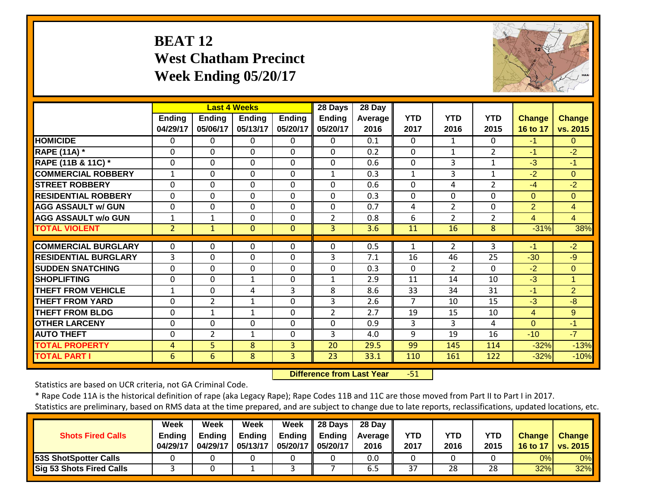## **BEAT 12 West Chatham Precinct Week Ending 05/20/17**



|                             |                           |                           | <b>Last 4 Weeks</b>       |                           | 28 Days                   | 28 Day          |                    |                    |                    |                           |                    |
|-----------------------------|---------------------------|---------------------------|---------------------------|---------------------------|---------------------------|-----------------|--------------------|--------------------|--------------------|---------------------------|--------------------|
|                             | <b>Ending</b><br>04/29/17 | <b>Ending</b><br>05/06/17 | <b>Ending</b><br>05/13/17 | <b>Ending</b><br>05/20/17 | <b>Ending</b><br>05/20/17 | Average<br>2016 | <b>YTD</b><br>2017 | <b>YTD</b><br>2016 | <b>YTD</b><br>2015 | <b>Change</b><br>16 to 17 | Change<br>vs. 2015 |
| <b>HOMICIDE</b>             | $\Omega$                  | 0                         | $\Omega$                  | 0                         | $\Omega$                  | 0.1             | 0                  | $\mathbf{1}$       | $\Omega$           | $-1$                      | $\Omega$           |
| <b>RAPE (11A) *</b>         | $\Omega$                  | $\Omega$                  | $\Omega$                  | $\Omega$                  | 0                         | 0.2             | $\Omega$           | $\mathbf{1}$       | $\overline{2}$     | $-1$                      | $-2$               |
| RAPE (11B & 11C) *          | $\mathbf 0$               | 0                         | $\mathbf 0$               | $\mathbf 0$               | $\mathbf 0$               | 0.6             | $\mathbf{0}$       | 3                  | $\mathbf{1}$       | $-3$                      | $-1$               |
| <b>COMMERCIAL ROBBERY</b>   | $\mathbf 1$               | $\Omega$                  | $\Omega$                  | $\Omega$                  | $\mathbf{1}$              | 0.3             | $\mathbf{1}$       | 3                  | $\mathbf{1}$       | $-2$                      | $\Omega$           |
| <b>STREET ROBBERY</b>       | $\Omega$                  | $\Omega$                  | $\Omega$                  | $\Omega$                  | $\Omega$                  | 0.6             | 0                  | 4                  | $\overline{2}$     | $-4$                      | $-2$               |
| <b>RESIDENTIAL ROBBERY</b>  | $\Omega$                  | $\Omega$                  | $\Omega$                  | $\Omega$                  | $\mathbf 0$               | 0.3             | 0                  | 0                  | $\Omega$           | $\Omega$                  | $\Omega$           |
| <b>AGG ASSAULT w/ GUN</b>   | 0                         | $\Omega$                  | $\Omega$                  | $\Omega$                  | 0                         | 0.7             | 4                  | $\overline{2}$     | $\mathbf 0$        | $\overline{2}$            | $\overline{4}$     |
| <b>AGG ASSAULT w/o GUN</b>  | $\mathbf 1$               | 1                         | $\Omega$                  | $\Omega$                  | $\overline{2}$            | 0.8             | 6                  | $\overline{2}$     | $\overline{2}$     | 4                         | $\overline{4}$     |
| <b>TOTAL VIOLENT</b>        | $\overline{2}$            | 1                         | $\Omega$                  | $\Omega$                  | 3                         | 3.6             | 11                 | 16                 | 8                  | $-31%$                    | 38%                |
| <b>COMMERCIAL BURGLARY</b>  | 0                         | 0                         | 0                         | 0                         | $\Omega$                  | 0.5             | 1                  | 2                  | 3                  | -1                        | $-2$               |
| <b>RESIDENTIAL BURGLARY</b> | 3                         | $\Omega$                  | $\Omega$                  | $\Omega$                  | 3                         | 7.1             | 16                 | 46                 | 25                 | $-30$                     | $-9$               |
| <b>SUDDEN SNATCHING</b>     | $\Omega$                  | $\Omega$                  | $\Omega$                  | $\Omega$                  | $\Omega$                  | 0.3             | $\Omega$           | $\overline{2}$     | $\Omega$           | $-2$                      | $\Omega$           |
| <b>SHOPLIFTING</b>          | $\Omega$                  | $\Omega$                  | 1                         | $\Omega$                  | $\mathbf{1}$              | 2.9             | 11                 | 14                 | 10                 | $-3$                      | 1                  |
| <b>THEFT FROM VEHICLE</b>   | 1                         | $\Omega$                  | 4                         | 3                         | 8                         | 8.6             | 33                 | 34                 | 31                 | $-1$                      | $\overline{2}$     |
| <b>THEFT FROM YARD</b>      | 0                         | $\overline{2}$            | 1                         | $\Omega$                  | 3                         | 2.6             | 7                  | 10                 | 15                 | $-3$                      | $-8$               |
| <b>THEFT FROM BLDG</b>      | 0                         | 1                         | 1                         | $\Omega$                  | $\overline{2}$            | 2.7             | 19                 | 15                 | 10                 | 4                         | 9                  |
| <b>OTHER LARCENY</b>        | $\Omega$                  | $\Omega$                  | $\Omega$                  | 0                         | 0                         | 0.9             | 3                  | 3                  | 4                  | $\Omega$                  | $-1$               |
| <b>AUTO THEFT</b>           | $\Omega$                  | $\overline{2}$            | $\mathbf{1}$              | $\Omega$                  | 3                         | 4.0             | 9                  | 19                 | 16                 | $-10$                     | $-7$               |
| <b>TOTAL PROPERTY</b>       | 4                         | 5                         | 8                         | 3                         | 20                        | 29.5            | 99                 | 145                | 114                | $-32%$                    | $-13%$             |
| <b>TOTAL PART I</b>         | 6                         | 6                         | 8                         | 3                         | 23                        | 33.1            | 110                | 161                | 122                | $-32%$                    | $-10%$             |

 **Difference from Last Year**‐51

Statistics are based on UCR criteria, not GA Criminal Code.

\* Rape Code 11A is the historical definition of rape (aka Legacy Rape); Rape Codes 11B and 11C are those moved from Part II to Part I in 2017.

|                                 | Week          | Week     | Week          | <b>Week</b>   | 28 Days  | 28 Day     |            |            |      |        |                     |
|---------------------------------|---------------|----------|---------------|---------------|----------|------------|------------|------------|------|--------|---------------------|
| <b>Shots Fired Calls</b>        | <b>Ending</b> | Endina   | <b>Ending</b> | <b>Ending</b> | Ending   | Average II | <b>YTD</b> | <b>YTD</b> | YTD  | Change | <b>Change</b>       |
|                                 | 04/29/17      | 04/29/17 | 05/13/17      | 05/20/17      | 05/20/17 | 2016       | 2017       | 2016       | 2015 |        | 16 to 17   vs. 2015 |
| <b>53S ShotSpotter Calls</b>    |               |          |               |               |          | 0.0        |            |            |      | 0%     | 0%                  |
| <b>Sig 53 Shots Fired Calls</b> |               |          |               |               |          | 6.5        | 37         | 28         | 28   | 32%    | 32%                 |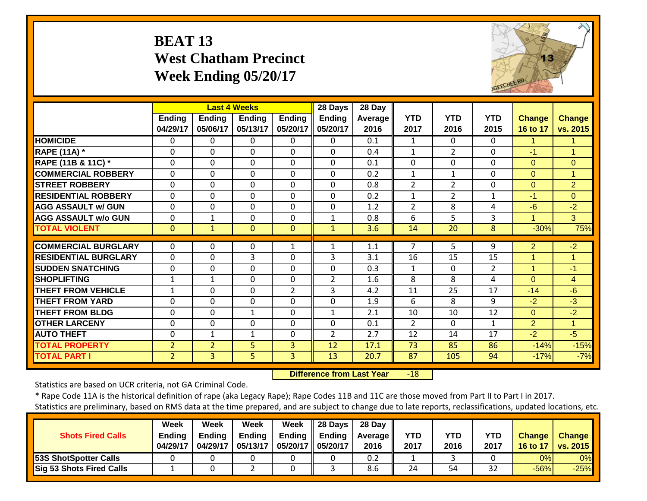## **BEAT 13 West Chatham Precinct Week Ending 05/20/17**



|                             |                           |                    | <b>Last 4 Weeks</b>       |                           | 28 Days                   | 28 Day          |                    |                    |                    |                           |                           |
|-----------------------------|---------------------------|--------------------|---------------------------|---------------------------|---------------------------|-----------------|--------------------|--------------------|--------------------|---------------------------|---------------------------|
|                             | <b>Ending</b><br>04/29/17 | Ending<br>05/06/17 | <b>Ending</b><br>05/13/17 | <b>Ending</b><br>05/20/17 | <b>Ending</b><br>05/20/17 | Average<br>2016 | <b>YTD</b><br>2017 | <b>YTD</b><br>2016 | <b>YTD</b><br>2015 | <b>Change</b><br>16 to 17 | <b>Change</b><br>vs. 2015 |
| <b>HOMICIDE</b>             | 0                         | 0                  | 0                         | 0                         | 0                         | 0.1             | 1                  | $\Omega$           | 0                  | 1                         |                           |
| <b>RAPE (11A) *</b>         | 0                         | 0                  | $\Omega$                  | $\Omega$                  | $\Omega$                  | 0.4             | $\mathbf{1}$       | $\overline{2}$     | 0                  | $-1$                      | 1                         |
| RAPE (11B & 11C) *          | 0                         | $\mathbf 0$        | $\mathbf{0}$              | $\mathbf 0$               | $\Omega$                  | 0.1             | $\mathbf 0$        | $\mathbf 0$        | 0                  | $\Omega$                  | $\Omega$                  |
| <b>COMMERCIAL ROBBERY</b>   | $\Omega$                  | 0                  | $\mathbf{0}$              | $\mathbf 0$               | $\Omega$                  | 0.2             | $\mathbf{1}$       | $\mathbf{1}$       | 0                  | $\Omega$                  | 1                         |
| <b>STREET ROBBERY</b>       | 0                         | 0                  | $\Omega$                  | $\Omega$                  | $\Omega$                  | 0.8             | $\overline{2}$     | $\overline{2}$     | 0                  | $\Omega$                  | $\overline{2}$            |
| <b>RESIDENTIAL ROBBERY</b>  | 0                         | $\Omega$           | $\mathbf 0$               | $\mathbf 0$               | $\Omega$                  | 0.2             | $\mathbf 1$        | $\overline{2}$     | 1                  | -1                        | $\Omega$                  |
| <b>AGG ASSAULT w/ GUN</b>   | 0                         | 0                  | $\mathbf 0$               | $\Omega$                  | $\mathbf 0$               | 1.2             | $\overline{2}$     | 8                  | 4                  | $-6$                      | $-2$                      |
| <b>AGG ASSAULT w/o GUN</b>  | 0                         | 1                  | $\Omega$                  | $\Omega$                  | 1                         | 0.8             | 6                  | 5                  | 3                  | 4                         | 3                         |
| <b>TOTAL VIOLENT</b>        | $\Omega$                  | $\mathbf{1}$       | $\Omega$                  | $\mathbf{0}$              | $\mathbf{1}$              | 3.6             | 14                 | 20                 | 8                  | $-30%$                    | 75%                       |
| <b>COMMERCIAL BURGLARY</b>  | $\Omega$                  | 0                  | 0                         | 1                         | 1                         | 1.1             | 7                  | 5                  | 9                  | $\overline{2}$            | $-2$                      |
| <b>RESIDENTIAL BURGLARY</b> |                           |                    | $\overline{3}$            |                           |                           |                 |                    |                    | 15                 | 1                         | 1                         |
|                             | $\Omega$                  | 0                  |                           | $\Omega$                  | 3                         | 3.1             | 16                 | 15                 |                    | 1                         |                           |
| <b>SUDDEN SNATCHING</b>     | 0                         | 0                  | $\Omega$                  | $\Omega$                  | $\Omega$                  | 0.3             | $\mathbf{1}$       | $\Omega$           | $\overline{2}$     |                           | $-1$                      |
| <b>SHOPLIFTING</b>          | 1                         | $\mathbf{1}$       | $\Omega$                  | $\Omega$                  | $\overline{2}$            | 1.6             | 8                  | 8                  | 4                  | $\Omega$                  | $\overline{4}$            |
| <b>THEFT FROM VEHICLE</b>   | 1                         | 0                  | $\mathbf 0$               | 2                         | 3                         | 4.2             | 11                 | 25                 | 17                 | $-14$                     | $-6$                      |
| <b>THEFT FROM YARD</b>      | 0                         | 0                  | $\Omega$                  | $\Omega$                  | $\Omega$                  | 1.9             | 6                  | 8                  | 9                  | $-2$                      | $-3$                      |
| <b>THEFT FROM BLDG</b>      | 0                         | 0                  | $\mathbf{1}$              | $\Omega$                  | $\mathbf{1}$              | 2.1             | 10                 | 10                 | 12                 | $\Omega$                  | $-2$                      |
| <b>OTHER LARCENY</b>        | $\Omega$                  | 0                  | $\mathbf 0$               | $\Omega$                  | $\Omega$                  | 0.1             | $\overline{2}$     | $\Omega$           | $\mathbf{1}$       | 2                         | $\blacksquare$            |
| <b>AUTO THEFT</b>           | 0                         | $\mathbf{1}$       | $\mathbf{1}$              | $\Omega$                  | $\overline{2}$            | 2.7             | 12                 | 14                 | 17                 | $-2$                      | $-5$                      |
| <b>TOTAL PROPERTY</b>       | $\overline{2}$            | $\overline{2}$     | 5                         | 3                         | 12                        | 17.1            | 73                 | 85                 | 86                 | $-14%$                    | $-15%$                    |
| <b>TOTAL PART I</b>         | $\overline{2}$            | 3                  | 5                         | 3                         | 13                        | 20.7            | 87                 | 105                | 94                 | $-17%$                    | $-7%$                     |

 **Difference from Last Year**‐18

Statistics are based on UCR criteria, not GA Criminal Code.

\* Rape Code 11A is the historical definition of rape (aka Legacy Rape); Rape Codes 11B and 11C are those moved from Part II to Part I in 2017.

|                                 | Week     | Week     | Week          | Week                | $\parallel$ 28 Days | 28 Day            |            |            |            |               |                 |
|---------------------------------|----------|----------|---------------|---------------------|---------------------|-------------------|------------|------------|------------|---------------|-----------------|
| <b>Shots Fired Calls</b>        | Endina   | Endina   | <b>Ending</b> | Endina              | Ending              | <b>Average</b> II | <b>YTD</b> | <b>YTD</b> | <b>YTD</b> | <b>Change</b> | <b>Change</b>   |
|                                 | 04/29/17 | 04/29/17 | 05/13/17      | 05/20/17   05/20/17 |                     | 2016              | 2017       | 2016       | 2017       | 16 to 17      | <b>vs. 2015</b> |
| <b>53S ShotSpotter Calls</b>    |          |          |               |                     |                     | 0.2               |            |            |            | 0%l           | 0%              |
| <b>Sig 53 Shots Fired Calls</b> |          |          |               |                     |                     | 8.6               | 24         | 54         | 32         | $-56%$        | $-25%$          |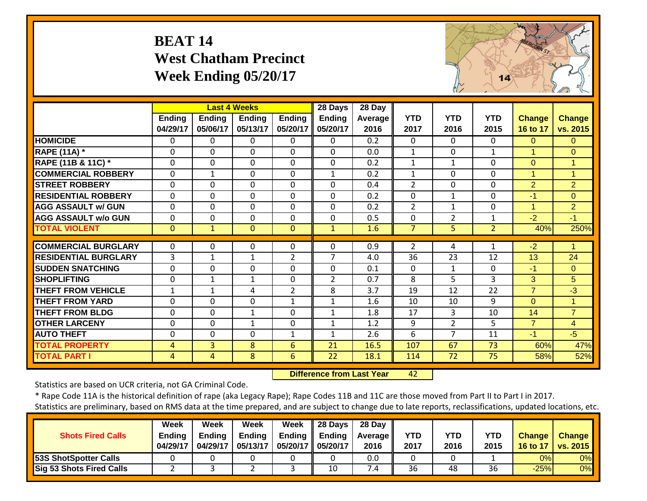## **BEAT 14 West Chatham Precinct Week Ending 05/20/17**



|                             |                           |                           | <b>Last 4 Weeks</b>       |                           | 28 Days                   | 28 Day                 |                    |                    |                    |                           |                           |
|-----------------------------|---------------------------|---------------------------|---------------------------|---------------------------|---------------------------|------------------------|--------------------|--------------------|--------------------|---------------------------|---------------------------|
|                             | <b>Ending</b><br>04/29/17 | <b>Ending</b><br>05/06/17 | <b>Ending</b><br>05/13/17 | <b>Ending</b><br>05/20/17 | <b>Ending</b><br>05/20/17 | <b>Average</b><br>2016 | <b>YTD</b><br>2017 | <b>YTD</b><br>2016 | <b>YTD</b><br>2015 | <b>Change</b><br>16 to 17 | <b>Change</b><br>vs. 2015 |
| <b>HOMICIDE</b>             | $\Omega$                  | 0                         | $\Omega$                  | $\Omega$                  | 0                         | 0.2                    | $\Omega$           | $\Omega$           | $\Omega$           | $\Omega$                  | $\Omega$                  |
| <b>RAPE (11A)</b> *         | $\Omega$                  | 0                         | $\Omega$                  | $\Omega$                  | $\Omega$                  | 0.0                    | $\mathbf{1}$       | $\Omega$           | $\mathbf{1}$       | 1                         | $\Omega$                  |
| RAPE (11B & 11C) *          | $\Omega$                  | 0                         | $\Omega$                  | $\Omega$                  | $\Omega$                  | 0.2                    | $\mathbf{1}$       | $\mathbf{1}$       | $\Omega$           | $\mathbf{0}$              | 1                         |
| <b>COMMERCIAL ROBBERY</b>   | $\Omega$                  | $\mathbf{1}$              | $\Omega$                  | $\Omega$                  | $\mathbf{1}$              | 0.2                    | $\mathbf{1}$       | $\Omega$           | $\mathbf 0$        | 1                         | $\blacktriangleleft$      |
| <b>STREET ROBBERY</b>       | $\mathbf 0$               | 0                         | $\mathbf{0}$              | $\mathbf 0$               | 0                         | 0.4                    | $\overline{2}$     | $\mathbf{0}$       | $\mathbf 0$        | $\overline{2}$            | $\overline{2}$            |
| <b>RESIDENTIAL ROBBERY</b>  | $\Omega$                  | $\Omega$                  | $\Omega$                  | $\mathbf 0$               | $\Omega$                  | 0.2                    | $\Omega$           | $\mathbf{1}$       | $\Omega$           | $-1$                      | $\Omega$                  |
| <b>AGG ASSAULT w/ GUN</b>   | $\mathbf 0$               | 0                         | $\Omega$                  | $\mathbf 0$               | 0                         | 0.2                    | $\overline{2}$     | $\mathbf{1}$       | $\mathbf 0$        | $\overline{1}$            | $\overline{2}$            |
| <b>AGG ASSAULT w/o GUN</b>  | 0                         | 0                         | $\Omega$                  | $\Omega$                  | 0                         | 0.5                    | $\Omega$           | $\overline{2}$     | 1                  | $-2$                      | $-1$                      |
| <b>TOTAL VIOLENT</b>        | $\mathbf{0}$              | $\mathbf{1}$              | $\overline{0}$            | $\overline{0}$            | $\mathbf{1}$              | 1.6                    | $\overline{7}$     | 5                  | $\overline{2}$     | 40%                       | 250%                      |
|                             |                           |                           |                           |                           |                           |                        |                    |                    |                    |                           |                           |
| <b>COMMERCIAL BURGLARY</b>  | $\Omega$                  | 0                         | $\Omega$                  | $\Omega$                  | 0                         | 0.9                    | $\overline{2}$     | 4                  | 1                  | $-2$                      | 1                         |
| <b>RESIDENTIAL BURGLARY</b> | 3                         | 1                         | $\mathbf{1}$              | 2                         | 7                         | 4.0                    | 36                 | 23                 | 12                 | 13                        | 24                        |
| <b>SUDDEN SNATCHING</b>     | $\mathbf 0$               | 0                         | 0                         | $\mathbf 0$               | $\mathbf 0$               | 0.1                    | $\mathbf 0$        | $\mathbf{1}$       | $\mathbf 0$        | $-1$                      | $\Omega$                  |
| <b>SHOPLIFTING</b>          | $\Omega$                  | $\mathbf{1}$              | $\mathbf{1}$              | $\Omega$                  | $\overline{2}$            | 0.7                    | 8                  | 5                  | 3                  | 3                         | 5                         |
| <b>THEFT FROM VEHICLE</b>   | $\mathbf{1}$              | 1                         | 4                         | $\overline{2}$            | 8                         | 3.7                    | 19                 | 12                 | 22                 | $\overline{7}$            | $-3$                      |
| <b>THEFT FROM YARD</b>      | $\Omega$                  | 0                         | $\Omega$                  | $\mathbf{1}$              | $\mathbf{1}$              | 1.6                    | 10                 | 10                 | 9                  | $\Omega$                  | 1                         |
| <b>THEFT FROM BLDG</b>      | $\Omega$                  | 0                         | 1                         | $\Omega$                  | $\mathbf{1}$              | 1.8                    | 17                 | 3                  | 10                 | 14                        | $\overline{7}$            |
| <b>OTHER LARCENY</b>        | $\Omega$                  | 0                         | $\mathbf{1}$              | $\Omega$                  | 1                         | 1.2                    | 9                  | $\overline{2}$     | 5                  | $\overline{7}$            | $\overline{4}$            |
| <b>AUTO THEFT</b>           | $\Omega$                  | 0                         | $\Omega$                  | 1                         | $\mathbf{1}$              | 2.6                    | 6                  | 7                  | 11                 | $-1$                      | $-5$                      |
| <b>TOTAL PROPERTY</b>       | 4                         | 3                         | 8                         | 6                         | 21                        | 16.5                   | 107                | 67                 | 73                 | 60%                       | 47%                       |
| <b>TOTAL PART I</b>         | 4                         | 4                         | 8                         | 6                         | 22                        | 18.1                   | 114                | 72                 | 75                 | 58%                       | 52%                       |

 **Difference from Last Year**42

Statistics are based on UCR criteria, not GA Criminal Code.

\* Rape Code 11A is the historical definition of rape (aka Legacy Rape); Rape Codes 11B and 11C are those moved from Part II to Part I in 2017.

|                                 | Week     | Week          | Week          | Week                | $\parallel$ 28 Days | 28 Day            |            |            |      |               |                 |
|---------------------------------|----------|---------------|---------------|---------------------|---------------------|-------------------|------------|------------|------|---------------|-----------------|
| <b>Shots Fired Calls</b>        | Endina   | <b>Ending</b> | <b>Ending</b> | Endina              | Ending              | <b>Average</b> II | <b>YTD</b> | <b>YTD</b> | YTD  | <b>Change</b> | <b>Change</b>   |
|                                 | 04/29/17 | 04/29/17      | 05/13/17      | 05/20/17   05/20/17 |                     | 2016              | 2017       | 2016       | 2015 | 16 to 17      | <b>vs. 2015</b> |
| <b>53S ShotSpotter Calls</b>    |          |               |               |                     |                     | 0.0               |            |            |      | 0%            | 0%              |
| <b>Sig 53 Shots Fired Calls</b> |          |               |               |                     | 10                  | 7.4               | 36         | 48         | 36   | $-25%$        | 0%              |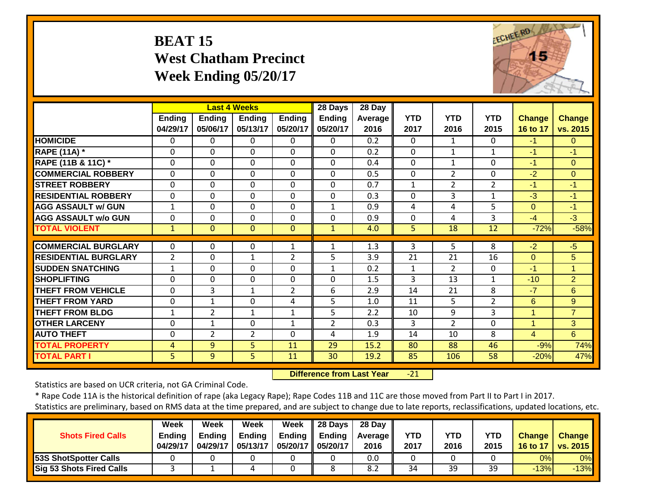## **BEAT 15 West Chatham Precinct Week Ending 05/20/17**



|                             |                           |                           | <b>Last 4 Weeks</b>       |                           | 28 Days                   | 28 Day          |                    |                    |                    |                           |                           |
|-----------------------------|---------------------------|---------------------------|---------------------------|---------------------------|---------------------------|-----------------|--------------------|--------------------|--------------------|---------------------------|---------------------------|
|                             | <b>Ending</b><br>04/29/17 | <b>Ending</b><br>05/06/17 | <b>Ending</b><br>05/13/17 | <b>Ending</b><br>05/20/17 | <b>Ending</b><br>05/20/17 | Average<br>2016 | <b>YTD</b><br>2017 | <b>YTD</b><br>2016 | <b>YTD</b><br>2015 | <b>Change</b><br>16 to 17 | <b>Change</b><br>vs. 2015 |
| <b>HOMICIDE</b>             | $\Omega$                  | 0                         | $\Omega$                  | 0                         | $\Omega$                  | 0.2             | $\Omega$           | 1                  | $\Omega$           | $-1$                      | $\Omega$                  |
| <b>RAPE (11A) *</b>         | $\mathbf 0$               | $\Omega$                  | $\mathbf 0$               | $\Omega$                  | $\mathbf 0$               | 0.2             | $\mathbf 0$        | $\mathbf{1}$       | $\mathbf{1}$       | $-1$                      | $-1$                      |
| RAPE (11B & 11C) *          | $\mathbf 0$               | $\mathbf 0$               | $\mathbf{0}$              | $\Omega$                  | $\mathbf 0$               | 0.4             | $\Omega$           | $\mathbf{1}$       | $\mathbf 0$        | $-1$                      | $\Omega$                  |
| <b>COMMERCIAL ROBBERY</b>   | $\Omega$                  | $\Omega$                  | $\Omega$                  | 0                         | 0                         | 0.5             | $\Omega$           | $\overline{2}$     | $\Omega$           | $-2$                      | $\Omega$                  |
| <b>STREET ROBBERY</b>       | $\mathbf 0$               | $\Omega$                  | $\Omega$                  | 0                         | 0                         | 0.7             | $\mathbf{1}$       | $\overline{2}$     | $\overline{2}$     | $-1$                      | $-1$                      |
| <b>RESIDENTIAL ROBBERY</b>  | $\Omega$                  | $\Omega$                  | $\Omega$                  | 0                         | 0                         | 0.3             | 0                  | 3                  | $\mathbf{1}$       | $-3$                      | $-1$                      |
| <b>AGG ASSAULT w/ GUN</b>   | $\mathbf{1}$              | $\Omega$                  | $\Omega$                  | $\Omega$                  | $\mathbf{1}$              | 0.9             | 4                  | 4                  | 5                  | $\Omega$                  | $-1$                      |
| <b>AGG ASSAULT w/o GUN</b>  | $\Omega$                  | $\Omega$                  | $\Omega$                  | $\Omega$                  | $\Omega$                  | 0.9             | 0                  | 4                  | 3                  | $-4$                      | $-3$                      |
| <b>TOTAL VIOLENT</b>        | 1                         | $\Omega$                  | $\Omega$                  | $\Omega$                  | $\mathbf{1}$              | 4.0             | 5                  | 18                 | 12                 | $-72%$                    | $-58%$                    |
| <b>COMMERCIAL BURGLARY</b>  | $\Omega$                  | 0                         | 0                         | 1                         | 1                         | 1.3             | 3                  | 5                  | 8                  | $-2$                      | $-5$                      |
| <b>RESIDENTIAL BURGLARY</b> | $\overline{2}$            | $\Omega$                  | $\mathbf{1}$              | 2                         | 5                         | 3.9             | 21                 | 21                 | 16                 | $\Omega$                  | 5                         |
| <b>SUDDEN SNATCHING</b>     | $\mathbf{1}$              | $\Omega$                  | $\Omega$                  | $\Omega$                  | 1                         | 0.2             | $\mathbf{1}$       | $\overline{2}$     | $\Omega$           | $-1$                      |                           |
| <b>SHOPLIFTING</b>          | $\Omega$                  | $\Omega$                  | $\Omega$                  | $\Omega$                  | $\mathbf 0$               | 1.5             | 3                  | 13                 | 1                  | $-10$                     | $\overline{2}$            |
| <b>THEFT FROM VEHICLE</b>   | 0                         | 3                         | 1                         | $\overline{2}$            | 6                         | 2.9             | 14                 | 21                 | 8                  | $-7$                      | 6                         |
| <b>THEFT FROM YARD</b>      | $\Omega$                  | 1                         | $\Omega$                  | 4                         | 5                         | 1.0             | 11                 | 5                  | $\overline{2}$     | 6                         | 9                         |
| <b>THEFT FROM BLDG</b>      | $\mathbf 1$               | $\overline{2}$            | 1                         | 1                         | 5                         | 2.2             | 10                 | 9                  | 3                  | 1                         | $\overline{7}$            |
| <b>OTHER LARCENY</b>        | 0                         | $\mathbf{1}$              | $\Omega$                  | 1                         | $\overline{2}$            | 0.3             | 3                  | $\overline{2}$     | $\Omega$           | 1                         | 3                         |
| <b>AUTO THEFT</b>           | 0                         | $\overline{2}$            | $\overline{2}$            | 0                         | 4                         | 1.9             | 14                 | 10                 | 8                  | 4                         | 6                         |
| <b>TOTAL PROPERTY</b>       | 4                         | 9                         | 5                         | 11                        | 29                        | 15.2            | 80                 | 88                 | 46                 | $-9%$                     | 74%                       |
| <b>TOTAL PART I</b>         | 5                         | 9                         | 5                         | 11                        | 30                        | 19.2            | 85                 | 106                | 58                 | $-20%$                    | 47%                       |

 **Difference from Last Year** $-21$ 

Statistics are based on UCR criteria, not GA Criminal Code.

\* Rape Code 11A is the historical definition of rape (aka Legacy Rape); Rape Codes 11B and 11C are those moved from Part II to Part I in 2017.

|                              | Week          | Week          | Week          | Week                | ∥ 28 Days | 28 Day            |            |      |            |        |                     |
|------------------------------|---------------|---------------|---------------|---------------------|-----------|-------------------|------------|------|------------|--------|---------------------|
| <b>Shots Fired Calls</b>     | <b>Endina</b> | <b>Ending</b> | <b>Ending</b> | Ending              | Ending    | <b>Average</b> II | <b>YTD</b> | YTD  | <b>YTD</b> | Change | <b>Change</b>       |
|                              | 04/29/17      | 04/29/17      | 05/13/17      | 05/20/17   05/20/17 |           | 2016              | 2017       | 2016 | 2015       |        | 16 to 17   vs. 2015 |
| <b>53S ShotSpotter Calls</b> |               |               |               |                     |           | 0.0               |            |      |            | 0%I    | 0%                  |
| Sig 53 Shots Fired Calls     |               |               |               |                     |           | 8.2               | 34         | 39   | 39         | $-13%$ | $-13%$              |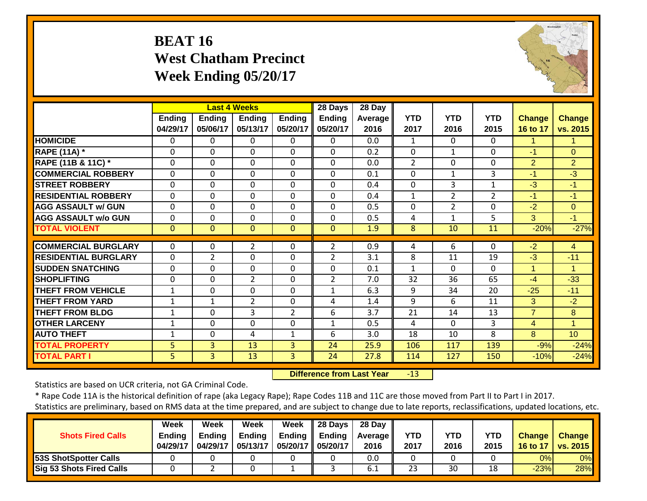## **BEAT 16 West Chatham Precinct Week Ending 05/20/17**



|                               |                           |                           | <b>Last 4 Weeks</b> |                    | 28 Days                   | 28 Day          |                    |                    |                    |                           |                           |
|-------------------------------|---------------------------|---------------------------|---------------------|--------------------|---------------------------|-----------------|--------------------|--------------------|--------------------|---------------------------|---------------------------|
|                               | <b>Ending</b><br>04/29/17 | <b>Ending</b><br>05/06/17 | Ending<br>05/13/17  | Ending<br>05/20/17 | <b>Ending</b><br>05/20/17 | Average<br>2016 | <b>YTD</b><br>2017 | <b>YTD</b><br>2016 | <b>YTD</b><br>2015 | <b>Change</b><br>16 to 17 | <b>Change</b><br>vs. 2015 |
| <b>HOMICIDE</b>               | 0                         | 0                         | $\Omega$            | $\Omega$           | $\Omega$                  | 0.0             | $\mathbf{1}$       | $\Omega$           | 0                  | 1                         |                           |
| <b>RAPE (11A) *</b>           | 0                         | 0                         | $\Omega$            | 0                  | $\Omega$                  | 0.2             | $\Omega$           | 1                  | $\Omega$           | $-1$                      | $\Omega$                  |
| <b>RAPE (11B &amp; 11C) *</b> | 0                         | $\Omega$                  | $\mathbf 0$         | $\Omega$           | $\Omega$                  | 0.0             | 2                  | $\Omega$           | 0                  | $\overline{2}$            | $\overline{2}$            |
| <b>COMMERCIAL ROBBERY</b>     | $\Omega$                  | $\Omega$                  | $\mathbf 0$         | $\Omega$           | $\Omega$                  | 0.1             | $\Omega$           | 1                  | 3                  | $-1$                      | $-3$                      |
| <b>STREET ROBBERY</b>         | $\mathbf 0$               | $\mathbf 0$               | $\mathbf 0$         | 0                  | 0                         | 0.4             | $\mathbf 0$        | 3                  | $\mathbf{1}$       | $-3$                      | $-1$                      |
| <b>RESIDENTIAL ROBBERY</b>    | $\Omega$                  | $\mathbf 0$               | $\mathbf 0$         | 0                  | 0                         | 0.4             | $\mathbf{1}$       | $\overline{2}$     | $\overline{2}$     | $-1$                      | -1                        |
| <b>AGG ASSAULT w/ GUN</b>     | $\mathbf 0$               | 0                         | $\mathbf 0$         | 0                  | 0                         | 0.5             | $\mathbf 0$        | $\overline{2}$     | 0                  | $-2$                      | $\overline{0}$            |
| <b>AGG ASSAULT w/o GUN</b>    | 0                         | 0                         | $\mathbf 0$         | 0                  | 0                         | 0.5             | 4                  | 1                  | 5                  | 3                         | $-1$                      |
| <b>TOTAL VIOLENT</b>          | $\Omega$                  | $\Omega$                  | $\mathbf{0}$        | $\Omega$           | $\Omega$                  | 1.9             | 8                  | 10                 | 11                 | $-20%$                    | $-27%$                    |
| <b>COMMERCIAL BURGLARY</b>    | 0                         | 0                         | 2                   | 0                  | 2                         | 0.9             | 4                  | 6                  | 0                  | $-2$                      | 4                         |
| <b>RESIDENTIAL BURGLARY</b>   | $\Omega$                  | 2                         | $\Omega$            | 0                  | 2                         | 3.1             | 8                  | 11                 | 19                 | $-3$                      | $-11$                     |
| <b>SUDDEN SNATCHING</b>       | $\Omega$                  | $\Omega$                  | $\Omega$            | 0                  | $\Omega$                  | 0.1             | 1                  | 0                  | $\Omega$           | 4                         | 1                         |
| <b>SHOPLIFTING</b>            | $\Omega$                  | $\Omega$                  | $\overline{2}$      | $\Omega$           | $\overline{2}$            | 7.0             | 32                 | 36                 | 65                 | $-4$                      | $-33$                     |
| <b>THEFT FROM VEHICLE</b>     | $\mathbf 1$               | $\Omega$                  | $\Omega$            | 0                  | 1                         | 6.3             | 9                  | 34                 | 20                 | $-25$                     | $-11$                     |
| <b>THEFT FROM YARD</b>        | 1                         | 1                         | $\overline{2}$      | 0                  | 4                         | 1.4             | 9                  | 6                  | 11                 | 3                         | $-2$                      |
| <b>THEFT FROM BLDG</b>        | 1                         | 0                         | 3                   | $\overline{2}$     | 6                         | 3.7             | 21                 | 14                 | 13                 | $\overline{7}$            | 8                         |
| <b>OTHER LARCENY</b>          | 1                         | 0                         | $\mathbf 0$         | 0                  | $\mathbf{1}$              | 0.5             | 4                  | 0                  | 3                  | 4                         | $\blacktriangleleft$      |
| <b>AUTO THEFT</b>             | $\mathbf 1$               | $\mathbf 0$               | 4                   | $\mathbf{1}$       | 6                         | 3.0             | 18                 | 10                 | 8                  | 8                         | 10 <sup>°</sup>           |
| <b>TOTAL PROPERTY</b>         | 5                         | 3                         | 13                  | 3                  | 24                        | 25.9            | 106                | 117                | 139                | $-9%$                     | $-24%$                    |
| <b>TOTAL PART I</b>           | 5                         | 3                         | 13                  | 3                  | 24                        | 27.8            | 114                | 127                | 150                | $-10%$                    | $-24%$                    |

 **Difference from Last Year** $-13$ 

Statistics are based on UCR criteria, not GA Criminal Code.

| <u>, and the community of the community of the community of the community of the community of the community of the community of the community of the community of the community of the community of the community of the communi</u> |          |               |               |                   |                           |                   |      |      |            |               |               |
|--------------------------------------------------------------------------------------------------------------------------------------------------------------------------------------------------------------------------------------|----------|---------------|---------------|-------------------|---------------------------|-------------------|------|------|------------|---------------|---------------|
|                                                                                                                                                                                                                                      | Week     | Week          | Week          | Week              | <b>28 Days</b>            | 28 Day            |      |      |            |               |               |
| <b>Shots Fired Calls</b>                                                                                                                                                                                                             | Ending   | <b>Ending</b> | <b>Ending</b> |                   | Ending $\parallel$ Ending | <b>Average II</b> | YTD  | YTD  | <b>YTD</b> | <b>Change</b> | <b>Change</b> |
|                                                                                                                                                                                                                                      | 04/29/17 | 04/29/17      | 05/13/17      | 05/20/17 05/20/17 |                           | 2016              | 2017 | 2016 | 2015       | 16 to 17      | vs. 2015      |
| <b>53S ShotSpotter Calls</b>                                                                                                                                                                                                         |          |               |               |                   |                           | 0.0               |      |      |            | 0%l           | 0%            |
| <b>Sig 53 Shots Fired Calls</b>                                                                                                                                                                                                      |          |               |               |                   |                           | b.1               | 23   | 30   | 18         | $-23%$        | 28%           |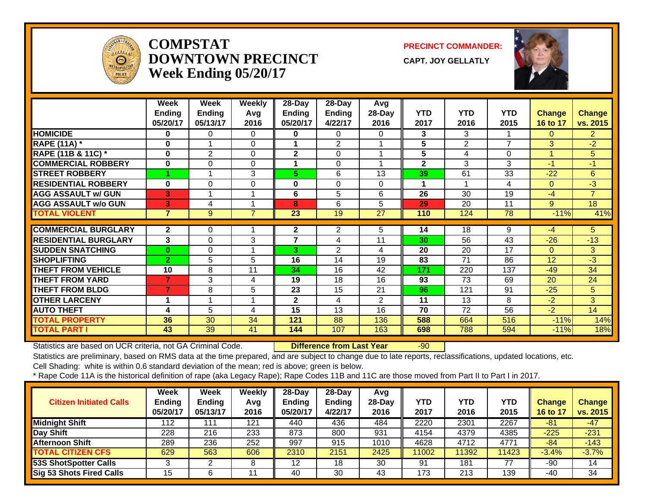

#### **COMPSTATDOWNTOWN PRECINCTWeek Ending 05/20/17**

**PRECINCT COMMANDER:**

**CAPT. JOY GELLATLY**



|                             | Week<br><b>Ending</b> | Week<br><b>Ending</b> | <b>Weekly</b><br>Avg | 28-Day<br><b>Ending</b> | $28$ -Day<br><b>Ending</b> | Avg<br>28-Day  | <b>YTD</b>   | <b>YTD</b>     | <b>YTD</b> | <b>Change</b> | <b>Change</b>  |
|-----------------------------|-----------------------|-----------------------|----------------------|-------------------------|----------------------------|----------------|--------------|----------------|------------|---------------|----------------|
|                             | 05/20/17              | 05/13/17              | 2016                 | 05/20/17                | 4/22/17                    | 2016           | 2017         | 2016           | 2015       | 16 to 17      | vs. 2015       |
| <b>HOMICIDE</b>             | $\bf{0}$              | 0                     | $\Omega$             | 0                       | $\Omega$                   | 0              | 3            | 3              |            | $\Omega$      | $\overline{2}$ |
| <b>RAPE (11A)</b> *         | 0                     | -1                    | $\Omega$             |                         | $\overline{2}$             |                | 5            | $\overline{2}$ | 7          | 3             | $-2$           |
| RAPE (11B & 11C) *          | $\bf{0}$              | $\overline{2}$        | $\Omega$             | 2                       | $\Omega$                   |                | 5            | 4              | $\Omega$   |               | 5              |
| <b>COMMERCIAL ROBBERY</b>   | $\bf{0}$              | $\Omega$              | 0                    |                         | $\Omega$                   |                | $\mathbf{2}$ | 3              | 3          | -1            | $-1$           |
| <b>STREET ROBBERY</b>       |                       |                       | 3                    | 5.                      | 6                          | 13             | 39           | 61             | 33         | $-22$         | 6              |
| <b>RESIDENTIAL ROBBERY</b>  | $\bf{0}$              | $\Omega$              | 0                    | 0                       | 0                          | 0              |              |                | 4          | $\Omega$      | $-3$           |
| <b>AGG ASSAULT w/ GUN</b>   | 3                     | 1                     | 1                    | 6                       | 5                          | 6              | 26           | 30             | 19         | $-4$          | $\overline{7}$ |
| <b>AGG ASSAULT w/o GUN</b>  | 3                     | 4                     | 4                    | 8                       | 6                          | 5              | 29           | 20             | 11         | 9             | 18             |
| <b>TOTAL VIOLENT</b>        | 7                     | 9                     | $\overline{7}$       | 23                      | 19                         | 27             | 110          | 124            | 78         | $-11%$        | 41%            |
|                             |                       |                       |                      |                         |                            |                |              |                |            |               |                |
| <b>COMMERCIAL BURGLARY</b>  | $\mathbf{2}$          | 0                     |                      | 2                       | 2                          | 5              | 14           | 18             | 9          | $-4$          | 5.             |
| <b>RESIDENTIAL BURGLARY</b> | 3                     | $\Omega$              | 3                    | 7                       | 4                          | 11             | 30           | 56             | 43         | $-26$         | $-13$          |
| <b>SUDDEN SNATCHING</b>     | $\bf{0}$              | $\Omega$              | 1                    | 3                       | $\overline{2}$             | 4              | 20           | 20             | 17         | $\Omega$      | 3              |
| <b>SHOPLIFTING</b>          | $\overline{2}$        | 5                     | 5                    | 16                      | 14                         | 19             | 83           | 71             | 86         | 12            | $-3$           |
| <b>THEFT FROM VEHICLE</b>   | 10                    | 8                     | 11                   | 34                      | 16                         | 42             | 171          | 220            | 137        | $-49$         | 34             |
| <b>THEFT FROM YARD</b>      | 7                     | 3                     | 4                    | 19                      | 18                         | 16             | 93           | 73             | 69         | 20            | 24             |
| <b>THEFT FROM BLDG</b>      | $\overline{7}$        | 8                     | 5                    | 23                      | 15                         | 21             | 96           | 121            | 91         | $-25$         | 5              |
| <b>OTHER LARCENY</b>        | 1                     |                       | 1                    | $\mathbf{2}$            | 4                          | $\overline{2}$ | 11           | 13             | 8          | $-2$          | 3              |
| <b>AUTO THEFT</b>           | 4                     | 5                     | 4                    | 15                      | 13                         | 16             | 70           | 72             | 56         | $-2$          | 14             |
| <b>TOTAL PROPERTY</b>       | 36                    | 30                    | 34                   | 121                     | 88                         | 136            | 588          | 664            | 516        | $-11%$        | 14%            |
| <b>TOTAL PART I</b>         | 43                    | 39                    | 41                   | 144                     | 107                        | 163            | 698          | 788            | 594        | $-11%$        | 18%            |

Statistics are based on UCR criteria, not GA Criminal Code. **Difference from Last Year** -90

Statistics are preliminary, based on RMS data at the time prepared, and are subject to change due to late reports, reclassifications, updated locations, etc.

Cell Shading: white is within 0.6 standard deviation of the mean; red is above; green is below.

| <b>Citizen Initiated Calls</b>  | <b>Week</b><br><b>Ending</b><br>05/20/17 | <b>Week</b><br><b>Ending</b><br>05/13/17 | Weekly<br>Avg<br>2016 | $28-Dav$<br><b>Ending</b><br>05/20/17 | 28-Day<br><b>Ending</b><br>4/22/17 | Avg<br>$28$ -Day<br>2016 | YTD<br>2017 | YTD<br>2016 | <b>YTD</b><br>2015 | <b>Change</b><br>16 to 17 | <b>Change</b><br>vs. 2015 |
|---------------------------------|------------------------------------------|------------------------------------------|-----------------------|---------------------------------------|------------------------------------|--------------------------|-------------|-------------|--------------------|---------------------------|---------------------------|
| <b>Midnight Shift</b>           | 112                                      | 11'                                      | 121                   | 440                                   | 436                                | 484                      | 2220        | 2301        | 2267               | $-81$                     | $-47$                     |
| Day Shift                       | 228                                      | 216                                      | 233                   | 873                                   | 800                                | 931                      | 4154        | 4379        | 4385               | $-225$                    | $-231$                    |
| <b>Afternoon Shift</b>          | 289                                      | 236                                      | 252                   | 997                                   | 915                                | 1010                     | 4628        | 4712        | 4771               | -84                       | $-143$                    |
| <b>TOTAL CITIZEN CFS</b>        | 629                                      | 563                                      | 606                   | 2310                                  | 2151                               | 2425                     | 11002       | 11392       | 11423              | $-3.4%$                   | $-3.7%$                   |
| <b>53S ShotSpotter Calls</b>    |                                          |                                          | 8                     | 12                                    | 18                                 | 30                       | 91          | 181         | 77                 | -90                       | 14                        |
| <b>Sig 53 Shots Fired Calls</b> | 15                                       |                                          | 11                    | 40                                    | $\overline{30}$                    | 43                       | 173         | 213         | 139                | -40                       | 34                        |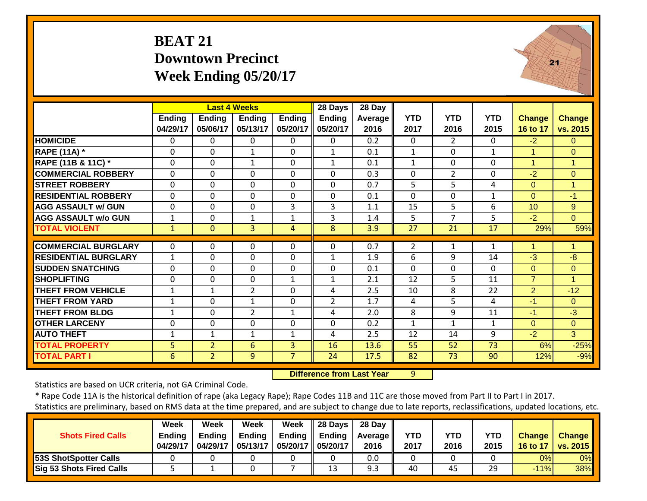#### **BEAT 21 Downtown Precinct Week Ending 05/20/17**



|                             |                           | <b>Last 4 Weeks</b>       |                    |                           | 28 Days                   | 28 Day                 |                    |                    |                    |                           |                           |
|-----------------------------|---------------------------|---------------------------|--------------------|---------------------------|---------------------------|------------------------|--------------------|--------------------|--------------------|---------------------------|---------------------------|
|                             | <b>Ending</b><br>04/29/17 | <b>Endina</b><br>05/06/17 | Endina<br>05/13/17 | <b>Ending</b><br>05/20/17 | <b>Ending</b><br>05/20/17 | <b>Average</b><br>2016 | <b>YTD</b><br>2017 | <b>YTD</b><br>2016 | <b>YTD</b><br>2015 | <b>Change</b><br>16 to 17 | <b>Change</b><br>vs. 2015 |
| <b>HOMICIDE</b>             | 0                         | 0                         | $\Omega$           | $\Omega$                  | 0                         | 0.2                    | $\Omega$           | $\overline{2}$     | $\Omega$           | $-2$                      | $\Omega$                  |
| <b>RAPE (11A) *</b>         | 0                         | $\Omega$                  | $\mathbf{1}$       | $\Omega$                  | $\mathbf{1}$              | 0.1                    | 1                  | 0                  | $\mathbf{1}$       | $\overline{1}$            | $\Omega$                  |
| RAPE (11B & 11C) *          | 0                         | 0                         | $\mathbf{1}$       | $\Omega$                  | 1                         | 0.1                    | $\mathbf{1}$       | $\Omega$           | $\mathbf 0$        | $\mathbf{1}$              | $\overline{1}$            |
| <b>COMMERCIAL ROBBERY</b>   | 0                         | 0                         | $\Omega$           | $\Omega$                  | 0                         | 0.3                    | $\mathbf 0$        | $\overline{2}$     | 0                  | $-2$                      | $\Omega$                  |
| <b>STREET ROBBERY</b>       | 0                         | 0                         | $\Omega$           | $\Omega$                  | 0                         | 0.7                    | 5                  | 5                  | 4                  | $\Omega$                  | $\overline{1}$            |
| <b>IRESIDENTIAL ROBBERY</b> | 0                         | 0                         | $\Omega$           | $\Omega$                  | 0                         | 0.1                    | $\Omega$           | 0                  | 1                  | $\Omega$                  | $-1$                      |
| <b>AGG ASSAULT w/ GUN</b>   | 0                         | $\Omega$                  | $\mathbf 0$        | 3                         | 3                         | 1.1                    | 15                 | 5                  | 6                  | 10                        | 9 <sup>°</sup>            |
| <b>AGG ASSAULT w/o GUN</b>  | 1                         | 0                         | 1                  | $\mathbf{1}$              | 3                         | 1.4                    | 5                  | 7                  | 5                  | $-2$                      | $\Omega$                  |
| <b>TOTAL VIOLENT</b>        | $\mathbf{1}$              | $\Omega$                  | $\overline{3}$     | 4                         | 8                         | 3.9                    | 27                 | 21                 | 17                 | 29%                       | 59%                       |
| <b>COMMERCIAL BURGLARY</b>  | 0                         | 0                         | 0                  | 0                         | 0                         | 0.7                    | 2                  | $\mathbf{1}$       | 1                  |                           |                           |
| <b>RESIDENTIAL BURGLARY</b> | $\mathbf{1}$              | 0                         | $\Omega$           | $\Omega$                  | $\mathbf{1}$              | 1.9                    | 6                  | 9                  | 14                 | $-3$                      | $-8$                      |
| <b>SUDDEN SNATCHING</b>     | $\Omega$                  | $\Omega$                  | $\Omega$           | $\Omega$                  | $\mathbf 0$               | 0.1                    | $\Omega$           | $\Omega$           | $\Omega$           | $\Omega$                  | $\Omega$                  |
| <b>SHOPLIFTING</b>          | 0                         | 0                         | $\Omega$           | $\mathbf{1}$              | $\mathbf{1}$              | 2.1                    | 12                 | 5                  | 11                 | $\overline{7}$            | 1                         |
| <b>THEFT FROM VEHICLE</b>   | $\mathbf 1$               | 1                         | $\overline{2}$     | $\Omega$                  | 4                         | 2.5                    | 10                 | 8                  | 22                 | 2                         | $-12$                     |
| <b>THEFT FROM YARD</b>      | $\mathbf{1}$              | $\Omega$                  | 1                  | $\Omega$                  | $\overline{2}$            | 1.7                    | 4                  | 5                  | 4                  | -1                        | $\Omega$                  |
| <b>THEFT FROM BLDG</b>      | 1                         | $\Omega$                  | $\overline{2}$     | 1                         | 4                         | 2.0                    | 8                  | 9                  | 11                 | -1                        | $-3$                      |
| <b>OTHER LARCENY</b>        | 0                         | $\Omega$                  | $\Omega$           | $\Omega$                  | $\Omega$                  | 0.2                    | 1                  | $\mathbf{1}$       | $\mathbf{1}$       | $\Omega$                  | $\Omega$                  |
| <b>AUTO THEFT</b>           | $\mathbf 1$               | $\mathbf{1}$              | $\mathbf{1}$       | $\mathbf{1}$              | 4                         | 2.5                    | 12                 | 14                 | 9                  | $-2$                      | 3                         |
| <b>TOTAL PROPERTY</b>       | 5                         | $\overline{2}$            | 6                  | 3                         | 16                        | 13.6                   | 55                 | 52                 | 73                 | 6%                        | $-25%$                    |
| <b>TOTAL PART I</b>         | 6                         | $\overline{2}$            | 9                  | $\overline{7}$            | 24                        | 17.5                   | 82                 | 73                 | 90                 | 12%                       | $-9%$                     |

 **Difference from Last Year**9

Statistics are based on UCR criteria, not GA Criminal Code.

\* Rape Code 11A is the historical definition of rape (aka Legacy Rape); Rape Codes 11B and 11C are those moved from Part II to Part I in 2017.

|                                 | Week          | Week          | <b>Week</b>   | Week                | 28 Days | 28 Day            |            |      |      |               |                     |
|---------------------------------|---------------|---------------|---------------|---------------------|---------|-------------------|------------|------|------|---------------|---------------------|
| <b>Shots Fired Calls</b>        | <b>Ending</b> | <b>Endina</b> | <b>Ending</b> | Ending              | Ending  | <b>Average</b> II | <b>YTD</b> | YTD  | YTD  | <b>Change</b> | <b>Change</b>       |
|                                 | 04/29/17      | 04/29/17      | 05/13/17      | 05/20/17   05/20/17 |         | 2016              | 2017       | 2016 | 2015 |               | 16 to 17   vs. 2015 |
| <b>53S ShotSpotter Calls</b>    |               |               |               |                     |         | 0.0               |            |      |      | 0%I           | 0%                  |
| <b>Sig 53 Shots Fired Calls</b> |               |               |               |                     | 13      | 9.3               | 40         | 45   | 29   | $-11%$        | 38%                 |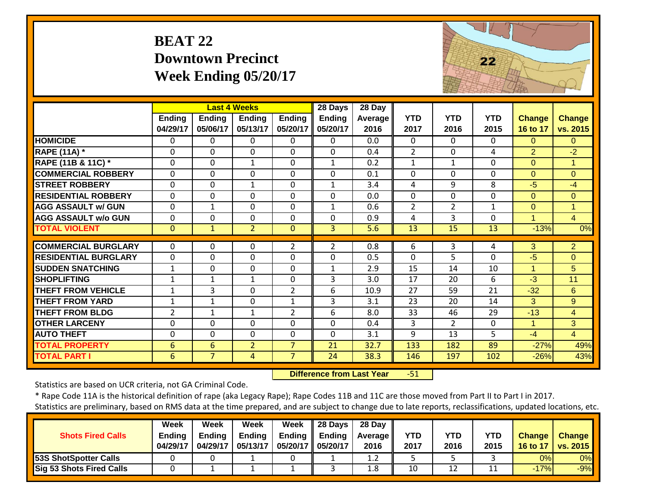## **BEAT 22 Downtown Precinct Week Ending 05/20/17**



|                             |                    |                           | <b>Last 4 Weeks</b> |                    | 28 Days                   | 28 Day                 |                    |                    |                    |                           |                           |
|-----------------------------|--------------------|---------------------------|---------------------|--------------------|---------------------------|------------------------|--------------------|--------------------|--------------------|---------------------------|---------------------------|
|                             | Ending<br>04/29/17 | <b>Ending</b><br>05/06/17 | Ending<br>05/13/17  | Ending<br>05/20/17 | <b>Ending</b><br>05/20/17 | <b>Average</b><br>2016 | <b>YTD</b><br>2017 | <b>YTD</b><br>2016 | <b>YTD</b><br>2015 | <b>Change</b><br>16 to 17 | <b>Change</b><br>vs. 2015 |
| <b>HOMICIDE</b>             | $\Omega$           | 0                         | $\mathbf{0}$        | $\mathbf{0}$       | 0                         | 0.0                    | $\Omega$           | $\Omega$           | $\Omega$           | $\Omega$                  | $\overline{0}$            |
| <b>RAPE (11A)</b> *         | $\Omega$           | $\Omega$                  | $\mathbf{0}$        | $\mathbf{0}$       | 0                         | 0.4                    | $\overline{2}$     | $\mathbf{0}$       | 4                  | 2                         | $-2$                      |
| RAPE (11B & 11C) *          | $\Omega$           | 0                         | $\mathbf{1}$        | $\mathbf{0}$       | $\mathbf{1}$              | 0.2                    | $\mathbf{1}$       | $\mathbf{1}$       | $\Omega$           | $\Omega$                  | $\mathbf{1}$              |
| <b>COMMERCIAL ROBBERY</b>   | $\Omega$           | $\Omega$                  | $\mathbf{0}$        | $\mathbf{0}$       | 0                         | 0.1                    | $\Omega$           | $\Omega$           | $\Omega$           | $\Omega$                  | $\overline{0}$            |
| <b>STREET ROBBERY</b>       | $\mathbf 0$        | 0                         | $\mathbf 1$         | $\mathbf 0$        | $\mathbf{1}$              | 3.4                    | 4                  | 9                  | 8                  | $-5$                      | $-4$                      |
| <b>RESIDENTIAL ROBBERY</b>  | $\Omega$           | $\mathbf 0$               | $\mathbf 0$         | $\mathbf 0$        | $\mathbf 0$               | 0.0                    | $\mathbf 0$        | 0                  | $\Omega$           | $\Omega$                  | $\overline{0}$            |
| <b>AGG ASSAULT w/ GUN</b>   | $\mathbf 0$        | 1                         | $\mathbf 0$         | $\mathbf 0$        | 1                         | 0.6                    | $\overline{2}$     | $\overline{2}$     | $\mathbf{1}$       | $\Omega$                  | 1                         |
| <b>AGG ASSAULT w/o GUN</b>  | $\Omega$           | 0                         | $\mathbf{0}$        | $\Omega$           | 0                         | 0.9                    | 4                  | 3                  | 0                  | $\blacktriangleleft$      | $\overline{4}$            |
| <b>TOTAL VIOLENT</b>        | $\mathbf{0}$       | $\mathbf{1}$              | $\overline{2}$      | $\mathbf{0}$       | $\overline{3}$            | 5.6                    | 13                 | 15                 | 13                 | $-13%$                    | 0%                        |
|                             |                    |                           |                     |                    |                           |                        |                    |                    |                    |                           |                           |
| <b>COMMERCIAL BURGLARY</b>  | $\Omega$           | 0                         | $\Omega$            | $\overline{2}$     | $\overline{2}$            | 0.8                    | 6                  | 3                  | 4                  | 3                         | $\overline{2}$            |
| <b>RESIDENTIAL BURGLARY</b> | $\Omega$           | 0                         | $\mathbf{0}$        | 0                  | 0                         | 0.5                    | $\mathbf{0}$       | 5                  | $\Omega$           | $-5$                      | $\Omega$                  |
| <b>SUDDEN SNATCHING</b>     | $1\,$              | 0                         | $\Omega$            | $\mathbf 0$        | 1                         | 2.9                    | 15                 | 14                 | 10                 | $\mathbf{1}$              | 5                         |
| <b>SHOPLIFTING</b>          | $\mathbf{1}$       | $\mathbf{1}$              | 1                   | 0                  | 3                         | 3.0                    | 17                 | 20                 | 6                  | $-3$                      | 11                        |
| <b>THEFT FROM VEHICLE</b>   | $\mathbf{1}$       | $\overline{3}$            | $\Omega$            | 2                  | 6                         | 10.9                   | 27                 | 59                 | 21                 | $-32$                     | 6                         |
| <b>THEFT FROM YARD</b>      | $\mathbf{1}$       | 1                         | $\Omega$            | $\mathbf{1}$       | 3                         | 3.1                    | 23                 | 20                 | 14                 | 3                         | 9 <sup>°</sup>            |
| <b>THEFT FROM BLDG</b>      | $\overline{2}$     | $\mathbf{1}$              | 1                   | $\overline{2}$     | 6                         | 8.0                    | 33                 | 46                 | 29                 | $-13$                     | $\overline{4}$            |
| <b>OTHER LARCENY</b>        | $\Omega$           | $\Omega$                  | $\Omega$            | $\Omega$           | 0                         | 0.4                    | 3                  | $\overline{2}$     | $\Omega$           | 1                         | 3                         |
| <b>AUTO THEFT</b>           | $\Omega$           | 0                         | $\Omega$            | $\Omega$           | 0                         | 3.1                    | 9                  | 13                 | 5                  | $-4$                      | $\overline{4}$            |
| <b>TOTAL PROPERTY</b>       | 6                  | 6                         | $\overline{2}$      | $\overline{7}$     | 21                        | 32.7                   | 133                | 182                | 89                 | $-27%$                    | 49%                       |
| <b>TOTAL PART I</b>         | 6                  | $\overline{7}$            | 4                   | $\overline{7}$     | 24                        | 38.3                   | 146                | 197                | 102                | $-26%$                    | 43%                       |

 **Difference from Last Year**‐51

Statistics are based on UCR criteria, not GA Criminal Code.

\* Rape Code 11A is the historical definition of rape (aka Legacy Rape); Rape Codes 11B and 11C are those moved from Part II to Part I in 2017.

|                                 | Week     | Week     | Week          | Week                | $\parallel$ 28 Days | 28 Day            |            |            |            |               |                 |
|---------------------------------|----------|----------|---------------|---------------------|---------------------|-------------------|------------|------------|------------|---------------|-----------------|
| <b>Shots Fired Calls</b>        | Endina   | Endina   | <b>Ending</b> | Endina              | Ending              | <b>Average</b> II | <b>YTD</b> | <b>YTD</b> | <b>YTD</b> | <b>Change</b> | <b>Change</b>   |
|                                 | 04/29/17 | 04/29/17 | 05/13/17      | 05/20/17   05/20/17 |                     | 2016              | 2017       | 2016       | 2015       | 16 to 17      | <b>vs. 2015</b> |
| <b>53S ShotSpotter Calls</b>    |          |          |               |                     |                     | ⊥.∠               |            |            |            | 0%I           | 0%              |
| <b>Sig 53 Shots Fired Calls</b> |          |          |               |                     |                     | 1.8               | 10         | 12         | 11         | $-17%$        | $-9%$           |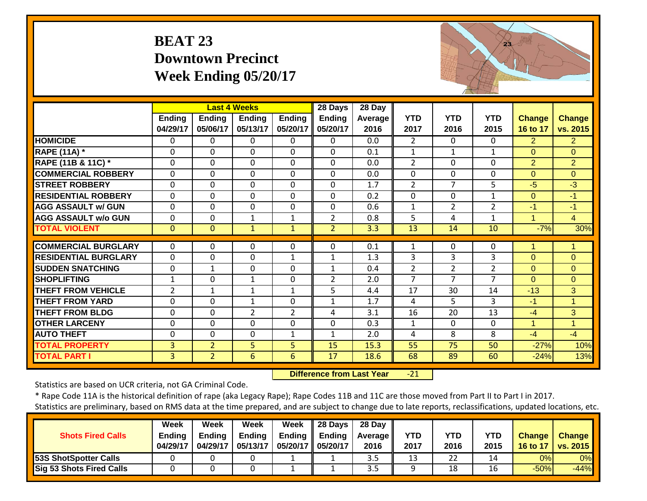#### **BEAT 23 Downtown Precinct Week Ending 05/20/17**



|                             |                           |                           | <b>Last 4 Weeks</b>       |                           | 28 Days                   | 28 Day          |                    |                    |                    |                           |                           |
|-----------------------------|---------------------------|---------------------------|---------------------------|---------------------------|---------------------------|-----------------|--------------------|--------------------|--------------------|---------------------------|---------------------------|
|                             | <b>Ending</b><br>04/29/17 | <b>Ending</b><br>05/06/17 | <b>Ending</b><br>05/13/17 | <b>Ending</b><br>05/20/17 | <b>Ending</b><br>05/20/17 | Average<br>2016 | <b>YTD</b><br>2017 | <b>YTD</b><br>2016 | <b>YTD</b><br>2015 | <b>Change</b><br>16 to 17 | <b>Change</b><br>vs. 2015 |
| <b>HOMICIDE</b>             | 0                         | 0                         | $\Omega$                  | $\Omega$                  | 0                         | 0.0             | 2                  | 0                  | $\Omega$           | $\overline{2}$            | 2 <sup>1</sup>            |
| <b>RAPE (11A) *</b>         | $\Omega$                  | 0                         | $\mathbf{0}$              | $\Omega$                  | $\Omega$                  | 0.1             | $\mathbf{1}$       | $\mathbf{1}$       | $\mathbf{1}$       | $\Omega$                  | $\Omega$                  |
| RAPE (11B & 11C) *          | 0                         | 0                         | $\Omega$                  | $\Omega$                  | $\Omega$                  | 0.0             | 2                  | $\Omega$           | $\Omega$           | 2                         | $\overline{2}$            |
| <b>COMMERCIAL ROBBERY</b>   | $\Omega$                  | 0                         | $\mathbf 0$               | $\Omega$                  | $\mathbf 0$               | 0.0             | $\Omega$           | 0                  | $\mathbf 0$        | $\Omega$                  | $\Omega$                  |
| <b>STREET ROBBERY</b>       | $\mathbf 0$               | 0                         | $\mathbf 0$               | $\mathbf 0$               | $\Omega$                  | 1.7             | $\overline{2}$     | $\overline{7}$     | 5                  | $-5$                      | $-3$                      |
| <b>RESIDENTIAL ROBBERY</b>  | $\mathbf 0$               | 0                         | $\mathbf 0$               | $\mathbf 0$               | $\mathbf 0$               | 0.2             | $\Omega$           | $\mathbf{0}$       | $\mathbf{1}$       | $\Omega$                  | $-1$                      |
| <b>AGG ASSAULT w/ GUN</b>   | $\mathbf 0$               | 0                         | $\mathbf 0$               | $\mathbf 0$               | 0                         | 0.6             | $\mathbf{1}$       | $\overline{2}$     | $\overline{2}$     | $-1$                      | $-1$                      |
| <b>AGG ASSAULT w/o GUN</b>  | 0                         | 0                         | $\mathbf{1}$              | $\mathbf{1}$              | $\overline{2}$            | 0.8             | 5                  | 4                  | 1                  | $\mathbf{1}$              | $\overline{4}$            |
| <b>TOTAL VIOLENT</b>        | $\mathbf{0}$              | $\Omega$                  | $\mathbf{1}$              | $\mathbf{1}$              | $\overline{2}$            | 3.3             | 13                 | 14                 | 10                 | $-7%$                     | 30%                       |
|                             |                           |                           |                           |                           |                           |                 |                    |                    |                    |                           |                           |
| <b>COMMERCIAL BURGLARY</b>  | 0                         | 0                         | $\Omega$                  | $\Omega$                  | $\Omega$                  | 0.1             | $\mathbf{1}$       | 0                  | $\Omega$           | 1                         | $\mathbf 1$               |
| <b>RESIDENTIAL BURGLARY</b> | 0                         | 0                         | $\mathbf 0$               | 1                         | 1                         | 1.3             | 3                  | 3                  | 3                  | $\Omega$                  | $\Omega$                  |
| <b>SUDDEN SNATCHING</b>     | 0                         | 1                         | $\mathbf 0$               | $\mathbf 0$               | $\mathbf{1}$              | 0.4             | $\overline{2}$     | $\overline{2}$     | $\overline{2}$     | $\mathbf{0}$              | $\overline{0}$            |
| <b>SHOPLIFTING</b>          | $\mathbf{1}$              | 0                         | $\mathbf{1}$              | $\Omega$                  | 2                         | 2.0             | $\overline{7}$     | $\overline{7}$     | $\overline{7}$     | $\Omega$                  | $\Omega$                  |
| <b>THEFT FROM VEHICLE</b>   | $\overline{2}$            | 1                         | 1                         | $\mathbf{1}$              | 5                         | 4.4             | 17                 | 30                 | 14                 | $-13$                     | 3                         |
| <b>THEFT FROM YARD</b>      | $\Omega$                  | 0                         | 1                         | $\Omega$                  | $\mathbf{1}$              | 1.7             | 4                  | 5.                 | 3                  | $-1$                      | $\mathbf{1}$              |
| <b>THEFT FROM BLDG</b>      | $\Omega$                  | 0                         | $\overline{2}$            | $\overline{2}$            | 4                         | 3.1             | 16                 | 20                 | 13                 | $-4$                      | 3                         |
| <b>OTHER LARCENY</b>        | 0                         | 0                         | $\Omega$                  | $\Omega$                  | $\Omega$                  | 0.3             | $\mathbf{1}$       | $\Omega$           | $\Omega$           | 1                         | $\blacktriangleleft$      |
| <b>AUTO THEFT</b>           | $\Omega$                  | 0                         | 0                         | $\mathbf{1}$              | $\mathbf{1}$              | 2.0             | 4                  | 8                  | 8                  | $-4$                      | $-4$                      |
| <b>TOTAL PROPERTY</b>       | 3                         | $\overline{2}$            | 5                         | 5                         | 15                        | 15.3            | 55                 | 75                 | 50                 | $-27%$                    | 10%                       |
| <b>TOTAL PART I</b>         | 3                         | $\overline{2}$            | 6                         | 6                         | 17                        | 18.6            | 68                 | 89                 | 60                 | $-24%$                    | 13%                       |

 **Difference from Last Year** $-21$ 

Statistics are based on UCR criteria, not GA Criminal Code.

\* Rape Code 11A is the historical definition of rape (aka Legacy Rape); Rape Codes 11B and 11C are those moved from Part II to Part I in 2017.

|                              | <b>Week</b>   | Week          | Week          | Week              | 28 Days | 28 Dav            |            |      |            |               |                     |
|------------------------------|---------------|---------------|---------------|-------------------|---------|-------------------|------------|------|------------|---------------|---------------------|
| <b>Shots Fired Calls</b>     | <b>Ending</b> | <b>Endina</b> | <b>Ending</b> | Ending            | Ending  | <b>Average</b> II | <b>YTD</b> | YTD  | <b>YTD</b> | <b>Change</b> | <b>Change</b>       |
|                              | 04/29/17      | 04/29/17      | 05/13/17      | 05/20/17 05/20/17 |         | 2016              | 2017       | 2016 | 2015       |               | 16 to 17   vs. 2015 |
| <b>53S ShotSpotter Calls</b> |               |               |               |                   |         | 3.5               | 13         | 22   | 14         | 0%            | 0%                  |
| Sig 53 Shots Fired Calls     |               |               |               |                   |         | 3.5               |            | 18   | 16         | $-50%$        | $-44%$              |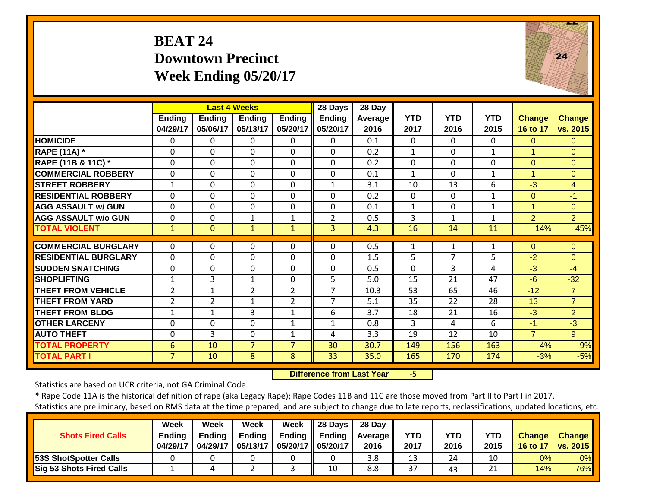#### **BEAT 24 Downtown Precinct Week Ending 05/20/17**



|                             |                           |                    | <b>Last 4 Weeks</b>       |                           | 28 Days            | 28 Day          |                    |                    |                    |                           |                           |
|-----------------------------|---------------------------|--------------------|---------------------------|---------------------------|--------------------|-----------------|--------------------|--------------------|--------------------|---------------------------|---------------------------|
|                             | <b>Ending</b><br>04/29/17 | Ending<br>05/06/17 | <b>Ending</b><br>05/13/17 | <b>Ending</b><br>05/20/17 | Ending<br>05/20/17 | Average<br>2016 | <b>YTD</b><br>2017 | <b>YTD</b><br>2016 | <b>YTD</b><br>2015 | <b>Change</b><br>16 to 17 | <b>Change</b><br>vs. 2015 |
| <b>HOMICIDE</b>             | $\mathbf 0$               | $\Omega$           | $\mathbf{0}$              | $\mathbf 0$               | $\Omega$           | 0.1             | $\Omega$           | $\Omega$           | $\Omega$           | $\Omega$                  | $\Omega$                  |
| <b>RAPE (11A) *</b>         | $\Omega$                  | $\Omega$           | $\Omega$                  | $\Omega$                  | $\Omega$           | 0.2             | $\mathbf{1}$       | 0                  | $\mathbf{1}$       | $\mathbf{1}$              | $\Omega$                  |
| RAPE (11B & 11C) *          | $\mathbf 0$               | $\Omega$           | $\Omega$                  | $\mathbf 0$               | 0                  | 0.2             | $\mathbf 0$        | 0                  | $\Omega$           | $\Omega$                  | $\overline{O}$            |
| <b>COMMERCIAL ROBBERY</b>   | $\Omega$                  | 0                  | $\mathbf{0}$              | $\Omega$                  | 0                  | 0.1             | $\mathbf{1}$       | 0                  | $\mathbf{1}$       | 1                         | $\Omega$                  |
| <b>STREET ROBBERY</b>       | 1                         | $\mathbf 0$        | $\mathbf 0$               | 0                         | $\mathbf{1}$       | 3.1             | 10                 | 13                 | 6                  | $-3$                      | $\overline{4}$            |
| <b>RESIDENTIAL ROBBERY</b>  | 0                         | 0                  | $\mathbf{0}$              | $\Omega$                  | $\Omega$           | 0.2             | $\Omega$           | 0                  | 1                  | $\Omega$                  | $\blacksquare$            |
| <b>AGG ASSAULT w/ GUN</b>   | 0                         | 0                  | $\Omega$                  | $\Omega$                  | 0                  | 0.1             | 1                  | 0                  | 1                  | 1                         | $\Omega$                  |
| <b>AGG ASSAULT w/o GUN</b>  | $\mathbf{0}$              | 0                  | $\mathbf{1}$              | $\mathbf{1}$              | $\overline{2}$     | 0.5             | 3                  | 1                  | 1                  | 2                         | $\overline{2}$            |
| <b>TOTAL VIOLENT</b>        | 1                         | $\Omega$           | $\mathbf{1}$              | $\mathbf{1}$              | 3                  | 4.3             | 16                 | 14                 | 11                 | 14%                       | 45%                       |
|                             |                           |                    |                           |                           |                    |                 |                    |                    |                    |                           |                           |
| <b>COMMERCIAL BURGLARY</b>  | $\Omega$                  | 0                  | $\Omega$                  | 0                         | 0                  | 0.5             | 1                  | 1                  | 1                  | $\Omega$                  | $\mathbf{0}$              |
| <b>RESIDENTIAL BURGLARY</b> | $\Omega$                  | $\Omega$           | $\Omega$                  | 0                         | $\Omega$           | 1.5             | 5                  | 7                  | 5                  | $-2$                      | $\Omega$                  |
| <b>SUDDEN SNATCHING</b>     | 0                         | 0                  | $\mathbf 0$               | $\Omega$                  | 0                  | 0.5             | $\Omega$           | 3                  | 4                  | $-3$                      | $-4$                      |
| <b>SHOPLIFTING</b>          | $\mathbf{1}$              | 3                  | $\mathbf{1}$              | $\Omega$                  | 5                  | 5.0             | 15                 | 21                 | 47                 | $-6$                      | $-32$                     |
| <b>THEFT FROM VEHICLE</b>   | $\overline{2}$            | $\mathbf 1$        | $\overline{2}$            | $\overline{2}$            | 7                  | 10.3            | 53                 | 65                 | 46                 | $-12$                     | 7 <sup>1</sup>            |
| <b>THEFT FROM YARD</b>      | $\overline{2}$            | $\overline{2}$     | $\mathbf{1}$              | $\overline{2}$            | $\overline{7}$     | 5.1             | 35                 | 22                 | 28                 | 13                        | $\overline{7}$            |
| <b>THEFT FROM BLDG</b>      | $\mathbf{1}$              | $\mathbf{1}$       | 3                         | $\mathbf{1}$              | 6                  | 3.7             | 18                 | 21                 | 16                 | $-3$                      | $\overline{2}$            |
| <b>OTHER LARCENY</b>        | $\mathbf 0$               | $\Omega$           | $\Omega$                  | 1                         | 1                  | 0.8             | 3                  | 4                  | 6                  | $-1$                      | $-3$                      |
| <b>AUTO THEFT</b>           | 0                         | 3                  | $\mathbf{0}$              | $\mathbf{1}$              | 4                  | 3.3             | 19                 | 12                 | 10                 | $\overline{7}$            | 9 <sup>°</sup>            |
| <b>TOTAL PROPERTY</b>       | 6                         | 10                 | $\overline{7}$            | $\overline{7}$            | 30                 | 30.7            | 149                | 156                | 163                | $-4%$                     | $-9%$                     |
| <b>TOTAL PART I</b>         | $\overline{7}$            | 10                 | 8                         | 8                         | 33                 | 35.0            | 165                | 170                | 174                | $-3%$                     | $-5%$                     |

 **Difference from Last Year**r -5

Statistics are based on UCR criteria, not GA Criminal Code.

\* Rape Code 11A is the historical definition of rape (aka Legacy Rape); Rape Codes 11B and 11C are those moved from Part II to Part I in 2017.

|                                 | Week     | Week     | Week          | Week                | $\parallel$ 28 Days | 28 Day            |            |            |            |               |                 |
|---------------------------------|----------|----------|---------------|---------------------|---------------------|-------------------|------------|------------|------------|---------------|-----------------|
| <b>Shots Fired Calls</b>        | Endina   | Endina   | <b>Ending</b> | Endina              | Ending              | <b>Average</b> II | <b>YTD</b> | <b>YTD</b> | <b>YTD</b> | <b>Change</b> | <b>Change</b>   |
|                                 | 04/29/17 | 04/29/17 | 05/13/17      | 05/20/17   05/20/17 |                     | 2016              | 2017       | 2016       | 2015       | 16 to 17      | <b>vs. 2015</b> |
| <b>53S ShotSpotter Calls</b>    |          |          |               |                     |                     | 3.8               |            | 24         | 10         | 0%l           | 0%              |
| <b>Sig 53 Shots Fired Calls</b> |          |          |               |                     | 10                  | 8.8               | 37         | 43         | 21         | $-14%$        | <b>76%</b>      |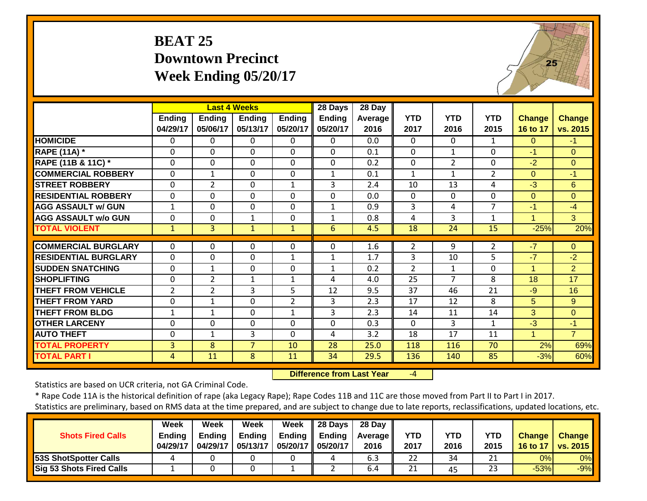#### **BEAT 25 Downtown Precinct Week Ending 05/20/17**



|                             |                           |                    | <b>Last 4 Weeks</b>       |                           | 28 Days            | 28 Day                 |                    |                    |                    |                           |                           |
|-----------------------------|---------------------------|--------------------|---------------------------|---------------------------|--------------------|------------------------|--------------------|--------------------|--------------------|---------------------------|---------------------------|
|                             | <b>Ending</b><br>04/29/17 | Endina<br>05/06/17 | <b>Ending</b><br>05/13/17 | <b>Ending</b><br>05/20/17 | Ending<br>05/20/17 | <b>Average</b><br>2016 | <b>YTD</b><br>2017 | <b>YTD</b><br>2016 | <b>YTD</b><br>2015 | <b>Change</b><br>16 to 17 | <b>Change</b><br>vs. 2015 |
| <b>HOMICIDE</b>             | $\Omega$                  | 0                  | $\mathbf{0}$              | $\mathbf{0}$              | 0                  | 0.0                    | $\Omega$           | 0                  | 1                  | $\Omega$                  | $-1$                      |
| <b>RAPE (11A) *</b>         | $\Omega$                  | $\Omega$           | $\Omega$                  | $\mathbf{0}$              | $\Omega$           | 0.1                    | $\Omega$           | $\mathbf{1}$       | 0                  | $-1$                      | $\Omega$                  |
| RAPE (11B & 11C) *          | $\mathbf 0$               | 0                  | $\mathbf 0$               | $\Omega$                  | $\mathbf 0$        | 0.2                    | $\mathbf 0$        | $\overline{2}$     | $\Omega$           | $-2$                      | $\Omega$                  |
| <b>COMMERCIAL ROBBERY</b>   | $\Omega$                  | 1                  | $\Omega$                  | $\Omega$                  | 1                  | 0.1                    | $\mathbf{1}$       | $\mathbf{1}$       | $\overline{2}$     | $\Omega$                  | $-1$                      |
| <b>ISTREET ROBBERY</b>      | $\mathbf 0$               | 2                  | $\Omega$                  | 1                         | 3                  | 2.4                    | 10                 | 13                 | 4                  | $-3$                      | 6                         |
| <b>RESIDENTIAL ROBBERY</b>  | $\Omega$                  | 0                  | $\mathbf{0}$              | 0                         | 0                  | 0.0                    | $\Omega$           | 0                  | $\Omega$           | $\Omega$                  | $\Omega$                  |
| <b>AGG ASSAULT w/ GUN</b>   | $\mathbf{1}$              | 0                  | $\mathbf{0}$              | 0                         | $\mathbf{1}$       | 0.9                    | 3                  | 4                  | 7                  | $-1$                      | $-4$                      |
| <b>AGG ASSAULT w/o GUN</b>  | $\Omega$                  | 0                  | 1                         | 0                         | 1                  | 0.8                    | 4                  | 3                  | 1                  | 1                         | 3                         |
| <b>TOTAL VIOLENT</b>        | $\mathbf{1}$              | 3                  | $\mathbf{1}$              | $\mathbf{1}$              | 6                  | 4.5                    | 18                 | 24                 | 15                 | $-25%$                    | 20%                       |
| <b>COMMERCIAL BURGLARY</b>  | $\Omega$                  | 0                  | 0                         | $\mathbf 0$               | 0                  | 1.6                    | 2                  | 9                  | 2                  | $-7$                      | $\overline{0}$            |
| <b>RESIDENTIAL BURGLARY</b> | $\Omega$                  | 0                  | $\mathbf{0}$              | 1                         | 1                  | 1.7                    | 3                  | 10                 | 5                  | $-7$                      | $-2$                      |
| <b>SUDDEN SNATCHING</b>     | $\Omega$                  | 1                  | $\Omega$                  | $\Omega$                  | 1                  | 0.2                    | $\overline{2}$     | 1                  | $\Omega$           | 4                         | $\overline{2}$            |
| <b>SHOPLIFTING</b>          | $\Omega$                  | $\overline{2}$     | 1                         | 1                         | 4                  | 4.0                    | 25                 | $\overline{7}$     | 8                  | 18                        | 17                        |
| <b>THEFT FROM VEHICLE</b>   | $\overline{2}$            | $\overline{2}$     | 3                         | 5                         | 12                 | 9.5                    | 37                 | 46                 | 21                 | $-9$                      | 16                        |
| <b>THEFT FROM YARD</b>      | $\Omega$                  | 1                  | $\Omega$                  | $\overline{2}$            | 3                  | 2.3                    | 17                 | 12                 | 8                  | 5                         | 9                         |
| <b>THEFT FROM BLDG</b>      | $\mathbf{1}$              | $\mathbf{1}$       | $\mathbf{0}$              | 1                         | 3                  | 2.3                    | 14                 | 11                 | 14                 | 3                         | $\overline{0}$            |
| <b>OTHER LARCENY</b>        | $\Omega$                  | 0                  | $\mathbf{0}$              | $\Omega$                  | 0                  | 0.3                    | $\Omega$           | 3                  | $\mathbf{1}$       | $-3$                      | $-1$                      |
| <b>AUTO THEFT</b>           | $\Omega$                  | $\mathbf{1}$       | 3                         | 0                         | 4                  | 3.2                    | 18                 | 17                 | 11                 | $\overline{1}$            | $\overline{7}$            |
| <b>TOTAL PROPERTY</b>       | 3                         | 8                  | $\overline{7}$            | 10                        | 28                 | 25.0                   | 118                | 116                | 70                 | 2%                        | 69%                       |
| <b>TOTAL PART I</b>         | 4                         | 11                 | 8                         | 11                        | 34                 | 29.5                   | 136                | 140                | 85                 | $-3%$                     | 60%                       |

 **Difference from Last Year**‐4

Statistics are based on UCR criteria, not GA Criminal Code.

\* Rape Code 11A is the historical definition of rape (aka Legacy Rape); Rape Codes 11B and 11C are those moved from Part II to Part I in 2017.

|                              | <b>Week</b>   | Week     | Week          | Week                | $\parallel$ 28 Days | 28 Dav            |      |      |      |               |               |
|------------------------------|---------------|----------|---------------|---------------------|---------------------|-------------------|------|------|------|---------------|---------------|
| <b>Shots Fired Calls</b>     | <b>Ending</b> | Endina   | <b>Ending</b> | Ending              | <b>Ending</b>       | <b>Average II</b> | YTD  | YTD  | YTD  | <b>Change</b> | <b>Change</b> |
|                              | 04/29/17      | 04/29/17 | 05/13/17      | 05/20/17   05/20/17 |                     | 2016              | 2017 | 2016 | 2015 | 16 to 17      | vs. 2015      |
| <b>53S ShotSpotter Calls</b> |               |          |               |                     |                     | 6.3               | 22   | 34   | 21   | 0%            | 0%            |
| Sig 53 Shots Fired Calls     |               |          |               |                     |                     | 6.4               | 21   | 45   | 23   | $-53%$        | $-9%$         |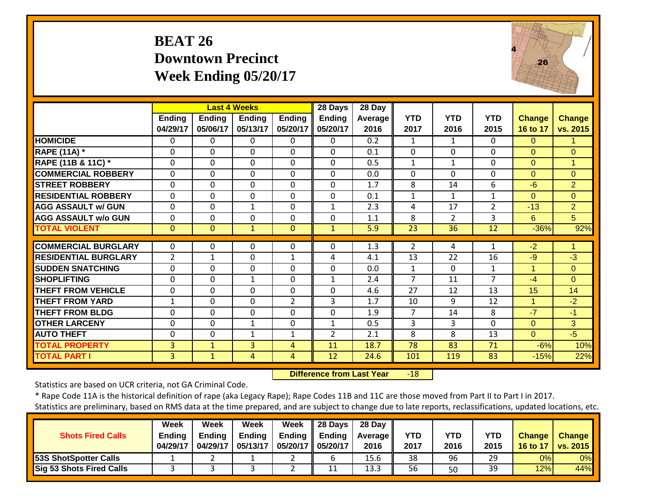#### **BEAT 26 Downtown Precinct Week Ending 05/20/17**



|                             |                           |                           | <b>Last 4 Weeks</b>       |                           | 28 Days                   | 28 Day           |                    |                    |                    |                           |                           |
|-----------------------------|---------------------------|---------------------------|---------------------------|---------------------------|---------------------------|------------------|--------------------|--------------------|--------------------|---------------------------|---------------------------|
|                             | <b>Ending</b><br>04/29/17 | <b>Ending</b><br>05/06/17 | <b>Ending</b><br>05/13/17 | <b>Ending</b><br>05/20/17 | <b>Ending</b><br>05/20/17 | Average<br>2016  | <b>YTD</b><br>2017 | <b>YTD</b><br>2016 | <b>YTD</b><br>2015 | <b>Change</b><br>16 to 17 | <b>Change</b><br>vs. 2015 |
| <b>HOMICIDE</b>             | 0                         | 0                         | $\Omega$                  | $\Omega$                  | 0                         | $\overline{0.2}$ | 1                  | 1                  | $\Omega$           | $\Omega$                  |                           |
| <b>RAPE (11A) *</b>         | $\Omega$                  | $\Omega$                  | $\Omega$                  | $\Omega$                  | 0                         | 0.1              | $\mathbf{0}$       | 0                  | $\Omega$           | $\Omega$                  | $\Omega$                  |
| RAPE (11B & 11C) *          | 0                         | 0                         | $\mathbf 0$               | $\mathbf 0$               | 0                         | 0.5              | $\mathbf{1}$       | $\mathbf{1}$       | $\Omega$           | $\Omega$                  | 1                         |
| <b>COMMERCIAL ROBBERY</b>   | $\Omega$                  | 0                         | $\Omega$                  | $\Omega$                  | 0                         | 0.0              | $\Omega$           | $\Omega$           | $\Omega$           | $\Omega$                  | $\overline{0}$            |
| <b>STREET ROBBERY</b>       | 0                         | 0                         | $\Omega$                  | $\Omega$                  | 0                         | 1.7              | 8                  | 14                 | 6                  | $-6$                      | $\overline{2}$            |
| <b>RESIDENTIAL ROBBERY</b>  | $\Omega$                  | 0                         | $\Omega$                  | $\Omega$                  | $\Omega$                  | 0.1              | $\mathbf{1}$       | $\mathbf{1}$       | $\mathbf{1}$       | $\Omega$                  | $\Omega$                  |
| <b>AGG ASSAULT w/ GUN</b>   | $\Omega$                  | $\Omega$                  | $\mathbf{1}$              | $\Omega$                  | $\mathbf{1}$              | 2.3              | 4                  | 17                 | $\overline{2}$     | $-13$                     | $\overline{2}$            |
| <b>AGG ASSAULT w/o GUN</b>  | $\Omega$                  | 0                         | $\mathbf 0$               | $\Omega$                  | $\mathbf 0$               | 1.1              | 8                  | $\overline{2}$     | 3                  | 6                         | 5                         |
| <b>TOTAL VIOLENT</b>        | $\Omega$                  | $\Omega$                  | $\mathbf{1}$              | $\Omega$                  | $\mathbf{1}$              | 5.9              | 23                 | 36                 | 12                 | $-36%$                    | 92%                       |
| <b>COMMERCIAL BURGLARY</b>  | 0                         | 0                         | 0                         | 0                         | 0                         | 1.3              | 2                  | 4                  |                    | $-2$                      |                           |
| <b>RESIDENTIAL BURGLARY</b> | 2                         | $\mathbf{1}$              | $\Omega$                  | 1                         | 4                         | 4.1              | 13                 | 22                 | 16                 | $-9$                      | $-3$                      |
| <b>SUDDEN SNATCHING</b>     | $\mathbf 0$               | 0                         | $\mathbf 0$               | $\mathbf 0$               | $\mathbf 0$               | 0.0              | 1                  | $\Omega$           | 1                  | 1                         | $\overline{0}$            |
| <b>SHOPLIFTING</b>          | $\Omega$                  | 0                         | $\mathbf{1}$              | $\Omega$                  | $\mathbf{1}$              | 2.4              | 7                  | 11                 | $\overline{7}$     | $-4$                      | $\Omega$                  |
| <b>THEFT FROM VEHICLE</b>   | $\Omega$                  | 0                         | $\Omega$                  | $\Omega$                  | $\mathbf 0$               | 4.6              | 27                 | 12                 | 13                 | 15                        | 14                        |
| <b>THEFT FROM YARD</b>      | 1                         | 0                         | $\Omega$                  | $\overline{2}$            | 3                         | 1.7              | 10                 | 9                  | 12                 | 1                         | $-2$                      |
| <b>THEFT FROM BLDG</b>      | 0                         | 0                         | $\Omega$                  | 0                         | 0                         | 1.9              | 7                  | 14                 | 8                  | $-7$                      | $-1$                      |
| <b>OTHER LARCENY</b>        | $\Omega$                  | $\Omega$                  | $\mathbf{1}$              | $\Omega$                  | $\mathbf{1}$              | 0.5              | 3                  | 3                  | $\Omega$           | $\Omega$                  | 3                         |
| <b>AUTO THEFT</b>           | $\Omega$                  | $\Omega$                  | $\mathbf{1}$              | $\mathbf{1}$              | $\overline{2}$            | 2.1              | 8                  | 8                  | 13                 | $\Omega$                  | $-5$                      |
| <b>TOTAL PROPERTY</b>       | 3                         | $\mathbf{1}$              | 3                         | 4                         | 11                        | 18.7             | 78                 | 83                 | 71                 | $-6%$                     | 10%                       |
| <b>TOTAL PART I</b>         | 3                         | $\mathbf{1}$              | 4                         | 4                         | 12                        | 24.6             | 101                | 119                | 83                 | $-15%$                    | 22%                       |

 **Difference from Last Year**r -18

Statistics are based on UCR criteria, not GA Criminal Code.

|                                 | <b>Week</b>   | Week          | Week          | Week     | 28 Days       | 28 Day            |      |      |            |               |               |
|---------------------------------|---------------|---------------|---------------|----------|---------------|-------------------|------|------|------------|---------------|---------------|
| <b>Shots Fired Calls</b>        | <b>Ending</b> | <b>Ending</b> | <b>Ending</b> | Endina   | <b>Ending</b> | <b>Average</b> II | YTD  | YTD  | <b>YTD</b> | <b>Change</b> | <b>Change</b> |
|                                 | 04/29/17      | 04/29/17      | 05/13/17      | 05/20/17 | 05/20/17      | 2016              | 2017 | 2016 | 2015       | 16 to 17      | vs. 2015      |
| <b>53S ShotSpotter Calls</b>    |               |               |               | _        |               | 15.6              | 38   | 96   | 29         | 0%            | 0%            |
| <b>Sig 53 Shots Fired Calls</b> |               |               |               | <u>.</u> | 11            | 13.3              | 56   | 50   | 39         | 12%           | 44%           |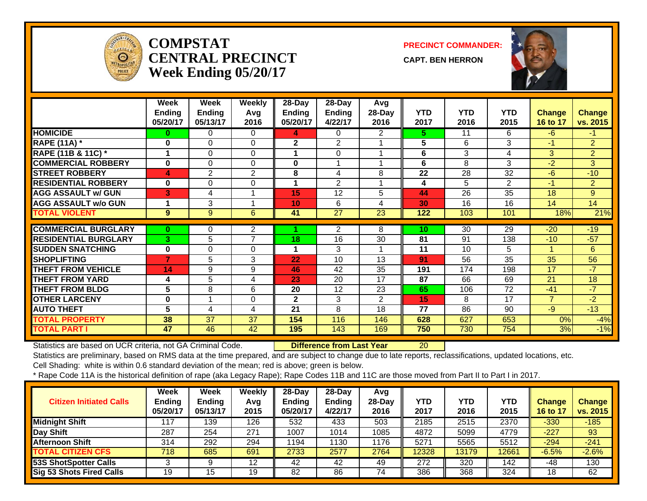

#### **COMPSTATCENTRAL PRECINCTWeek Ending 05/20/17**

**PRECINCT COMMANDER:**

**CAPT. BEN HERRON**



|                             | Week<br><b>Ending</b><br>05/20/17 | Week<br>Ending<br>05/13/17 | <b>Weekly</b><br>Avg<br>2016 | 28-Day<br><b>Ending</b><br>05/20/17 | 28-Day<br><b>Ending</b><br>4/22/17 | Avg<br>28-Day<br>2016 | <b>YTD</b><br>2017 | <b>YTD</b><br>2016 | <b>YTD</b><br>2015 | <b>Change</b><br>16 to 17 | <b>Change</b><br>vs. 2015 |
|-----------------------------|-----------------------------------|----------------------------|------------------------------|-------------------------------------|------------------------------------|-----------------------|--------------------|--------------------|--------------------|---------------------------|---------------------------|
| <b>HOMICIDE</b>             | 0                                 | 0                          | 0                            | 4                                   | 0                                  | 2                     | 5.                 | 11                 | 6                  | $-6$                      | $-1$                      |
| <b>RAPE (11A) *</b>         | 0                                 | $\Omega$                   | 0                            | $\mathbf 2$                         | $\overline{2}$                     |                       | 5                  | 6                  | 3                  | $-1$                      | $\overline{2}$            |
| RAPE (11B & 11C) *          |                                   | 0                          | 0                            |                                     | 0                                  |                       | 6                  | 3                  | 4                  | 3                         | $\overline{2}$            |
| <b>COMMERCIAL ROBBERY</b>   | $\bf{0}$                          | $\Omega$                   | $\Omega$                     | 0                                   | $\overline{A}$                     |                       | 6                  | 8                  | 3                  | $-2$                      | 3                         |
| <b>STREET ROBBERY</b>       | 4                                 | 2                          | $\overline{2}$               | 8                                   | 4                                  | 8                     | 22                 | $\overline{28}$    | $\overline{32}$    | $-6$                      | $-10$                     |
| <b>RESIDENTIAL ROBBERY</b>  | $\bf{0}$                          | 0                          | 0                            |                                     | $\overline{2}$                     |                       | 4                  | 5                  | $\overline{2}$     | $-1$                      | $\overline{2}$            |
| <b>AGG ASSAULT w/ GUN</b>   | 3                                 | 4                          |                              | 15                                  | 12                                 | 5                     | 44                 | 26                 | 35                 | 18                        | $9^{\circ}$               |
| <b>AGG ASSAULT w/o GUN</b>  |                                   | 3                          |                              | 10                                  | 6                                  | 4                     | 30                 | 16                 | 16                 | 14                        | 14                        |
| <b>TOTAL VIOLENT</b>        | 9                                 | 9                          | 6                            | 41                                  | $\overline{27}$                    | 23                    | $122$              | 103                | 101                | 18%                       | 21%                       |
|                             |                                   |                            |                              |                                     |                                    |                       |                    |                    |                    |                           |                           |
| <b>COMMERCIAL BURGLARY</b>  | $\mathbf{0}$                      | 0                          | 2<br>$\overline{7}$          |                                     | 2                                  | 8                     | 10                 | 30                 | 29                 | $-20$                     | $-19$                     |
| <b>RESIDENTIAL BURGLARY</b> | 3                                 | 5                          |                              | 18                                  | 16                                 | 30                    | 81                 | 91                 | 138                | $-10$                     | $-57$                     |
| <b>SUDDEN SNATCHING</b>     | $\bf{0}$                          | 0                          | 0                            |                                     | 3                                  |                       | 11                 | 10                 | 5                  |                           | 6                         |
| <b>SHOPLIFTING</b>          | 7                                 | 5                          | 3                            | 22                                  | 10                                 | 13                    | 91                 | 56                 | 35                 | 35                        | 56                        |
| <b>THEFT FROM VEHICLE</b>   | 14                                | 9                          | 9                            | 46                                  | 42                                 | 35                    | 191                | 174                | 198                | 17                        | $-7$                      |
| <b>THEFT FROM YARD</b>      | 4                                 | 5                          | 4                            | 23                                  | 20                                 | 17                    | 87                 | 66                 | 69                 | 21                        | 18                        |
| <b>THEFT FROM BLDG</b>      | 5                                 | 8                          | 6                            | 20                                  | 12                                 | 23                    | 65                 | 106                | 72                 | $-41$                     | $-7$                      |
| <b>OTHER LARCENY</b>        | 0                                 |                            | $\Omega$                     | $\mathbf{2}$                        | 3                                  | 2                     | 15                 | 8                  | 17                 | $\overline{7}$            | $-2$                      |
| <b>AUTO THEFT</b>           | 5                                 | 4                          | 4                            | 21                                  | 8                                  | 18                    | 77                 | 86                 | 90                 | $-9$                      | $-13$                     |
| <b>TOTAL PROPERTY</b>       | 38                                | 37                         | 37                           | 154                                 | 116                                | 146                   | 628                | 627                | 653                | 0%                        | $-4%$                     |
| <b>TOTAL PART I</b>         | 47                                | 46                         | 42                           | 195                                 | 143                                | 169                   | 750                | 730                | 754                | 3%                        | $-1%$                     |

Statistics are based on UCR criteria, not GA Criminal Code. **Difference from Last Year** 20

Statistics are preliminary, based on RMS data at the time prepared, and are subject to change due to late reports, reclassifications, updated locations, etc.

Cell Shading: white is within 0.6 standard deviation of the mean; red is above; green is below.

| <b>Citizen Initiated Calls</b>  | Week<br>Ending<br>05/20/17 | <b>Week</b><br><b>Ending</b><br>05/13/17 | Weekly<br>Avg<br>2015 | $28-Dav$<br><b>Ending</b><br>05/20/17 | 28-Day<br><b>Ending</b><br>4/22/17 | Avg<br>$28$ -Day<br>2016 | YTD<br>2017 | YTD<br>2016 | <b>YTD</b><br>2015 | <b>Change</b><br>16 to 17 | <b>Change</b><br>vs. 2015 |
|---------------------------------|----------------------------|------------------------------------------|-----------------------|---------------------------------------|------------------------------------|--------------------------|-------------|-------------|--------------------|---------------------------|---------------------------|
| <b>Midnight Shift</b>           | 117                        | 39                                       | 126                   | 532                                   | 433                                | 503                      | 2185        | 2515        | 2370               | $-330$                    | $-185$                    |
| Day Shift                       | 287                        | 254                                      | 271                   | 1007                                  | 1014                               | 1085                     | 4872        | 5099        | 4779               | $-227$                    | 93                        |
| <b>Afternoon Shift</b>          | 314                        | 292                                      | 294                   | 1194                                  | 1130                               | 1176                     | 5271        | 5565        | 5512               | $-294$                    | $-241$                    |
| <b>TOTAL CITIZEN CFS</b>        | 718                        | 685                                      | 691                   | 2733                                  | 2577                               | 2764                     | 12328       | 13179       | 12661              | $-6.5%$                   | $-2.6%$                   |
| <b>53S ShotSpotter Calls</b>    |                            |                                          | 12                    | 42                                    | 42                                 | 49                       | 272         | 320         | 142                | -48                       | 130                       |
| <b>Sig 53 Shots Fired Calls</b> | 19                         | 15                                       | 19                    | 82                                    | $\overline{86}$                    | 74                       | 386         | 368         | 324                | 18                        | 62                        |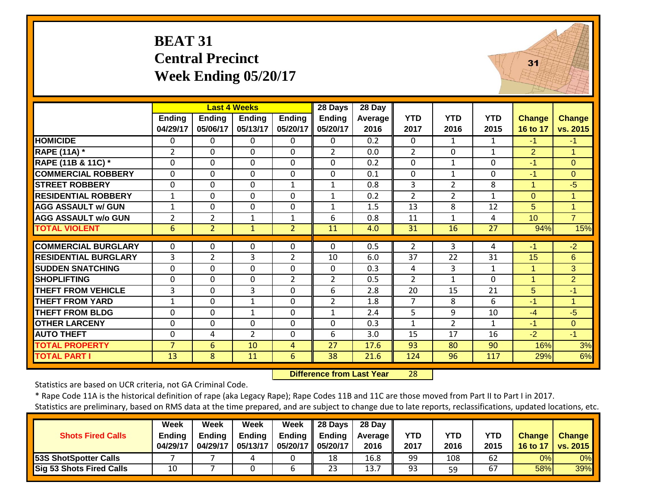## **BEAT 31 Central Precinct Week Ending 05/20/17**

|                             |                    |                           | <b>Last 4 Weeks</b>       |                           | 28 Days                   | 28 Day          |                    |                    |                    |                           |                           |
|-----------------------------|--------------------|---------------------------|---------------------------|---------------------------|---------------------------|-----------------|--------------------|--------------------|--------------------|---------------------------|---------------------------|
|                             | Ending<br>04/29/17 | <b>Ending</b><br>05/06/17 | <b>Ending</b><br>05/13/17 | <b>Ending</b><br>05/20/17 | <b>Ending</b><br>05/20/17 | Average<br>2016 | <b>YTD</b><br>2017 | <b>YTD</b><br>2016 | <b>YTD</b><br>2015 | <b>Change</b><br>16 to 17 | <b>Change</b><br>vs. 2015 |
| <b>HOMICIDE</b>             | 0                  | 0                         | 0                         | 0                         | 0                         | 0.2             | $\mathbf{0}$       | $\mathbf{1}$       | 1                  | $-1$                      | $-1$                      |
| <b>RAPE (11A) *</b>         | $\overline{2}$     | $\mathbf 0$               | $\mathbf 0$               | $\mathbf 0$               | $\overline{2}$            | 0.0             | $\overline{2}$     | 0                  | $\mathbf{1}$       | $\overline{2}$            | 1                         |
| RAPE (11B & 11C) *          | $\mathbf 0$        | $\mathbf 0$               | $\mathbf 0$               | $\mathbf 0$               | 0                         | 0.2             | $\mathbf{0}$       | $\mathbf{1}$       | $\mathbf 0$        | $-1$                      | $\overline{O}$            |
| <b>COMMERCIAL ROBBERY</b>   | $\mathbf 0$        | 0                         | $\mathbf 0$               | $\mathbf 0$               | 0                         | 0.1             | $\Omega$           | $\mathbf{1}$       | $\Omega$           | $-1$                      | $\overline{0}$            |
| <b>STREET ROBBERY</b>       | 0                  | $\Omega$                  | 0                         | $\mathbf{1}$              | 1                         | 0.8             | 3                  | $\overline{2}$     | 8                  | 1                         | $-5$                      |
| <b>RESIDENTIAL ROBBERY</b>  | $\mathbf{1}$       | $\mathbf 0$               | $\mathbf 0$               | $\mathbf 0$               | 1                         | 0.2             | $\overline{2}$     | $\overline{2}$     | $\mathbf{1}$       | $\Omega$                  | 1                         |
| <b>AGG ASSAULT w/ GUN</b>   | 1                  | $\Omega$                  | $\Omega$                  | 0                         | 1                         | 1.5             | 13                 | 8                  | 12                 | 5.                        | 1                         |
| <b>AGG ASSAULT w/o GUN</b>  | 2                  | 2                         | 1                         | $\mathbf{1}$              | 6                         | 0.8             | 11                 | 1                  | 4                  | 10                        | $\overline{7}$            |
| <b>TOTAL VIOLENT</b>        | $6\phantom{1}$     | $\overline{2}$            | $\mathbf{1}$              | $\overline{2}$            | 11                        | 4.0             | 31                 | 16                 | 27                 | 94%                       | 15%                       |
| <b>COMMERCIAL BURGLARY</b>  | 0                  | $\Omega$                  | $\Omega$                  | $\Omega$                  | 0                         | 0.5             | $\overline{2}$     | 3                  | 4                  | -1                        | $-2$                      |
| <b>RESIDENTIAL BURGLARY</b> | 3                  | $\overline{2}$            | 3                         | $\overline{2}$            | 10                        | 6.0             | 37                 | 22                 | 31                 | 15                        | $6\phantom{1}$            |
| <b>SUDDEN SNATCHING</b>     | $\overline{0}$     | 0                         | $\mathbf 0$               | $\mathbf 0$               | $\mathbf 0$               | 0.3             | 4                  | 3                  | $\mathbf{1}$       | 1                         | 3                         |
| <b>SHOPLIFTING</b>          | $\overline{0}$     | $\Omega$                  | $\mathbf 0$               | $\overline{2}$            | $\overline{2}$            | 0.5             | $\overline{2}$     | $\mathbf{1}$       | $\Omega$           | 1                         | $\overline{2}$            |
| THEFT FROM VEHICLE          | 3                  | $\Omega$                  | 3                         | $\Omega$                  | 6                         | 2.8             | 20                 | 15                 | 21                 | 5 <sup>5</sup>            | $-1$                      |
| THEFT FROM YARD             | $\mathbf{1}$       | 0                         | 1                         | $\mathbf 0$               | $\overline{2}$            | 1.8             | 7                  | 8                  | 6                  | $-1$                      | $\mathbf 1$               |
| <b>THEFT FROM BLDG</b>      | $\Omega$           | $\Omega$                  | $\mathbf{1}$              | 0                         | $\mathbf{1}$              | 2.4             | 5                  | 9                  | 10                 | $-4$                      | $-5$                      |
| <b>OTHER LARCENY</b>        | 0                  | $\Omega$                  | 0                         | 0                         | 0                         | 0.3             | 1                  | $\overline{2}$     | $\mathbf{1}$       | $-1$                      | $\overline{0}$            |
| <b>AUTO THEFT</b>           | $\mathbf 0$        | 4                         | $\overline{2}$            | $\mathbf 0$               | 6                         | 3.0             | 15                 | 17                 | 16                 | $-2$                      | $-1$                      |
| <b>TOTAL PROPERTY</b>       | $\overline{7}$     | 6                         | 10                        | $\overline{4}$            | 27                        | 17.6            | 93                 | 80                 | 90                 | 16%                       | 3%                        |
| <b>TOTAL PART I</b>         | 13                 | 8                         | 11                        | 6                         | 38                        | 21.6            | 124                | 96                 | 117                | 29%                       | 6%                        |

 **Difference from Last Year**28  $31$ 

Statistics are based on UCR criteria, not GA Criminal Code.

\* Rape Code 11A is the historical definition of rape (aka Legacy Rape); Rape Codes 11B and 11C are those moved from Part II to Part I in 2017.

|                              | <b>Week</b>   | Week     | Week          | <b>Week</b>   | 28 Days  | 28 Day            |            |            |      |                 |                 |
|------------------------------|---------------|----------|---------------|---------------|----------|-------------------|------------|------------|------|-----------------|-----------------|
| <b>Shots Fired Calls</b>     | <b>Ending</b> | Endina   | <b>Ending</b> | <b>Ending</b> | Ending   | <b>Average</b> II | <b>YTD</b> | <b>YTD</b> | YTD  | <b>Change</b>   | <b>Change</b>   |
|                              | 04/29/17      | 04/29/17 | 05/13/17      | 05/20/17      | 05/20/17 | 2016              | 2017       | 2016       | 2015 | <b>16 to 17</b> | <b>vs. 2015</b> |
| <b>53S ShotSpotter Calls</b> |               |          | 4             |               | 18       | 16.8              | 99         | 108        | 62   | 0%l             | 0%              |
| Sig 53 Shots Fired Calls     | 10            |          |               |               | 23       | 13.7              | 93         | 59         | 67   | 58%             | 39%             |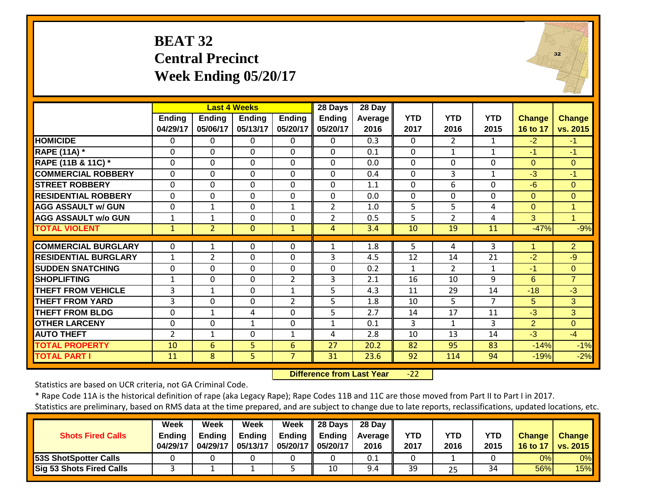## **BEAT 32 Central Precinct Week Ending 05/20/17**

|                             |                           |                           | <b>Last 4 Weeks</b>       |                           | 28 Days                   | 28 Day          |                    |                    |                    |                           |                           |
|-----------------------------|---------------------------|---------------------------|---------------------------|---------------------------|---------------------------|-----------------|--------------------|--------------------|--------------------|---------------------------|---------------------------|
|                             | <b>Ending</b><br>04/29/17 | <b>Ending</b><br>05/06/17 | <b>Ending</b><br>05/13/17 | <b>Ending</b><br>05/20/17 | <b>Ending</b><br>05/20/17 | Average<br>2016 | <b>YTD</b><br>2017 | <b>YTD</b><br>2016 | <b>YTD</b><br>2015 | <b>Change</b><br>16 to 17 | <b>Change</b><br>vs. 2015 |
| <b>HOMICIDE</b>             | 0                         | 0                         | 0                         | 0                         | $\Omega$                  | 0.3             | $\Omega$           | $\overline{2}$     | $\mathbf{1}$       | $-2$                      | $-1$                      |
| <b>RAPE (11A) *</b>         | 0                         | $\Omega$                  | $\Omega$                  | $\mathbf{0}$              | $\Omega$                  | 0.1             | $\Omega$           | $\mathbf{1}$       | 1                  | $-1$                      | $-1$                      |
| RAPE (11B & 11C) *          | $\mathbf 0$               | $\Omega$                  | $\Omega$                  | $\mathbf 0$               | $\Omega$                  | 0.0             | $\mathbf 0$        | $\mathbf 0$        | $\Omega$           | $\overline{0}$            | $\overline{0}$            |
| <b>COMMERCIAL ROBBERY</b>   | $\mathbf{0}$              | $\Omega$                  | $\Omega$                  | $\Omega$                  | $\Omega$                  | 0.4             | $\mathbf{0}$       | 3                  | $\mathbf{1}$       | $-3$                      | $-1$                      |
| <b>STREET ROBBERY</b>       | $\mathbf 0$               | $\Omega$                  | $\Omega$                  | $\mathbf 0$               | $\Omega$                  | 1.1             | $\mathbf{0}$       | 6                  | $\Omega$           | $-6$                      | $\Omega$                  |
| <b>RESIDENTIAL ROBBERY</b>  | $\mathbf 0$               | $\mathbf 0$               | $\Omega$                  | $\mathbf 0$               | $\mathbf 0$               | 0.0             | $\mathbf 0$        | $\mathbf 0$        | $\Omega$           | $\Omega$                  | $\Omega$                  |
| <b>AGG ASSAULT w/ GUN</b>   | 0                         | $\mathbf{1}$              | $\mathbf 0$               | $\mathbf{1}$              | $\overline{2}$            | 1.0             | 5                  | 5                  | 4                  | $\overline{O}$            | $\overline{1}$            |
| <b>AGG ASSAULT w/o GUN</b>  | 1                         | $\mathbf{1}$              | $\Omega$                  | 0                         | $\overline{2}$            | 0.5             | 5                  | $\overline{2}$     | 4                  | 3                         | $\mathbf{1}$              |
| <b>TOTAL VIOLENT</b>        | $\mathbf{1}$              | $\overline{2}$            | $\Omega$                  | $\mathbf{1}$              | 4                         | 3.4             | 10                 | 19                 | 11                 | $-47%$                    | $-9%$                     |
|                             |                           |                           |                           |                           |                           |                 |                    |                    |                    |                           |                           |
| <b>COMMERCIAL BURGLARY</b>  | 0                         | $\mathbf{1}$              | $\Omega$                  | 0                         | $\mathbf{1}$              | 1.8             | 5                  | 4                  | 3                  |                           | $\overline{2}$            |
| <b>RESIDENTIAL BURGLARY</b> | 1                         | $\overline{2}$            | $\mathbf 0$               | $\Omega$                  | 3                         | 4.5             | 12                 | 14                 | 21                 | $-2$                      | $-9$                      |
| <b>SUDDEN SNATCHING</b>     | 0                         | $\Omega$                  | $\Omega$                  | $\Omega$                  | $\Omega$                  | 0.2             | $\mathbf{1}$       | $\overline{2}$     | 1                  | $-1$                      | $\Omega$                  |
| <b>SHOPLIFTING</b>          | 1                         | $\Omega$                  | $\Omega$                  | $\overline{2}$            | 3                         | 2.1             | 16                 | 10                 | 9                  | 6                         | $\overline{7}$            |
| THEFT FROM VEHICLE          | 3                         | 1                         | $\Omega$                  | $\mathbf{1}$              | 5                         | 4.3             | 11                 | 29                 | 14                 | $-18$                     | $-3$                      |
| <b>THEFT FROM YARD</b>      | 3                         | 0                         | $\Omega$                  | $\overline{2}$            | 5                         | 1.8             | 10                 | 5.                 | $\overline{7}$     | 5                         | 3                         |
| <b>THEFT FROM BLDG</b>      | $\mathbf 0$               | $\mathbf{1}$              | 4                         | $\mathbf{0}$              | 5                         | 2.7             | 14                 | 17                 | 11                 | $-3$                      | 3                         |
| <b>OTHER LARCENY</b>        | 0                         | $\mathbf 0$               | $\mathbf{1}$              | $\mathbf 0$               | $\mathbf{1}$              | 0.1             | $\overline{3}$     | $\mathbf{1}$       | 3                  | $\overline{2}$            | $\overline{0}$            |
| <b>AUTO THEFT</b>           | $\overline{2}$            | $\mathbf{1}$              | $\mathbf 0$               | $\mathbf{1}$              | 4                         | 2.8             | 10                 | 13                 | 14                 | $-3$                      | $-4$                      |
| <b>TOTAL PROPERTY</b>       | 10                        | 6                         | 5                         | $6\phantom{1}$            | 27                        | 20.2            | 82                 | 95                 | 83                 | $-14%$                    | $-1%$                     |
| <b>TOTAL PART I</b>         | 11                        | 8                         | 5                         | $\overline{7}$            | 31                        | 23.6            | 92                 | 114                | 94                 | $-19%$                    | $-2%$                     |

 **Difference from Last Year** $-22$ 

Statistics are based on UCR criteria, not GA Criminal Code.

\* Rape Code 11A is the historical definition of rape (aka Legacy Rape); Rape Codes 11B and 11C are those moved from Part II to Part I in 2017.

Statistics are preliminary, based on RMS data at the time prepared, and are subject to change due to late reports, reclassifications, updated locations, etc.

|                                 | Week          | Week          | Week          | Week                | 28 Davs | 28 Day            |            |      |            |               |                 |
|---------------------------------|---------------|---------------|---------------|---------------------|---------|-------------------|------------|------|------------|---------------|-----------------|
| <b>Shots Fired Calls</b>        | <b>Endina</b> | <b>Ending</b> | <b>Ending</b> | Endina              | Ending  | <b>Average</b> II | <b>YTD</b> | YTD  | <b>YTD</b> | <b>Change</b> | <b>Change</b>   |
|                                 | 04/29/17      | 04/29/17      | 05/13/17      | 05/20/17   05/20/17 |         | 2016              | 2017       | 2016 | 2015       | 16 to 17      | <b>vs. 2015</b> |
| <b>53S ShotSpotter Calls</b>    |               |               |               |                     |         | 0.1               |            |      |            | 0%            | 0%              |
| <b>Sig 53 Shots Fired Calls</b> |               |               |               |                     | 10      | 9.4               | 39         | 25   | 34         | 56%           | 15%             |

 $32$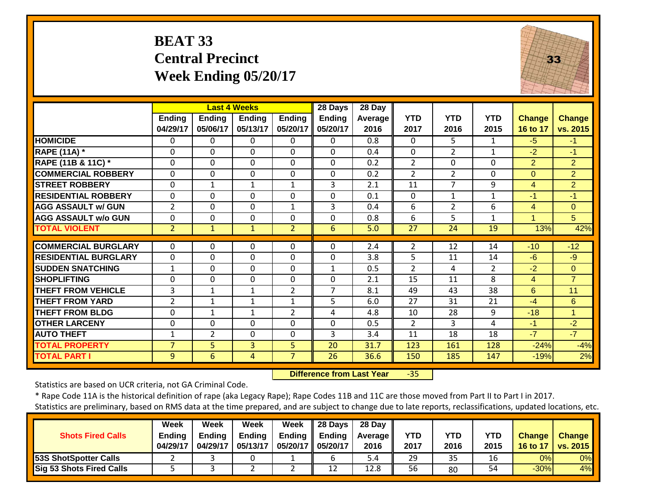## **BEAT 33 Central Precinct Week Ending 05/20/17**



|                             |                           |                           | <b>Last 4 Weeks</b>       |                           | 28 Days                   | 28 Day          |                    |                    |                    |                           |                           |
|-----------------------------|---------------------------|---------------------------|---------------------------|---------------------------|---------------------------|-----------------|--------------------|--------------------|--------------------|---------------------------|---------------------------|
|                             | <b>Ending</b><br>04/29/17 | <b>Ending</b><br>05/06/17 | <b>Ending</b><br>05/13/17 | <b>Ending</b><br>05/20/17 | <b>Ending</b><br>05/20/17 | Average<br>2016 | <b>YTD</b><br>2017 | <b>YTD</b><br>2016 | <b>YTD</b><br>2015 | <b>Change</b><br>16 to 17 | <b>Change</b><br>vs. 2015 |
| <b>HOMICIDE</b>             | 0                         | $\Omega$                  | $\Omega$                  | $\Omega$                  | $\Omega$                  | 0.8             | $\Omega$           | 5                  | $\mathbf{1}$       | $-5$                      | $-1$                      |
| <b>RAPE (11A)</b> *         | 0                         | $\Omega$                  | $\Omega$                  | $\Omega$                  | $\Omega$                  | 0.4             | $\mathbf 0$        | $\overline{2}$     | $\mathbf{1}$       | $-2$                      | $-1$                      |
| RAPE (11B & 11C) *          | 0                         | $\Omega$                  | $\Omega$                  | $\mathbf 0$               | $\mathbf 0$               | 0.2             | $\overline{2}$     | $\mathbf{0}$       | $\Omega$           | $\overline{2}$            | $\overline{2}$            |
| <b>COMMERCIAL ROBBERY</b>   | $\Omega$                  | 0                         | $\Omega$                  | $\mathbf{0}$              | 0                         | 0.2             | $\overline{2}$     | $\overline{2}$     | $\Omega$           | $\Omega$                  | $\overline{2}$            |
| <b>STREET ROBBERY</b>       | $\mathbf 0$               | $\mathbf 1$               | $\mathbf{1}$              | $\mathbf{1}$              | 3                         | 2.1             | 11                 | $\overline{7}$     | 9                  | 4                         | $\overline{2}$            |
| <b>RESIDENTIAL ROBBERY</b>  | $\Omega$                  | $\Omega$                  | $\Omega$                  | $\Omega$                  | 0                         | 0.1             | $\Omega$           | 1                  | 1                  | $-1$                      | $-1$                      |
| <b>AGG ASSAULT w/ GUN</b>   | $\overline{2}$            | 0                         | $\Omega$                  | $\mathbf{1}$              | $\overline{3}$            | 0.4             | 6                  | $\overline{2}$     | 6                  | 4                         | $\mathbf{0}$              |
| <b>AGG ASSAULT w/o GUN</b>  | 0                         | 0                         | 0                         | $\Omega$                  | $\Omega$                  | 0.8             | 6                  | 5                  | $\mathbf{1}$       | 1                         | 5 <sup>5</sup>            |
| <b>TOTAL VIOLENT</b>        | $\overline{2}$            | 1                         | $\mathbf{1}$              | $\overline{2}$            | 6                         | 5.0             | 27                 | 24                 | 19                 | 13%                       | 42%                       |
| <b>COMMERCIAL BURGLARY</b>  | $\Omega$                  | 0                         | $\Omega$                  | 0                         | $\Omega$                  | 2.4             | $\overline{2}$     | 12                 | 14                 | $-10$                     | $-12$                     |
| <b>RESIDENTIAL BURGLARY</b> | $\mathbf 0$               | $\Omega$                  | $\mathbf{0}$              | $\Omega$                  | $\mathbf 0$               | 3.8             | 5                  | 11                 | 14                 | $-6$                      | $-9$                      |
| <b>SUDDEN SNATCHING</b>     | $\mathbf 1$               | 0                         | $\Omega$                  | $\Omega$                  | $\mathbf{1}$              | 0.5             | 2                  | 4                  | 2                  | $-2$                      | $\Omega$                  |
| <b>SHOPLIFTING</b>          | 0                         | $\Omega$                  | $\mathbf{0}$              | $\Omega$                  | 0                         | 2.1             | 15                 | 11                 | 8                  | 4                         | $\overline{7}$            |
| <b>THEFT FROM VEHICLE</b>   | 3                         | 1                         | 1                         | $\overline{2}$            | $\overline{7}$            | 8.1             | 49                 | 43                 | 38                 | 6                         | 11                        |
| <b>THEFT FROM YARD</b>      | $\overline{2}$            | $\mathbf{1}$              | $\mathbf{1}$              | 1                         | 5                         | 6.0             | 27                 | 31                 | 21                 | $-4$                      | 6                         |
| <b>THEFT FROM BLDG</b>      | 0                         | $\mathbf{1}$              | 1                         | 2                         | 4                         | 4.8             | 10                 | 28                 | 9                  | $-18$                     | $\mathbf{1}$              |
| <b>OTHER LARCENY</b>        | 0                         | $\Omega$                  | $\Omega$                  | $\Omega$                  | 0                         | 0.5             | $\overline{2}$     | 3                  | 4                  | $-1$                      | $-2$                      |
| <b>AUTO THEFT</b>           | $\mathbf{1}$              | $\overline{2}$            | $\Omega$                  | 0                         | 3                         | 3.4             | 11                 | 18                 | 18                 | $-7$                      | $-7$                      |
| <b>TOTAL PROPERTY</b>       | $\overline{7}$            | 5                         | 3                         | 5 <sup>1</sup>            | 20                        | 31.7            | 123                | 161                | 128                | $-24%$                    | $-4%$                     |
| <b>TOTAL PART I</b>         | 9                         | $6\phantom{1}$            | 4                         | $\overline{7}$            | 26                        | 36.6            | 150                | 185                | 147                | $-19%$                    | 2%                        |

 **Difference from Last Year** $-35$ 

Statistics are based on UCR criteria, not GA Criminal Code.

|                                 | Grandier of the minimary, based on Kivis data at the time prepared, and are subject to change due to face reports, reclassifications, updated locations, etc. |               |               |                      |                           |                   |      |      |            |               |                 |  |  |
|---------------------------------|---------------------------------------------------------------------------------------------------------------------------------------------------------------|---------------|---------------|----------------------|---------------------------|-------------------|------|------|------------|---------------|-----------------|--|--|
|                                 | Week                                                                                                                                                          | Week          | Week          | Week                 | <b>28 Days</b>            | 28 Dav            |      |      |            |               |                 |  |  |
| <b>Shots Fired Calls</b>        | Ending                                                                                                                                                        | <b>Ending</b> | <b>Ending</b> |                      | Ending $\parallel$ Ending | <b>Average II</b> | YTD  | YTD  | <b>YTD</b> | <b>Change</b> | <b>Change</b>   |  |  |
|                                 | 04/29/17                                                                                                                                                      | 04/29/17      | 05/13/17      | 05/20/17    05/20/17 |                           | 2016              | 2017 | 2016 | 2015       | 16 to 17      | <b>vs. 2015</b> |  |  |
| <b>53S ShotSpotter Calls</b>    |                                                                                                                                                               |               |               |                      |                           | 5.4               | 29   | 35   | 16         | 0%l           | 0%              |  |  |
| <b>Sig 53 Shots Fired Calls</b> |                                                                                                                                                               |               |               |                      | 12                        | 12.8              | 56   | 80   | 54         | $-30%$        | 4%              |  |  |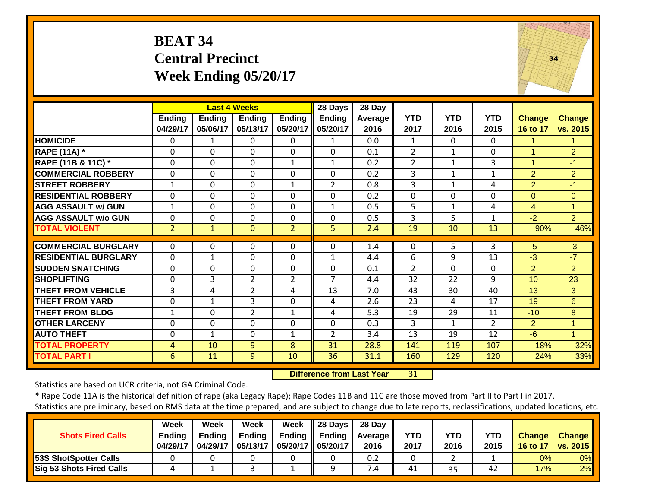## **BEAT 34 Central Precinct Week Ending 05/20/17**



|                             |                    | <b>Last 4 Weeks</b>       |                    |                    | 28 Days                   | 28 Day          |                    |                    |                    |                           |                           |
|-----------------------------|--------------------|---------------------------|--------------------|--------------------|---------------------------|-----------------|--------------------|--------------------|--------------------|---------------------------|---------------------------|
|                             | Ending<br>04/29/17 | <b>Ending</b><br>05/06/17 | Ending<br>05/13/17 | Ending<br>05/20/17 | <b>Ending</b><br>05/20/17 | Average<br>2016 | <b>YTD</b><br>2017 | <b>YTD</b><br>2016 | <b>YTD</b><br>2015 | <b>Change</b><br>16 to 17 | <b>Change</b><br>vs. 2015 |
| <b>HOMICIDE</b>             | 0                  | 1                         | 0                  | 0                  | $\mathbf{1}$              | 0.0             | $\mathbf{1}$       | $\mathbf{0}$       | $\Omega$           | 1                         | 1.                        |
| <b>RAPE (11A)</b> *         | $\Omega$           | $\Omega$                  | $\Omega$           | $\Omega$           | $\mathbf 0$               | 0.1             | $\overline{2}$     | $\mathbf{1}$       | $\mathbf 0$        | 1                         | $\overline{2}$            |
| RAPE (11B & 11C) *          | 0                  | $\Omega$                  | $\mathbf{0}$       | $\mathbf{1}$       | $\mathbf{1}$              | 0.2             | $\overline{2}$     | $\mathbf{1}$       | 3                  | 1                         | $-1$                      |
| <b>COMMERCIAL ROBBERY</b>   | $\mathbf 0$        | $\mathbf 0$               | $\mathbf{0}$       | $\Omega$           | $\mathbf 0$               | 0.2             | 3                  | $\mathbf{1}$       | $\mathbf 1$        | $\overline{2}$            | $\overline{2}$            |
| <b>STREET ROBBERY</b>       | 1                  | $\mathbf 0$               | $\mathbf{0}$       | $\mathbf{1}$       | $\overline{2}$            | 0.8             | 3                  | $\mathbf{1}$       | 4                  | $\overline{2}$            | $-1$                      |
| <b>RESIDENTIAL ROBBERY</b>  | $\mathbf 0$        | $\Omega$                  | $\mathbf 0$        | $\Omega$           | $\mathbf 0$               | 0.2             | $\mathbf 0$        | 0                  | $\Omega$           | $\mathbf{0}$              | $\overline{0}$            |
| <b>AGG ASSAULT w/ GUN</b>   | $\mathbf{1}$       | $\mathbf 0$               | $\mathbf{0}$       | 0                  | $\mathbf{1}$              | 0.5             | 5                  | $\mathbf{1}$       | 4                  | $\overline{4}$            | $\overline{1}$            |
| <b>AGG ASSAULT w/o GUN</b>  | $\mathbf 0$        | 0                         | $\mathbf{0}$       | 0                  | $\mathbf 0$               | 0.5             | 3                  | 5                  | $\mathbf{1}$       | $-2$                      | $\overline{2}$            |
| <b>TOTAL VIOLENT</b>        | $\overline{2}$     | $\mathbf{1}$              | $\mathbf{0}$       | $\overline{2}$     | 5                         | 2.4             | 19                 | 10                 | 13                 | 90%                       | 46%                       |
| <b>COMMERCIAL BURGLARY</b>  |                    | 0                         |                    | 0                  | $\Omega$                  |                 |                    | 5                  | 3                  |                           | $\overline{3}$            |
|                             | 0                  |                           | 0                  |                    |                           | 1.4             | 0                  |                    |                    | $-5$                      |                           |
| <b>RESIDENTIAL BURGLARY</b> | $\Omega$           | $\mathbf{1}$              | $\Omega$           | $\Omega$           | $\mathbf{1}$              | 4.4             | 6                  | 9                  | 13                 | $-3$                      | $-7$                      |
| <b>SUDDEN SNATCHING</b>     | $\Omega$           | $\Omega$                  | $\Omega$           | $\Omega$           | $\Omega$                  | 0.1             | $\overline{2}$     | $\Omega$           | $\Omega$           | 2                         | $\overline{2}$            |
| <b>SHOPLIFTING</b>          | 0                  | 3                         | $\overline{2}$     | $\overline{2}$     | $\overline{7}$            | 4.4             | 32                 | 22                 | 9                  | 10 <sup>°</sup>           | 23                        |
| <b>THEFT FROM VEHICLE</b>   | 3                  | 4                         | $\overline{2}$     | 4                  | 13                        | 7.0             | 43                 | 30                 | 40                 | 13                        | 3                         |
| <b>THEFT FROM YARD</b>      | 0                  | $\mathbf{1}$              | 3                  | $\Omega$           | 4                         | 2.6             | 23                 | 4                  | 17                 | 19                        | 6                         |
| <b>THEFT FROM BLDG</b>      | 1                  | $\Omega$                  | $\overline{2}$     | 1                  | 4                         | 5.3             | 19                 | 29                 | 11                 | $-10$                     | 8                         |
| <b>OTHER LARCENY</b>        | $\Omega$           | $\Omega$                  | $\Omega$           | $\Omega$           | 0                         | 0.3             | 3                  | $\mathbf{1}$       | $\overline{2}$     | 2                         | $\mathbf{1}$              |
| <b>AUTO THEFT</b>           | 0                  | $\mathbf{1}$              | $\mathbf{0}$       | $\mathbf{1}$       | $\overline{2}$            | 3.4             | 13                 | 19                 | 12                 | $-6$                      | $\blacktriangleleft$      |
| <b>TOTAL PROPERTY</b>       | 4                  | 10                        | 9                  | 8                  | 31                        | 28.8            | 141                | 119                | 107                | 18%                       | 32%                       |
| <b>TOTAL PART I</b>         | 6                  | 11                        | 9                  | 10                 | 36                        | 31.1            | 160                | 129                | 120                | 24%                       | 33%                       |

 **Difference from Last Year**31

Statistics are based on UCR criteria, not GA Criminal Code.

|                                 | Week          | Week          | Week          | Week     | 28 Days  | 28 Day     |            |      |            |               |                 |
|---------------------------------|---------------|---------------|---------------|----------|----------|------------|------------|------|------------|---------------|-----------------|
| <b>Shots Fired Calls</b>        | <b>Ending</b> | <b>Ending</b> | <b>Ending</b> | Ending   | Ending   | Average II | <b>YTD</b> | YTD  | <b>YTD</b> | <b>Change</b> | <b>Change</b>   |
|                                 | 04/29/17      | 04/29/17      | 05/13/17      | 05/20/17 | 05/20/17 | 2016       | 2017       | 2016 | 2015       | 16 to 17      | <b>vs. 2015</b> |
| <b>53S ShotSpotter Calls</b>    |               |               |               |          |          | 0.2        |            |      |            | 0%            | 0%              |
| <b>Sig 53 Shots Fired Calls</b> |               |               |               |          |          | 7.4        | 41         | 35   | 42         | 17%           | $-2%$           |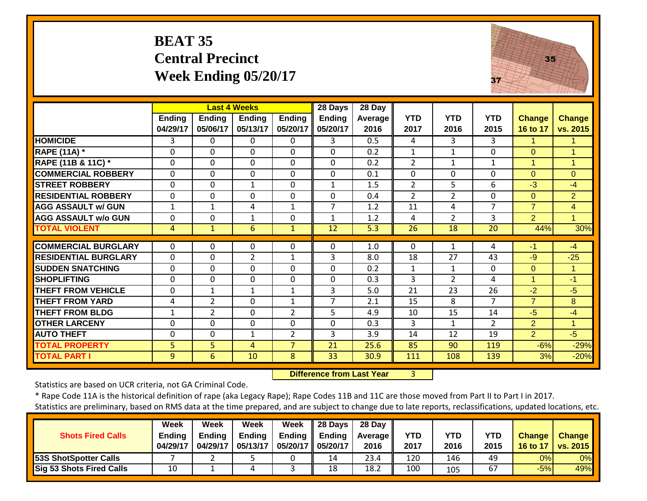## **BEAT 35 Central Precinct Week Ending 05/20/17**



|                             |                           | <b>Last 4 Weeks</b>       |                           |                           | 28 Days                   | 28 Day                 |                    |                    |                    |                           |                           |
|-----------------------------|---------------------------|---------------------------|---------------------------|---------------------------|---------------------------|------------------------|--------------------|--------------------|--------------------|---------------------------|---------------------------|
|                             | <b>Ending</b><br>04/29/17 | <b>Ending</b><br>05/06/17 | <b>Ending</b><br>05/13/17 | <b>Ending</b><br>05/20/17 | <b>Ending</b><br>05/20/17 | <b>Average</b><br>2016 | <b>YTD</b><br>2017 | <b>YTD</b><br>2016 | <b>YTD</b><br>2015 | <b>Change</b><br>16 to 17 | <b>Change</b><br>vs. 2015 |
| <b>HOMICIDE</b>             | 3                         | 0                         | $\Omega$                  | $\Omega$                  | 3                         | 0.5                    | 4                  | 3                  | 3                  | $\mathbf{1}$              | $\mathbf{1}$              |
| <b>RAPE (11A)</b> *         | $\Omega$                  | $\Omega$                  | $\Omega$                  | $\Omega$                  | $\Omega$                  | 0.2                    | $\mathbf{1}$       | $\mathbf{1}$       | $\Omega$           | $\Omega$                  | 1                         |
| RAPE (11B & 11C) *          | 0                         | 0                         | $\Omega$                  | $\Omega$                  | $\Omega$                  | 0.2                    | $\overline{2}$     | $\mathbf{1}$       | $\mathbf{1}$       | $\overline{1}$            | $\mathbf{1}$              |
| <b>COMMERCIAL ROBBERY</b>   | 0                         | 0                         | $\mathbf 0$               | $\Omega$                  | 0                         | 0.1                    | $\Omega$           | $\Omega$           | $\Omega$           | $\Omega$                  | $\Omega$                  |
| <b>STREET ROBBERY</b>       | 0                         | 0                         | 1                         | $\Omega$                  | $\mathbf{1}$              | 1.5                    | $\overline{2}$     | 5                  | 6                  | $-3$                      | $-4$                      |
| <b>RESIDENTIAL ROBBERY</b>  | 0                         | 0                         | 0                         | 0                         | $\Omega$                  | 0.4                    | $\overline{2}$     | $\overline{2}$     | $\Omega$           | $\Omega$                  | $\overline{2}$            |
| <b>AGG ASSAULT w/ GUN</b>   | $\mathbf{1}$              | $\mathbf{1}$              | 4                         | $\mathbf{1}$              | $\overline{7}$            | 1.2                    | 11                 | 4                  | 7                  | $\overline{7}$            | 4                         |
| <b>AGG ASSAULT w/o GUN</b>  | 0                         | 0                         | 1                         | 0                         | 1                         | 1.2                    | 4                  | $\overline{2}$     | 3                  | $\overline{2}$            | 1                         |
| <b>TOTAL VIOLENT</b>        | 4                         | $\mathbf{1}$              | 6                         | $\mathbf{1}$              | 12                        | 5.3                    | 26                 | 18                 | 20                 | 44%                       | 30%                       |
|                             |                           |                           |                           |                           |                           |                        |                    |                    |                    |                           |                           |
| <b>COMMERCIAL BURGLARY</b>  | 0                         | 0                         | 0                         | 0                         | 0                         | 1.0                    | 0                  | 1                  | 4                  | -1                        | $-4$                      |
| <b>RESIDENTIAL BURGLARY</b> | $\mathbf 0$               | 0                         | $\overline{2}$            | $\mathbf{1}$              | 3                         | 8.0                    | 18                 | 27                 | 43                 | $-9$                      | $-25$                     |
| <b>ISUDDEN SNATCHING</b>    | 0                         | 0                         | $\Omega$                  | 0                         | $\Omega$                  | 0.2                    | $\mathbf{1}$       | $\mathbf{1}$       | $\Omega$           | $\Omega$                  | 1                         |
| <b>SHOPLIFTING</b>          | $\Omega$                  | 0                         | $\Omega$                  | $\Omega$                  | $\Omega$                  | 0.3                    | 3                  | 2                  | 4                  | 1                         | $-1$                      |
| <b>THEFT FROM VEHICLE</b>   | $\Omega$                  | $\mathbf{1}$              | 1                         | $\mathbf{1}$              | 3                         | 5.0                    | 21                 | 23                 | 26                 | $-2$                      | $-5$                      |
| <b>THEFT FROM YARD</b>      | 4                         | 2                         | $\Omega$                  | 1                         | 7                         | 2.1                    | 15                 | 8                  | 7                  | $\overline{7}$            | 8                         |
| <b>THEFT FROM BLDG</b>      | $\mathbf 1$               | $\overline{2}$            | $\Omega$                  | $\overline{2}$            | 5                         | 4.9                    | 10                 | 15                 | 14                 | $-5$                      | $-4$                      |
| <b>OTHER LARCENY</b>        | 0                         | $\Omega$                  | $\Omega$                  | 0                         | $\Omega$                  | 0.3                    | 3                  | $\mathbf{1}$       | $\overline{2}$     | 2                         | 1                         |
| <b>AUTO THEFT</b>           | 0                         | 0                         | $\mathbf{1}$              | $\overline{2}$            | 3                         | 3.9                    | 14                 | 12                 | 19                 | $\overline{2}$            | $-5$                      |
| <b>TOTAL PROPERTY</b>       | 5                         | 5                         | 4                         | $\overline{7}$            | 21                        | 25.6                   | 85                 | 90                 | 119                | $-6%$                     | $-29%$                    |
| <b>TOTAL PART I</b>         | 9                         | 6                         | 10                        | 8                         | 33                        | 30.9                   | 111                | 108                | 139                | 3%                        | $-20%$                    |

 **Difference from Last Year**3

Statistics are based on UCR criteria, not GA Criminal Code.

\* Rape Code 11A is the historical definition of rape (aka Legacy Rape); Rape Codes 11B and 11C are those moved from Part II to Part I in 2017.

|                                 | Week          | Week          | Week          | Week                | 28 Days | 28 Day            |            |      |            |               |                     |
|---------------------------------|---------------|---------------|---------------|---------------------|---------|-------------------|------------|------|------------|---------------|---------------------|
| <b>Shots Fired Calls</b>        | <b>Ending</b> | <b>Endina</b> | <b>Ending</b> | Ending              | Ending  | <b>Average</b> II | <b>YTD</b> | YTD  | <b>YTD</b> | <b>Change</b> | <b>Change</b>       |
|                                 | 04/29/17      | 04/29/17      | 05/13/17      | 05/20/17   05/20/17 |         | 2016              | 2017       | 2016 | 2015       |               | 16 to 17   vs. 2015 |
| <b>53S ShotSpotter Calls</b>    |               |               |               |                     | 14      | 23.4              | 120        | 146  | 49         | $0\%$         | 0%                  |
| <b>Sig 53 Shots Fired Calls</b> | 10            |               |               |                     | 18      | 18.2              | 100        | 105  | 67         | $-5%$         | 49%                 |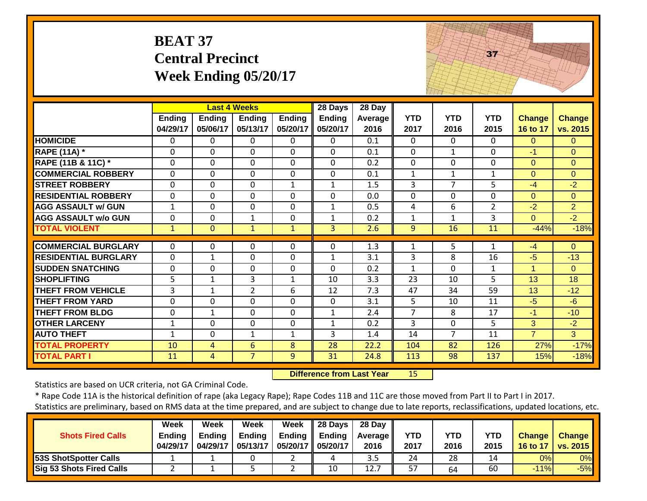|                             | <b>BEAT 37</b>     | <b>Central Precinct</b><br>Week Ending 05/20/17 |                           |                    |                    |                 |                    |                    | 37                 |                           |                           |
|-----------------------------|--------------------|-------------------------------------------------|---------------------------|--------------------|--------------------|-----------------|--------------------|--------------------|--------------------|---------------------------|---------------------------|
|                             |                    |                                                 | <b>Last 4 Weeks</b>       |                    | 28 Days            | 28 Day          |                    |                    |                    |                           |                           |
|                             | Ending<br>04/29/17 | Ending<br>05/06/17                              | <b>Ending</b><br>05/13/17 | Ending<br>05/20/17 | Ending<br>05/20/17 | Average<br>2016 | <b>YTD</b><br>2017 | <b>YTD</b><br>2016 | <b>YTD</b><br>2015 | <b>Change</b><br>16 to 17 | <b>Change</b><br>vs. 2015 |
| <b>HOMICIDE</b>             | $\Omega$           | 0                                               | $\Omega$                  | $\Omega$           | $\Omega$           | 0.1             | $\Omega$           | $\Omega$           | $\Omega$           | $\overline{0}$            | $\mathbf{0}$              |
| <b>RAPE (11A) *</b>         | $\mathbf 0$        | $\mathbf 0$                                     | $\mathbf 0$               | $\Omega$           | $\mathbf{0}$       | 0.1             | $\mathbf{0}$       | $\mathbf{1}$       | $\mathbf 0$        | $-1$                      | $\mathbf{0}$              |
| RAPE (11B & 11C) *          | $\mathbf 0$        | $\overline{0}$                                  | $\mathbf 0$               | $\Omega$           | $\mathbf{0}$       | 0.2             | $\mathbf{0}$       | $\mathbf{0}$       | $\mathbf 0$        | $\Omega$                  | $\mathbf{0}$              |
| <b>COMMERCIAL ROBBERY</b>   | $\Omega$           | 0                                               | $\Omega$                  | $\Omega$           | 0                  | 0.1             | $\mathbf{1}$       | $\mathbf{1}$       | $\mathbf{1}$       | $\overline{0}$            | $\mathbf{0}$              |
| <b>STREET ROBBERY</b>       | $\Omega$           | $\Omega$                                        | $\Omega$                  | $\mathbf{1}$       | $\mathbf{1}$       | 1.5             | $\overline{3}$     | $\overline{7}$     | 5                  | $-4$                      | $-2$                      |
| <b>RESIDENTIAL ROBBERY</b>  | $\Omega$           | $\Omega$                                        | $\Omega$                  | $\Omega$           | $\mathbf 0$        | 0.0             | $\Omega$           | $\mathbf{0}$       | $\Omega$           | $\Omega$                  | $\Omega$                  |
| <b>AGG ASSAULT w/ GUN</b>   | $\mathbf{1}$       | 0                                               | $\mathbf 0$               | $\mathbf 0$        | $\mathbf{1}$       | 0.5             | 4                  | 6                  | $\overline{2}$     | $-2$                      | $\overline{2}$            |
| <b>AGG ASSAULT w/o GUN</b>  | 0                  | 0                                               | $\mathbf{1}$              | $\mathbf 0$        | $\mathbf{1}$       | 0.2             | $\mathbf{1}$       | $\mathbf{1}$       | 3                  | $\Omega$                  | $-2$                      |
| <b>TOTAL VIOLENT</b>        | $\mathbf{1}$       | $\Omega$                                        | $\mathbf{1}$              | $\mathbf{1}$       | $\overline{3}$     | 2.6             | 9                  | 16                 | 11                 | $-44%$                    | $-18%$                    |
| <b>COMMERCIAL BURGLARY</b>  | $\Omega$           | 0                                               | $\Omega$                  | 0                  | 0                  | 1.3             | 1                  | 5.                 | 1                  | $-4$                      | $\Omega$                  |
| <b>RESIDENTIAL BURGLARY</b> | $\mathbf 0$        | 1                                               | $\Omega$                  | $\Omega$           | $\mathbf{1}$       | 3.1             | 3                  | 8                  | 16                 | $-5$                      | $-13$                     |
| <b>SUDDEN SNATCHING</b>     | 0                  | 0                                               | $\Omega$                  | $\Omega$           | $\Omega$           | 0.2             | $\mathbf{1}$       | $\Omega$           | 1                  | 1                         | $\Omega$                  |
| <b>SHOPLIFTING</b>          | 5                  | $\mathbf{1}$                                    | $\overline{3}$            | $\mathbf{1}$       | 10                 | 3.3             | $\overline{23}$    | 10                 | 5                  | 13                        | 18                        |
| <b>THEFT FROM VEHICLE</b>   | 3                  | 1                                               | $\overline{2}$            | 6                  | 12                 | 7.3             | 47                 | 34                 | 59                 | 13                        | $-12$                     |
| <b>THEFT FROM YARD</b>      | $\mathbf 0$        | $\mathbf 0$                                     | $\mathbf 0$               | $\Omega$           | 0                  | 3.1             | 5                  | 10                 | 11                 | $-5$                      | $-6$                      |
| <b>THEFT FROM BLDG</b>      | $\mathbf 0$        | $\mathbf{1}$                                    | $\Omega$                  | $\Omega$           | $\mathbf{1}$       | 2.4             | $\overline{7}$     | 8                  | 17                 | $-1$                      | $-10$                     |
| <b>OTHER LARCENY</b>        | 1                  | 0                                               | $\Omega$                  | $\Omega$           | $\mathbf{1}$       | 0.2             | 3                  | 0                  | 5                  | 3                         | $-2$                      |
| <b>AUTO THEFT</b>           | $\mathbf{1}$       | $\Omega$                                        | $\mathbf{1}$              | $\mathbf{1}$       | 3                  | 1.4             | 14                 | $\overline{7}$     | 11                 | $\overline{7}$            | 3                         |

 **Difference from Last Year**15

**Y** | 10 | 4 | 6 | 8 || 28 | 22.2 || 104 | 82 | 126 | 27%| -17%

 $-17%$ 

15% -18%

Statistics are based on UCR criteria, not GA Criminal Code.

**TOTAL PROPERTY**

**TOTAL PART I**

\* Rape Code 11A is the historical definition of rape (aka Legacy Rape); Rape Codes 11B and 11C are those moved from Part II to Part I in 2017. Statistics are preliminary, based on RMS data at the time prepared, and are subject to change due to late reports, reclassifications, updated locations, etc.

11 4 7 9 31 24.8 113 98 137

|                                 | Week          | Week     | Week          | Week                | 28 Days | 28 Day            |            |      |            |               |               |
|---------------------------------|---------------|----------|---------------|---------------------|---------|-------------------|------------|------|------------|---------------|---------------|
| <b>Shots Fired Calls</b>        | <b>Endina</b> | Endina   | <b>Ending</b> | Ending              | Endina  | <b>Average II</b> | <b>YTD</b> | YTD  | <b>YTD</b> | <b>Change</b> | <b>Change</b> |
|                                 | 04/29/17      | 04/29/17 | 05/13/17      | 05/20/17   05/20/17 |         | 2016              | 2017       | 2016 | 2015       | 16 to 17      | vs. 2015      |
| 53S ShotSpotter Calls           |               |          |               |                     |         | 3.5               | 24         | 28   | 14         | 0%            | 0%            |
| <b>Sig 53 Shots Fired Calls</b> |               |          |               |                     | 10      | 12.7              | 57         | 64   | 60         | $-11%$        | $-5%$         |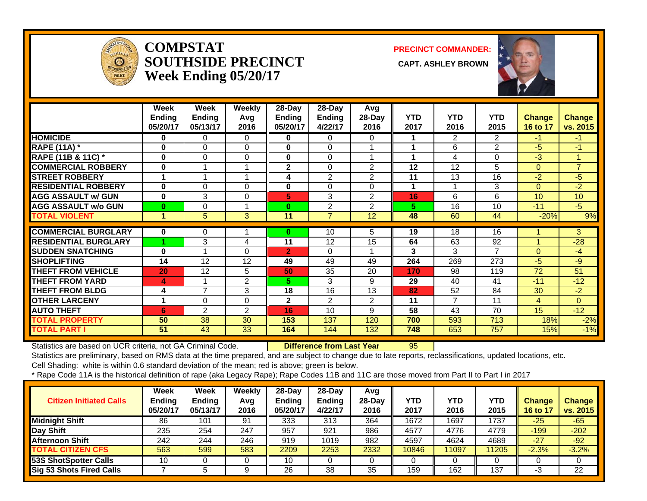

#### **COMPSTATSOUTHSIDE PRECINCT CAPT. ASHLEY BROWNWeek Ending 05/20/17**

**PRECINCT COMMANDER:**



|                             | Week           | Week           | <b>Weekly</b>  | 28-Day         | 28-Day         | Avg            |            |                |                |                |                 |
|-----------------------------|----------------|----------------|----------------|----------------|----------------|----------------|------------|----------------|----------------|----------------|-----------------|
|                             | Ending         | <b>Ending</b>  | Avg            | <b>Ending</b>  | <b>Ending</b>  | 28-Day         | <b>YTD</b> | <b>YTD</b>     | <b>YTD</b>     | <b>Change</b>  | <b>Change</b>   |
|                             | 05/20/17       | 05/13/17       | 2016           | 05/20/17       | 4/22/17        | 2016           | 2017       | 2016           | 2015           | 16 to 17       | vs. 2015        |
| <b>HOMICIDE</b>             | $\bf{0}$       | 0              | 0              | 0              | 0              | 0              |            | 2              | $\overline{2}$ | $-1$           | $-1$            |
| <b>RAPE (11A) *</b>         | $\bf{0}$       | $\Omega$       | $\Omega$       | 0              | $\Omega$       |                | 1          | 6              | 2              | $-5$           | $-1$            |
| RAPE (11B & 11C) *          | $\bf{0}$       | $\Omega$       | 0              | 0              | $\Omega$       |                | 1          | 4              | $\Omega$       | $-3$           |                 |
| <b>COMMERCIAL ROBBERY</b>   | $\bf{0}$       |                |                | $\mathbf{2}$   | $\Omega$       | $\overline{2}$ | 12         | 12             | 5              | $\Omega$       | $\overline{7}$  |
| <b>STREET ROBBERY</b>       | $\overline{1}$ |                |                | 4              | $\overline{2}$ | $\overline{2}$ | 11         | 13             | 16             | $-2$           | $-5$            |
| <b>RESIDENTIAL ROBBERY</b>  | $\bf{0}$       | $\Omega$       | $\Omega$       | 0              | $\Omega$       | $\Omega$       | 1          |                | 3              | $\Omega$       | $-2$            |
| <b>AGG ASSAULT w/ GUN</b>   | $\bf{0}$       | 3              | $\Omega$       | 5              | 3              | $\overline{2}$ | 16         | 6              | 6              | 10             | 10 <sup>1</sup> |
| <b>AGG ASSAULT w/o GUN</b>  | $\bf{0}$       | $\Omega$       |                | $\bf{0}$       | 2              | $\overline{2}$ | 5          | 16             | 10             | $-11$          | $-5$            |
| <b>TOTAL VIOLENT</b>        | 4              | 5              | $\mathbf{3}$   | 11             | $\overline{7}$ | 12             | 48         | 60             | 44             | $-20%$         | 9%              |
| <b>COMMERCIAL BURGLARY</b>  | 0              | 0              |                | 0              | 10             | 5.             | 19         | 18             | 16             |                | 3               |
| <b>RESIDENTIAL BURGLARY</b> |                | 3              | 4              | 11             | 12             | 15             | 64         | 63             | 92             |                | $-28$           |
| <b>SUDDEN SNATCHING</b>     | $\bf{0}$       |                | $\Omega$       | $\overline{2}$ | $\Omega$       |                | 3          | 3              | 7              | $\Omega$       | $-4$            |
| <b>SHOPLIFTING</b>          | 14             | 12             | 12             | 49             | 49             | 49             |            |                |                | $-5$           |                 |
|                             |                |                |                |                |                |                | 264        | 269            | 273            |                | -9              |
| <b>THEFT FROM VEHICLE</b>   | 20             | 12             | 5              | 50             | 35             | 20             | 170        | 98             | 119            | 72             | 51              |
| <b>THEFT FROM YARD</b>      | 4              |                | $\overline{2}$ | 5.             | 3              | 9              | 29         | 40             | 41             | $-11$          | $-12$           |
| <b>THEFT FROM BLDG</b>      | 4              | $\overline{ }$ | 3              | 18             | 16             | 13             | 82         | 52             | 84             | 30             | $-2$            |
| <b>OTHER LARCENY</b>        | 1              | $\Omega$       | 0              | $\mathbf{2}$   | 2              | $\overline{2}$ | 11         | $\overline{7}$ | 11             | $\overline{4}$ | $\overline{0}$  |
| <b>AUTO THEFT</b>           | 6              | 2              | 2              | 16             | 10             | 9              | 58         | 43             | 70             | 15             | $-12$           |
| <b>TOTAL PROPERTY</b>       | 50             | 38             | 30             | 153            | 137            | 120            | 700        | 593            | 713            | 18%            | $-2%$           |
| <b>TOTAL PART I</b>         | 51             | 43             | 33             | 164            | 144            | 132            | 748        | 653            | 757            | 15%            | $-1%$           |

Statistics are based on UCR criteria, not GA Criminal Code. **Difference from Last Year** 95

Statistics are preliminary, based on RMS data at the time prepared, and are subject to change due to late reports, reclassifications, updated locations, etc.

Cell Shading: white is within 0.6 standard deviation of the mean; red is above; green is below.

| <b>Citizen Initiated Calls</b>  | Week<br><b>Ending</b><br>05/20/17 | <b>Week</b><br><b>Ending</b><br>05/13/17 | Weekly<br>Avg<br>2016 | 28-Dav<br><b>Endina</b><br>05/20/17 | 28-Dav<br><b>Endina</b><br>4/22/17 | Avg<br>$28-Dav$<br>2016 | YTD<br>2017 | YTD<br>2016 | YTD<br>2015 | <b>Change</b><br>16 to 17 | <b>Change</b><br>vs. 2015 |
|---------------------------------|-----------------------------------|------------------------------------------|-----------------------|-------------------------------------|------------------------------------|-------------------------|-------------|-------------|-------------|---------------------------|---------------------------|
| <b>Midnight Shift</b>           | 86                                | 101                                      | 91                    | 333                                 | 313                                | 364                     | 1672        | 1697        | 1737        | $-25$                     | $-65$                     |
| <b>Day Shift</b>                | 235                               | 254                                      | 247                   | 957                                 | 921                                | 986                     | 4577        | 4776        | 4779        | $-199$                    | $-202$                    |
| <b>Afternoon Shift</b>          | 242                               | 244                                      | 246                   | 919                                 | 1019                               | 982                     | 4597        | 4624        | 4689        | $-27$                     | $-92$                     |
| <b>TOTAL CITIZEN CFS</b>        | 563                               | 599                                      | 583                   | 2209                                | 2253                               | 2332                    | 10846       | 11097       | 11205       | $-2.3%$                   | $-3.2%$                   |
| <b>53S ShotSpotter Calls</b>    | 10                                |                                          |                       | 10                                  |                                    |                         |             |             |             |                           | 0                         |
| <b>Sig 53 Shots Fired Calls</b> |                                   |                                          | 9                     | 26                                  | 38                                 | 35                      | 159         | 162         | 137         | -3                        | 22                        |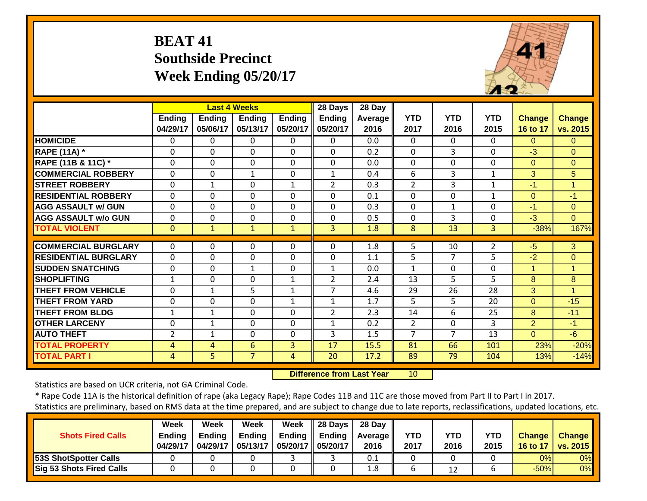## **BEAT 41 Southside Precinct Week Ending 05/20/17**



|                                               |                           |                           | <b>Last 4 Weeks</b>       |                           | 28 Days                          | 28 Day                 |                    |                    |                    |                           |                           |
|-----------------------------------------------|---------------------------|---------------------------|---------------------------|---------------------------|----------------------------------|------------------------|--------------------|--------------------|--------------------|---------------------------|---------------------------|
|                                               | <b>Ending</b><br>04/29/17 | <b>Ending</b><br>05/06/17 | <b>Ending</b><br>05/13/17 | <b>Ending</b><br>05/20/17 | <b>Ending</b><br>05/20/17        | <b>Average</b><br>2016 | <b>YTD</b><br>2017 | <b>YTD</b><br>2016 | <b>YTD</b><br>2015 | <b>Change</b><br>16 to 17 | <b>Change</b><br>vs. 2015 |
| <b>HOMICIDE</b>                               | 0                         | 0                         | $\Omega$                  | $\Omega$                  | 0                                | 0.0                    | $\mathbf{0}$       | $\Omega$           | $\Omega$           | $\Omega$                  | $\Omega$                  |
| <b>RAPE (11A) *</b>                           | 0                         | $\Omega$                  | $\Omega$                  | $\Omega$                  | $\Omega$                         | 0.2                    | $\Omega$           | 3                  | $\Omega$           | $-3$                      | $\Omega$                  |
| RAPE (11B & 11C) *                            | 0                         | $\Omega$                  | $\Omega$                  | $\Omega$                  | 0                                | 0.0                    | $\mathbf 0$        | $\Omega$           | 0                  | $\Omega$                  | $\Omega$                  |
| <b>COMMERCIAL ROBBERY</b>                     | 0                         | $\Omega$                  | $\mathbf{1}$              | $\Omega$                  | 1                                | 0.4                    | 6                  | 3                  | 1                  | 3                         | 5 <sup>5</sup>            |
| <b>STREET ROBBERY</b>                         | 0                         | 1                         | $\Omega$                  | 1                         | $\overline{2}$                   | 0.3                    | $\overline{2}$     | 3                  | 1                  | $-1$                      | 1                         |
| <b>RESIDENTIAL ROBBERY</b>                    | 0                         | $\Omega$                  | $\Omega$                  | $\Omega$                  | $\Omega$                         | 0.1                    | $\mathbf 0$        | $\Omega$           | 1                  | $\Omega$                  | $-1$                      |
| <b>AGG ASSAULT w/ GUN</b>                     | 0                         | $\Omega$                  | $\Omega$                  | $\Omega$                  | $\Omega$                         | 0.3                    | $\mathbf 0$        | $\mathbf{1}$       | 0                  | $-1$                      | $\Omega$                  |
| <b>AGG ASSAULT w/o GUN</b>                    | 0                         | 0                         | $\Omega$                  | $\Omega$                  | $\mathbf 0$                      | 0.5                    | $\mathbf 0$        | 3                  | $\mathbf 0$        | $-3$                      | $\Omega$                  |
| <b>TOTAL VIOLENT</b>                          | $\mathbf{0}$              | $\mathbf{1}$              | $\mathbf{1}$              | $\mathbf{1}$              | 3                                | 1.8                    | 8                  | 13                 | 3                  | $-38%$                    | 167%                      |
| <b>COMMERCIAL BURGLARY</b>                    | 0                         | 0                         | 0                         | 0                         | 0                                | 1.8                    | 5                  | 10                 | $\overline{2}$     | $-5$                      | 3                         |
| <b>RESIDENTIAL BURGLARY</b>                   | 0                         | $\Omega$                  | $\Omega$                  | $\Omega$                  | 0                                | 1.1                    | 5                  | 7                  | 5                  | $-2$                      | $\Omega$                  |
|                                               |                           |                           |                           |                           |                                  |                        |                    |                    |                    | 1                         | $\mathbf{1}$              |
| <b>SUDDEN SNATCHING</b><br><b>SHOPLIFTING</b> | 0                         | 0                         | $\mathbf{1}$              | $\Omega$                  | $\mathbf{1}$                     | 0.0                    | $\mathbf{1}$       | 0                  | $\mathbf 0$        |                           |                           |
|                                               | $\mathbf{1}$              | $\Omega$                  | $\Omega$                  | $\mathbf{1}$              | $\overline{2}$<br>$\overline{7}$ | 2.4                    | 13                 | 5                  | 5                  | 8                         | 8<br>1                    |
| <b>THEFT FROM VEHICLE</b>                     | 0                         | 1                         | 5                         | $\mathbf{1}$              |                                  | 4.6                    | 29                 | 26                 | 28                 | 3                         |                           |
| <b>THEFT FROM YARD</b>                        | 0                         | $\Omega$                  | $\Omega$                  | $\mathbf{1}$              | $\mathbf{1}$                     | 1.7                    | 5                  | 5                  | 20                 | $\Omega$                  | $-15$                     |
| <b>THEFT FROM BLDG</b>                        | $\mathbf{1}$              | 1                         | $\Omega$                  | $\Omega$                  | 2                                | 2.3                    | 14                 | 6                  | 25                 | 8                         | $-11$                     |
| <b>OTHER LARCENY</b>                          | 0                         | $\mathbf{1}$              | $\Omega$                  | 0                         | $\mathbf{1}$                     | 0.2                    | 2                  | 0                  | 3                  | 2                         | $-1$                      |
| <b>AUTO THEFT</b>                             | 2                         | $\mathbf{1}$              | $\Omega$                  | $\Omega$                  | 3                                | 1.5                    | 7                  | 7                  | 13                 | $\Omega$                  | $-6$                      |
| <b>TOTAL PROPERTY</b>                         | 4                         | 4                         | 6                         | 3                         | 17                               | 15.5                   | 81                 | 66                 | 101                | 23%                       | $-20%$                    |
| <b>TOTAL PART I</b>                           | 4                         | 5                         | 7                         | 4                         | 20                               | 17.2                   | 89                 | 79                 | 104                | 13%                       | $-14%$                    |

 **Difference from Last Year**10

Statistics are based on UCR criteria, not GA Criminal Code.

\* Rape Code 11A is the historical definition of rape (aka Legacy Rape); Rape Codes 11B and 11C are those moved from Part II to Part I in 2017.

|                                 | Week          | Week          | <b>Week</b>   | Week                | $\parallel$ 28 Days | 28 Dav     |      |      |      |               |                     |
|---------------------------------|---------------|---------------|---------------|---------------------|---------------------|------------|------|------|------|---------------|---------------------|
| <b>Shots Fired Calls</b>        | <b>Ending</b> | <b>Ending</b> | <b>Ending</b> | Ending              | <b>Ending</b>       | Average II | YTD  | YTD  | YTD  | <b>Change</b> | <b>Change</b>       |
|                                 | 04/29/17      | 04/29/17      | 05/13/17      | 05/20/17   05/20/17 |                     | 2016       | 2017 | 2016 | 2015 |               | 16 to 17   vs. 2015 |
| <b>53S ShotSpotter Calls</b>    |               |               |               |                     |                     | 0.1        |      |      |      | 0%            | 0%                  |
| <b>Sig 53 Shots Fired Calls</b> |               |               |               |                     |                     | 1.8        |      | 12   |      | $-50%$        | 0%                  |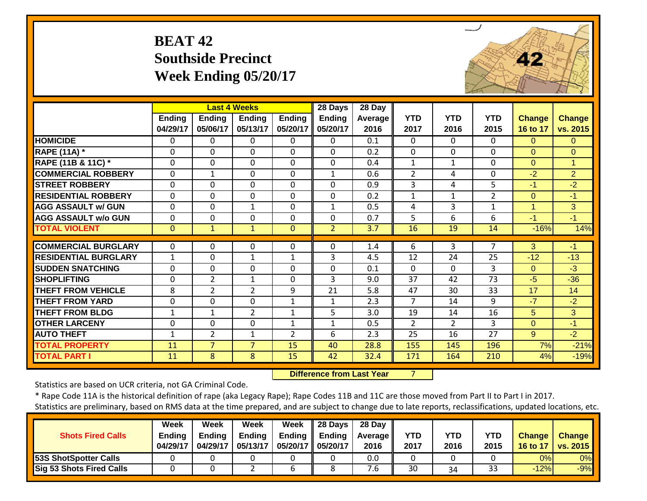## **BEAT 42 Southside Precinct Week Ending 05/20/17**



|                             |                    |                    | <b>Last 4 Weeks</b>       |                           | 28 Days                   | 28 Day          |                    |                    |                    |                                  |                           |
|-----------------------------|--------------------|--------------------|---------------------------|---------------------------|---------------------------|-----------------|--------------------|--------------------|--------------------|----------------------------------|---------------------------|
|                             | Ending<br>04/29/17 | Ending<br>05/06/17 | <b>Ending</b><br>05/13/17 | <b>Ending</b><br>05/20/17 | <b>Ending</b><br>05/20/17 | Average<br>2016 | <b>YTD</b><br>2017 | <b>YTD</b><br>2016 | <b>YTD</b><br>2015 | <b>Change</b><br><b>16 to 17</b> | <b>Change</b><br>vs. 2015 |
| <b>HOMICIDE</b>             | 0                  | 0                  | $\Omega$                  | $\Omega$                  | 0                         | 0.1             | $\Omega$           | $\mathbf{0}$       | $\Omega$           | $\Omega$                         | $\Omega$                  |
| <b>RAPE (11A)</b> *         | $\Omega$           | 0                  | $\mathbf{0}$              | $\Omega$                  | $\Omega$                  | 0.2             | $\Omega$           | $\mathbf{0}$       | $\Omega$           | $\Omega$                         | $\Omega$                  |
| RAPE (11B & 11C) *          | $\Omega$           | 0                  | $\mathbf 0$               | $\Omega$                  | $\Omega$                  | 0.4             | $\mathbf{1}$       | $\mathbf{1}$       | $\Omega$           | $\Omega$                         | $\mathbf{1}$              |
| <b>COMMERCIAL ROBBERY</b>   | $\mathbf 0$        | $\mathbf{1}$       | $\mathbf{0}$              | $\Omega$                  | $\mathbf{1}$              | 0.6             | $\overline{2}$     | 4                  | $\Omega$           | $-2$                             | $\overline{2}$            |
| <b>STREET ROBBERY</b>       | $\Omega$           | 0                  | $\mathbf 0$               | $\mathbf 0$               | 0                         | 0.9             | 3                  | 4                  | 5                  | $-1$                             | $-2$                      |
| <b>RESIDENTIAL ROBBERY</b>  | 0                  | 0                  | $\mathbf 0$               | $\mathbf 0$               | 0                         | 0.2             | $\mathbf{1}$       | $\mathbf{1}$       | $\overline{2}$     | $\Omega$                         | $-1$                      |
| <b>AGG ASSAULT w/ GUN</b>   | 0                  | 0                  | 1                         | $\Omega$                  | $\mathbf{1}$              | 0.5             | 4                  | 3                  | $\mathbf{1}$       | $\overline{1}$                   | 3 <sup>1</sup>            |
| <b>AGG ASSAULT w/o GUN</b>  | 0                  | 0                  | $\Omega$                  | $\mathbf 0$               | $\Omega$                  | 0.7             | 5                  | 6                  | 6                  | $-1$                             | $-1$                      |
| <b>TOTAL VIOLENT</b>        | $\mathbf 0$        | $\mathbf{1}$       | $\mathbf{1}$              | $\mathbf{0}$              | $\overline{2}$            | 3.7             | 16                 | 19                 | 14                 | $-16%$                           | 14%                       |
|                             |                    |                    |                           |                           |                           |                 |                    |                    |                    |                                  |                           |
| <b>COMMERCIAL BURGLARY</b>  | 0                  | 0                  | 0                         | 0                         | 0                         | 1.4             | 6                  | 3                  | $\overline{7}$     | 3                                | $-1$                      |
| <b>RESIDENTIAL BURGLARY</b> | $\mathbf{1}$       | 0                  | $\mathbf{1}$              | $\mathbf{1}$              | 3                         | 4.5             | 12                 | 24                 | 25                 | $-12$                            | $-13$                     |
| <b>SUDDEN SNATCHING</b>     | 0                  | 0                  | $\Omega$                  | $\Omega$                  | $\Omega$                  | 0.1             | $\Omega$           | $\Omega$           | 3                  | $\Omega$                         | $-3$                      |
| <b>SHOPLIFTING</b>          | $\Omega$           | $\overline{2}$     | $\mathbf{1}$              | $\Omega$                  | 3                         | 9.0             | 37                 | 42                 | 73                 | $-5$                             | $-36$                     |
| <b>THEFT FROM VEHICLE</b>   | 8                  | $\overline{2}$     | $\overline{2}$            | 9                         | 21                        | 5.8             | 47                 | 30                 | 33                 | 17                               | 14                        |
| <b>THEFT FROM YARD</b>      | $\mathbf 0$        | 0                  | $\mathbf 0$               | $\mathbf{1}$              | 1                         | 2.3             | 7                  | 14                 | 9                  | $-7$                             | $-2$                      |
| <b>THEFT FROM BLDG</b>      | 1                  | 1                  | $\overline{2}$            | $\mathbf{1}$              | 5                         | 3.0             | 19                 | 14                 | 16                 | 5                                | 3                         |
| <b>OTHER LARCENY</b>        | 0                  | 0                  | $\Omega$                  | $\mathbf{1}$              | $\mathbf{1}$              | 0.5             | $\overline{2}$     | $\overline{2}$     | 3                  | $\Omega$                         | $-1$                      |
| <b>AUTO THEFT</b>           | $\mathbf{1}$       | $\overline{2}$     | $\mathbf{1}$              | $\overline{2}$            | 6                         | 2.3             | 25                 | 16                 | 27                 | $9^{\circ}$                      | $-2$                      |
| <b>TOTAL PROPERTY</b>       | 11                 | $\overline{7}$     | $\overline{7}$            | 15                        | 40                        | 28.8            | 155                | 145                | 196                | 7%                               | $-21%$                    |
| <b>TOTAL PART I</b>         | 11                 | 8                  | 8                         | 15                        | 42                        | 32.4            | 171                | 164                | 210                | 4%                               | $-19%$                    |

 **Difference from Last Year**

7

Statistics are based on UCR criteria, not GA Criminal Code.

\* Rape Code 11A is the historical definition of rape (aka Legacy Rape); Rape Codes 11B and 11C are those moved from Part II to Part I in 2017.

|                                 | Week     | Week     | Week          | Week                | $\parallel$ 28 Days | 28 Day            |            |            |            |               |                 |
|---------------------------------|----------|----------|---------------|---------------------|---------------------|-------------------|------------|------------|------------|---------------|-----------------|
| <b>Shots Fired Calls</b>        | Endina   | Endina   | <b>Ending</b> | Endina              | Ending              | <b>Average</b> II | <b>YTD</b> | <b>YTD</b> | <b>YTD</b> | <b>Change</b> | <b>Change</b>   |
|                                 | 04/29/17 | 04/29/17 | 05/13/17      | 05/20/17   05/20/17 |                     | 2016              | 2017       | 2016       | 2015       | 16 to 17      | <b>vs. 2015</b> |
| <b>53S ShotSpotter Calls</b>    |          |          |               |                     |                     | 0.0               |            |            |            | 0%l           | 0%              |
| <b>Sig 53 Shots Fired Calls</b> |          |          |               |                     |                     | 7.6               | 30         | 34         | 33         | $-12%$        | $-9%$           |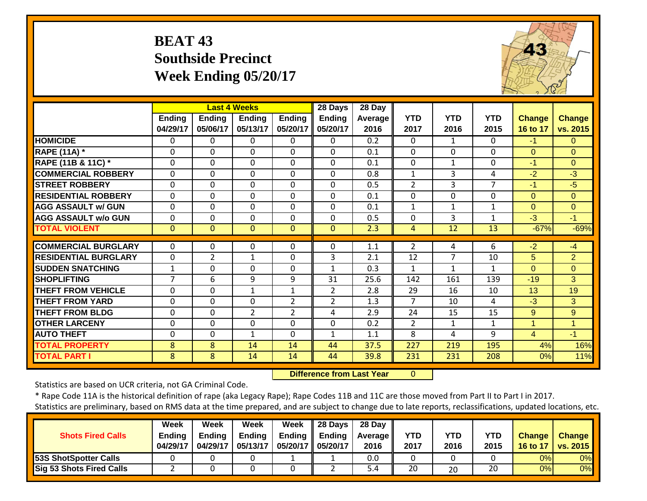## **BEAT 43 Southside Precinct Week Ending 05/20/17**



|                             |                           |                    | <b>Last 4 Weeks</b>       |                           | 28 Days                   | 28 Day          |                    |                    |                    |                           |                      |
|-----------------------------|---------------------------|--------------------|---------------------------|---------------------------|---------------------------|-----------------|--------------------|--------------------|--------------------|---------------------------|----------------------|
|                             | <b>Ending</b><br>04/29/17 | Ending<br>05/06/17 | <b>Ending</b><br>05/13/17 | <b>Ending</b><br>05/20/17 | <b>Ending</b><br>05/20/17 | Average<br>2016 | <b>YTD</b><br>2017 | <b>YTD</b><br>2016 | <b>YTD</b><br>2015 | <b>Change</b><br>16 to 17 | Change<br>vs. 2015   |
| <b>HOMICIDE</b>             | $\Omega$                  | 0                  | $\Omega$                  | 0                         | $\Omega$                  | 0.2             | $\Omega$           | $\mathbf{1}$       | $\Omega$           | $-1$                      | $\Omega$             |
| <b>RAPE (11A)</b> *         | $\mathbf 0$               | $\Omega$           | $\Omega$                  | $\Omega$                  | $\mathbf 0$               | 0.1             | $\Omega$           | $\Omega$           | $\Omega$           | $\Omega$                  | $\Omega$             |
| RAPE (11B & 11C) *          | $\mathbf 0$               | $\Omega$           | $\mathbf 0$               | $\Omega$                  | $\mathbf 0$               | 0.1             | $\mathbf 0$        | $\mathbf{1}$       | $\Omega$           | $-1$                      | $\Omega$             |
| <b>COMMERCIAL ROBBERY</b>   | $\mathbf 0$               | $\Omega$           | $\Omega$                  | $\Omega$                  | $\Omega$                  | 0.8             | $\mathbf{1}$       | 3                  | 4                  | $-2$                      | $-3$                 |
| <b>STREET ROBBERY</b>       | $\mathbf 0$               | $\Omega$           | $\mathbf 0$               | $\Omega$                  | 0                         | 0.5             | $\overline{2}$     | 3                  | $\overline{7}$     | $-1$                      | $-5$                 |
| <b>RESIDENTIAL ROBBERY</b>  | $\mathbf 0$               | $\Omega$           | $\mathbf 0$               | 0                         | $\mathbf 0$               | 0.1             | $\Omega$           | $\Omega$           | 0                  | $\Omega$                  | $\Omega$             |
| <b>AGG ASSAULT w/ GUN</b>   | $\Omega$                  | $\Omega$           | 0                         | $\Omega$                  | $\mathbf 0$               | 0.1             | $\mathbf{1}$       | $\mathbf{1}$       | $\mathbf{1}$       | $\Omega$                  | $\Omega$             |
| <b>AGG ASSAULT w/o GUN</b>  | 0                         | $\mathbf 0$        | $\mathbf{0}$              | $\Omega$                  | $\mathbf 0$               | 0.5             | 0                  | 3                  | $\mathbf 1$        | $-3$                      | $-1$                 |
| <b>TOTAL VIOLENT</b>        | $\mathbf{0}$              | $\overline{0}$     | $\Omega$                  | $\Omega$                  | $\Omega$                  | 2.3             | 4                  | 12                 | 13                 | $-67%$                    | $-69%$               |
| <b>COMMERCIAL BURGLARY</b>  | $\Omega$                  | 0                  | 0                         | 0                         | $\Omega$                  | 1.1             | $\overline{2}$     | 4                  | 6                  | $-2$                      | $-4$                 |
| <b>RESIDENTIAL BURGLARY</b> |                           | 2                  |                           | $\Omega$                  | 3                         | 2.1             | 12                 | 7                  | 10                 | 5                         | $\overline{2}$       |
| <b>ISUDDEN SNATCHING</b>    | 0<br>$\mathbf{1}$         | $\Omega$           | 1<br>$\Omega$             | $\Omega$                  | $\mathbf{1}$              | 0.3             | 1                  | 1                  | 1                  | $\Omega$                  | $\Omega$             |
| <b>SHOPLIFTING</b>          | $\overline{7}$            |                    |                           |                           | 31                        |                 |                    |                    |                    | $-19$                     |                      |
|                             |                           | 6                  | 9                         | 9                         |                           | 25.6            | 142                | 161                | 139                |                           | 3                    |
| <b>THEFT FROM VEHICLE</b>   | $\Omega$                  | $\Omega$           | 1                         | 1                         | $\overline{2}$            | 2.8             | 29                 | 16                 | 10                 | 13                        | 19                   |
| <b>THEFT FROM YARD</b>      | $\Omega$                  | $\Omega$           | $\Omega$                  | $\overline{2}$            | $\overline{2}$            | 1.3             | 7                  | 10                 | 4                  | $-3$                      | 3                    |
| <b>THEFT FROM BLDG</b>      | $\Omega$                  | $\Omega$           | $\overline{2}$            | $\overline{2}$            | 4                         | 2.9             | 24                 | 15                 | 15                 | 9                         | 9                    |
| <b>OTHER LARCENY</b>        | 0                         | 0                  | $\Omega$                  | 0                         | 0                         | 0.2             | $\overline{2}$     | $\mathbf{1}$       | 1                  | 1                         | $\blacktriangleleft$ |
| <b>AUTO THEFT</b>           | 0                         | $\Omega$           | $\mathbf{1}$              | $\Omega$                  | $\mathbf{1}$              | 1.1             | 8                  | 4                  | 9                  | 4                         | $-1$                 |
| <b>TOTAL PROPERTY</b>       | 8                         | 8                  | 14                        | 14                        | 44                        | 37.5            | 227                | 219                | 195                | 4%                        | 16%                  |
| <b>TOTAL PART I</b>         | 8                         | 8                  | 14                        | 14                        | 44                        | 39.8            | 231                | 231                | 208                | 0%                        | 11%                  |

 **Difference from Last Year** $\overline{0}$ 

Statistics are based on UCR criteria, not GA Criminal Code.

\* Rape Code 11A is the historical definition of rape (aka Legacy Rape); Rape Codes 11B and 11C are those moved from Part II to Part I in 2017.

|                                 | Week          | Week          | <b>Week</b>   | Week                | 28 Days | 28 Day     |            |      |            |               |                 |
|---------------------------------|---------------|---------------|---------------|---------------------|---------|------------|------------|------|------------|---------------|-----------------|
| <b>Shots Fired Calls</b>        | <b>Ending</b> | <b>Ending</b> | <b>Ending</b> | Ending              | Ending  | Average II | <b>YTD</b> | YTD  | <b>YTD</b> | <b>Change</b> | <b>Change</b>   |
|                                 | 04/29/17      | 04/29/17      | 05/13/17      | 05/20/17   05/20/17 |         | 2016       | 2017       | 2016 | 2015       | 16 to 17      | <b>vs. 2015</b> |
| <b>53S ShotSpotter Calls</b>    |               |               |               |                     |         | 0.0        |            |      |            | 0%            | 0%              |
| <b>Sig 53 Shots Fired Calls</b> |               |               |               |                     |         | 5.4        | 20         | 20   | 20         | 0%            | 0%              |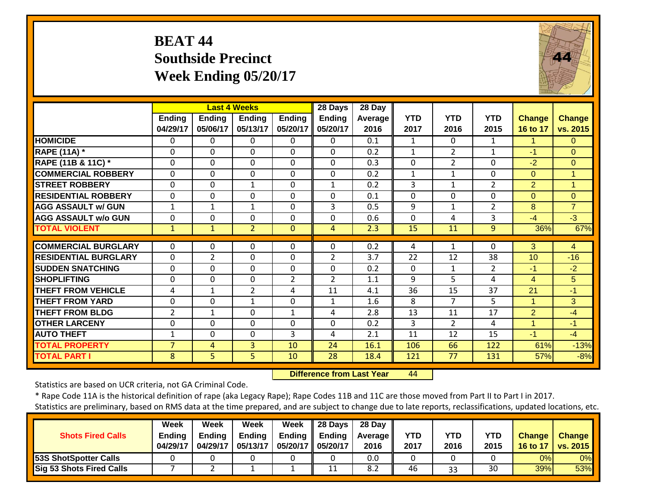## **BEAT 44 Southside PrecinctWeek Ending 05/20/17**



|                             |                           |                           | <b>Last 4 Weeks</b>       |                           | 28 Days                   | 28 Day          |                    |                    |                    |                           |                           |
|-----------------------------|---------------------------|---------------------------|---------------------------|---------------------------|---------------------------|-----------------|--------------------|--------------------|--------------------|---------------------------|---------------------------|
|                             | <b>Ending</b><br>04/29/17 | <b>Ending</b><br>05/06/17 | <b>Ending</b><br>05/13/17 | <b>Ending</b><br>05/20/17 | <b>Ending</b><br>05/20/17 | Average<br>2016 | <b>YTD</b><br>2017 | <b>YTD</b><br>2016 | <b>YTD</b><br>2015 | <b>Change</b><br>16 to 17 | <b>Change</b><br>vs. 2015 |
| <b>HOMICIDE</b>             | 0                         | 0                         | $\Omega$                  | 0                         | $\Omega$                  | 0.1             | $\mathbf{1}$       | $\Omega$           | 1                  | $\mathbf{1}$              | $\Omega$                  |
| <b>RAPE (11A) *</b>         | 0                         | $\Omega$                  | $\Omega$                  | $\Omega$                  | $\mathbf 0$               | 0.2             | $\mathbf{1}$       | $\overline{2}$     | 1                  | $-1$                      | $\overline{0}$            |
| RAPE (11B & 11C) *          | 0                         | 0                         | $\Omega$                  | $\mathbf{0}$              | 0                         | 0.3             | $\Omega$           | $\overline{2}$     | $\Omega$           | $-2$                      | $\mathbf{0}$              |
| <b>COMMERCIAL ROBBERY</b>   | 0                         | $\Omega$                  | $\Omega$                  | $\Omega$                  | 0                         | 0.2             | $\mathbf{1}$       | 1                  | $\mathbf 0$        | $\Omega$                  | 1                         |
| <b>STREET ROBBERY</b>       | 0                         | 0                         | 1                         | $\Omega$                  | 1                         | 0.2             | 3                  | 1                  | 2                  | $\overline{2}$            | $\mathbf{1}$              |
| <b>RESIDENTIAL ROBBERY</b>  | 0                         | 0                         | $\Omega$                  | $\Omega$                  | $\Omega$                  | 0.1             | $\mathbf{0}$       | $\Omega$           | $\Omega$           | $\Omega$                  | $\Omega$                  |
| <b>AGG ASSAULT w/ GUN</b>   | $\mathbf 1$               | 1                         | $\mathbf 1$               | $\Omega$                  | 3                         | 0.5             | 9                  | 1                  | 2                  | 8                         | $\overline{7}$            |
| <b>AGG ASSAULT w/o GUN</b>  | 0                         | 0                         | $\Omega$                  | 0                         | 0                         | 0.6             | $\Omega$           | 4                  | 3                  | $-4$                      | $-3$                      |
| <b>TOTAL VIOLENT</b>        | $\mathbf{1}$              | 1                         | $\overline{2}$            | $\Omega$                  | 4                         | 2.3             | 15                 | 11                 | 9                  | 36%                       | 67%                       |
| <b>COMMERCIAL BURGLARY</b>  | 0                         | 0                         | 0                         | 0                         | $\Omega$                  | 0.2             | 4                  | 1                  | 0                  | 3                         | 4                         |
| <b>RESIDENTIAL BURGLARY</b> | $\Omega$                  | $\overline{2}$            | $\Omega$                  | $\Omega$                  | $\overline{2}$            | 3.7             | 22                 | 12                 | 38                 | 10                        | $-16$                     |
| <b>SUDDEN SNATCHING</b>     | 0                         | 0                         | $\Omega$                  | $\Omega$                  | 0                         | 0.2             | $\Omega$           | 1                  | $\overline{2}$     | $-1$                      | $-2$                      |
| <b>SHOPLIFTING</b>          | 0                         | 0                         | $\Omega$                  | $\overline{2}$            | $\overline{2}$            | 1.1             | 9                  | 5                  | 4                  | 4                         | 5                         |
| <b>THEFT FROM VEHICLE</b>   | 4                         | 1                         | $\overline{2}$            | 4                         | 11                        | 4.1             | 36                 | 15                 | 37                 | 21                        | $-1$                      |
| <b>THEFT FROM YARD</b>      | 0                         | $\Omega$                  | $\mathbf{1}$              | $\Omega$                  | $\mathbf{1}$              | 1.6             | 8                  | $\overline{7}$     | 5                  | 1                         | 3                         |
| <b>THEFT FROM BLDG</b>      | $\overline{2}$            | $\mathbf{1}$              | $\Omega$                  | $\mathbf{1}$              | 4                         | 2.8             | 13                 | 11                 | 17                 | $\overline{2}$            | $-4$                      |
| <b>OTHER LARCENY</b>        | 0                         | 0                         | $\Omega$                  | $\Omega$                  | $\mathbf 0$               | 0.2             | 3                  | $\overline{2}$     | 4                  | $\overline{1}$            | $-1$                      |
| <b>AUTO THEFT</b>           | $\mathbf{1}$              | 0                         | $\mathbf{0}$              | 3                         | 4                         | 2.1             | 11                 | 12                 | 15                 | $-1$                      | $-4$                      |
| <b>TOTAL PROPERTY</b>       | $\overline{7}$            | 4                         | 3                         | 10                        | 24                        | 16.1            | 106                | 66                 | 122                | 61%                       | $-13%$                    |
| <b>TOTAL PART I</b>         | 8                         | 5                         | 5                         | 10                        | 28                        | 18.4            | 121                | 77                 | 131                | 57%                       | $-8%$                     |

 **Difference from Last Year**44

Statistics are based on UCR criteria, not GA Criminal Code.

\* Rape Code 11A is the historical definition of rape (aka Legacy Rape); Rape Codes 11B and 11C are those moved from Part II to Part I in 2017. Statistics are preliminary, based on RMS data at the time prepared, and are subject to change due to late reports, reclassifications, updated locations, etc.

**Week Week Week Week 28 Days 28 Day**

| <b>Shots Fired Calls</b>     | <b>Ending</b><br>04/29/17 | <b>Ending</b><br>04/29/17 | Ending<br>05/13/17 | <b>Ending</b><br>05/20/17 | <b>Ending</b><br>05/20/17 | <b>Average</b> II<br>2016 | YTD<br>2017 | YTD<br>2016   | YTD<br>2015 | <b>Change</b><br>16 to 17 | <b>Change</b><br><b>VS. 2015</b> |
|------------------------------|---------------------------|---------------------------|--------------------|---------------------------|---------------------------|---------------------------|-------------|---------------|-------------|---------------------------|----------------------------------|
| <b>53S ShotSpotter Calls</b> |                           |                           |                    |                           |                           | 0.0                       |             |               |             | 0%l                       | 0%                               |
| Sig 53 Shots Fired Calls     |                           |                           |                    |                           | ᆠᆂ                        | 8.2                       | -46         | $\sim$<br>ر ر | 30          | 39%                       | 53%                              |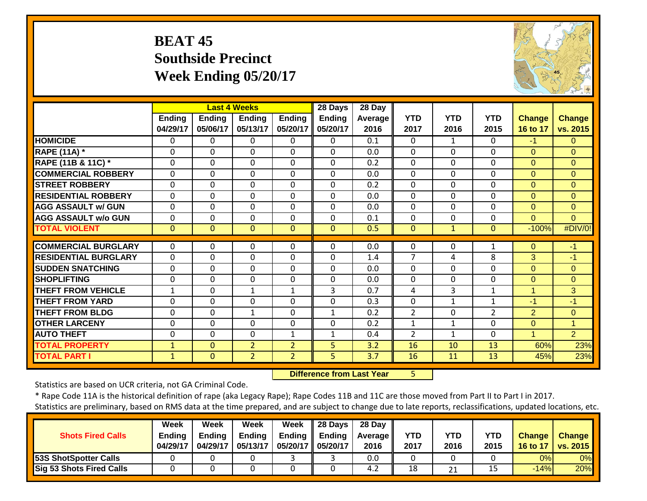## **BEAT 45 Southside Precinct Week Ending 05/20/17**



|                             |                           |                    | <b>Last 4 Weeks</b>       |                           | 28 Days                   | 28 Day          |                    |                    |                    |                           |                      |
|-----------------------------|---------------------------|--------------------|---------------------------|---------------------------|---------------------------|-----------------|--------------------|--------------------|--------------------|---------------------------|----------------------|
|                             | <b>Ending</b><br>04/29/17 | Ending<br>05/06/17 | <b>Ending</b><br>05/13/17 | <b>Ending</b><br>05/20/17 | <b>Ending</b><br>05/20/17 | Average<br>2016 | <b>YTD</b><br>2017 | <b>YTD</b><br>2016 | <b>YTD</b><br>2015 | <b>Change</b><br>16 to 17 | Change<br>vs. 2015   |
| <b>HOMICIDE</b>             | 0                         | 0                  | $\Omega$                  | 0                         | 0                         | 0.1             | $\Omega$           | 1                  | $\Omega$           | $-1$                      | $\Omega$             |
| <b>RAPE (11A) *</b>         | $\Omega$                  | 0                  | $\Omega$                  | $\Omega$                  | $\Omega$                  | 0.0             | $\Omega$           | 0                  | $\Omega$           | $\Omega$                  | $\Omega$             |
| RAPE (11B & 11C) *          | $\mathbf 0$               | 0                  | $\mathbf 0$               | $\mathbf 0$               | $\mathbf 0$               | 0.2             | 0                  | $\Omega$           | $\mathbf 0$        | $\Omega$                  | $\Omega$             |
| <b>COMMERCIAL ROBBERY</b>   | $\Omega$                  | $\Omega$           | $\Omega$                  | $\Omega$                  | $\Omega$                  | 0.0             | $\Omega$           | $\Omega$           | $\Omega$           | $\Omega$                  | $\Omega$             |
| <b>STREET ROBBERY</b>       | $\Omega$                  | $\mathbf 0$        | $\mathbf 0$               | $\Omega$                  | $\mathbf 0$               | 0.2             | $\Omega$           | $\Omega$           | $\mathbf 0$        | $\Omega$                  | $\Omega$             |
| <b>RESIDENTIAL ROBBERY</b>  | $\Omega$                  | $\Omega$           | $\Omega$                  | 0                         | $\mathbf 0$               | 0.0             | $\Omega$           | 0                  | $\Omega$           | $\Omega$                  | $\Omega$             |
| <b>AGG ASSAULT w/ GUN</b>   | $\Omega$                  | $\Omega$           | $\mathbf 0$               | $\Omega$                  | $\mathbf 0$               | 0.0             | $\Omega$           | 0                  | $\Omega$           | $\Omega$                  | $\Omega$             |
| <b>AGG ASSAULT w/o GUN</b>  | $\Omega$                  | 0                  | $\Omega$                  | $\Omega$                  | $\Omega$                  | 0.1             | $\Omega$           | 0                  | $\Omega$           | $\Omega$                  | $\Omega$             |
| <b>TOTAL VIOLENT</b>        | $\Omega$                  | $\overline{0}$     | $\mathbf{0}$              | $\Omega$                  | $\mathbf{0}$              | 0.5             | $\Omega$           | $\mathbf{1}$       | $\mathbf{0}$       | $-100%$                   | #DIV/0!              |
| <b>COMMERCIAL BURGLARY</b>  | 0                         | 0                  | $\Omega$                  | 0                         | 0                         | 0.0             | $\Omega$           | 0                  | 1                  | $\Omega$                  | $-1$                 |
| <b>RESIDENTIAL BURGLARY</b> | $\Omega$                  | 0                  | $\Omega$                  | $\Omega$                  | 0                         | 1.4             | 7                  |                    | 8                  | 3                         | $-1$                 |
|                             |                           |                    |                           |                           |                           |                 |                    | 4                  | $\Omega$           |                           |                      |
| <b>SUDDEN SNATCHING</b>     | $\Omega$                  | 0                  | $\mathbf 0$               | $\Omega$                  | $\Omega$                  | 0.0             | $\Omega$           | 0                  |                    | $\Omega$                  | $\Omega$             |
| <b>SHOPLIFTING</b>          | 0                         | $\Omega$           | $\Omega$                  | $\Omega$                  | $\Omega$                  | 0.0             | 0                  | 0                  | $\Omega$           | $\Omega$                  | $\Omega$             |
| <b>THEFT FROM VEHICLE</b>   | 1                         | $\Omega$           | 1                         | 1                         | 3                         | 0.7             | 4                  | 3                  | 1                  | 1                         | 3                    |
| <b>THEFT FROM YARD</b>      | $\Omega$                  | $\Omega$           | $\Omega$                  | 0                         | $\Omega$                  | 0.3             | 0                  | 1                  | 1                  | $-1$                      | $-1$                 |
| <b>THEFT FROM BLDG</b>      | 0                         | $\mathbf 0$        | $\mathbf{1}$              | $\Omega$                  | $\mathbf{1}$              | 0.2             | $\overline{2}$     | $\Omega$           | $\overline{2}$     | $\overline{2}$            | $\overline{0}$       |
| <b>OTHER LARCENY</b>        | $\Omega$                  | $\Omega$           | $\Omega$                  | $\Omega$                  | $\Omega$                  | 0.2             | $\mathbf{1}$       | $\mathbf{1}$       | $\Omega$           | $\Omega$                  | $\blacktriangleleft$ |
| <b>AUTO THEFT</b>           | 0                         | $\mathbf 0$        | $\mathbf 0$               | $\mathbf{1}$              | $\mathbf{1}$              | 0.4             | $\overline{2}$     | $\mathbf{1}$       | $\Omega$           | 1                         | $\overline{2}$       |
| <b>TOTAL PROPERTY</b>       | $\mathbf{1}$              | $\overline{0}$     | $\overline{2}$            | $\overline{2}$            | 5                         | 3.2             | 16                 | 10                 | 13                 | 60%                       | 23%                  |
| <b>TOTAL PART I</b>         | $\mathbf{1}$              | $\mathbf{0}$       | $\overline{2}$            | $\overline{2}$            | 5                         | 3.7             | 16                 | 11                 | 13                 | 45%                       | 23%                  |

 **Difference from Last Year**5

Statistics are based on UCR criteria, not GA Criminal Code.

|                              | Week     | Week          | Week          | Week          | 28 Days  | 28 Dav            |      |      |      |               |               |
|------------------------------|----------|---------------|---------------|---------------|----------|-------------------|------|------|------|---------------|---------------|
| <b>Shots Fired Calls</b>     | Endina   | <b>Endina</b> | <b>Ending</b> | <b>Ending</b> | Endina   | <b>Average II</b> | YTD  | YTD  | YTD  | <b>Change</b> | <b>Change</b> |
|                              | 04/29/17 | 04/29/17      | 05/13/17      | 05/20/17      | 05/20/17 | 2016              | 2017 | 2016 | 2015 | 16 to 17      | vs. 2015      |
| <b>53S ShotSpotter Calls</b> |          |               |               |               |          | 0.0               |      |      |      | 0%            | 0%            |
| Sig 53 Shots Fired Calls     |          |               |               |               |          | 4.2               | 18   | 21   | 15   | $-14%$        | 20%           |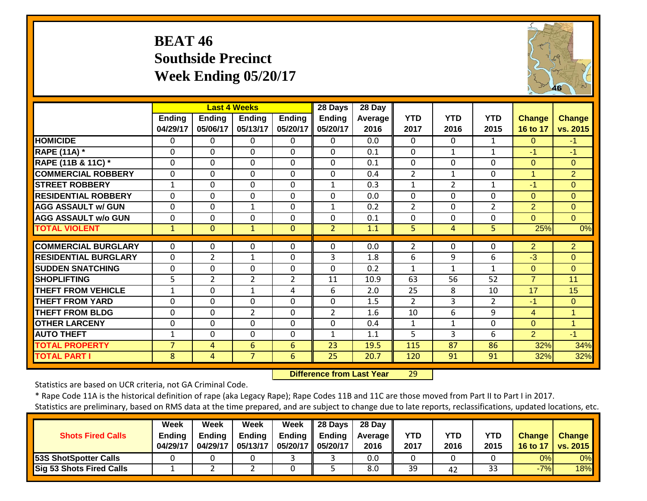## **BEAT 46 Southside Precinct Week Ending 05/20/17**



|                               |                           |                           | <b>Last 4 Weeks</b> |                    | 28 Days                   | 28 Day          |                    |                    |                    |                    |                           |
|-------------------------------|---------------------------|---------------------------|---------------------|--------------------|---------------------------|-----------------|--------------------|--------------------|--------------------|--------------------|---------------------------|
|                               | <b>Ending</b><br>04/29/17 | <b>Ending</b><br>05/06/17 | Ending<br>05/13/17  | Ending<br>05/20/17 | <b>Ending</b><br>05/20/17 | Average<br>2016 | <b>YTD</b><br>2017 | <b>YTD</b><br>2016 | <b>YTD</b><br>2015 | Change<br>16 to 17 | <b>Change</b><br>vs. 2015 |
| <b>HOMICIDE</b>               | 0                         | 0                         | $\Omega$            | 0                  | $\Omega$                  | 0.0             | $\Omega$           | $\Omega$           | 1                  | $\Omega$           | $-1$                      |
| <b>RAPE (11A) *</b>           | $\Omega$                  | $\Omega$                  | $\Omega$            | $\Omega$           | 0                         | 0.1             | $\Omega$           | $\mathbf{1}$       | 1                  | $-1$               | $-1$                      |
| <b>RAPE (11B &amp; 11C)</b> * | 0                         | 0                         | $\Omega$            | 0                  | 0                         | 0.1             | $\Omega$           | $\Omega$           | 0                  | $\Omega$           | $\Omega$                  |
| <b>COMMERCIAL ROBBERY</b>     | 0                         | $\Omega$                  | $\mathbf{0}$        | $\mathbf 0$        | 0                         | 0.4             | $\overline{2}$     | 1                  | 0                  | $\overline{1}$     | $\overline{2}$            |
| <b>STREET ROBBERY</b>         | $\mathbf{1}$              | 0                         | 0                   | $\Omega$           | $\mathbf{1}$              | 0.3             | $\mathbf{1}$       | $\overline{2}$     | $\mathbf 1$        | $-1$               | $\overline{0}$            |
| <b>RESIDENTIAL ROBBERY</b>    | $\Omega$                  | $\Omega$                  | $\Omega$            | $\Omega$           | $\Omega$                  | 0.0             | 0                  | $\Omega$           | $\Omega$           | $\Omega$           | $\Omega$                  |
| <b>AGG ASSAULT w/ GUN</b>     | $\Omega$                  | $\Omega$                  | 1                   | $\Omega$           | 1                         | 0.2             | $\overline{2}$     | $\mathbf 0$        | 2                  | $\overline{2}$     | $\overline{0}$            |
| <b>AGG ASSAULT w/o GUN</b>    | 0                         | 0                         | $\Omega$            | $\Omega$           | 0                         | 0.1             | $\Omega$           | 0                  | $\mathbf 0$        | $\Omega$           | $\Omega$                  |
| <b>TOTAL VIOLENT</b>          | $\mathbf{1}$              | $\Omega$                  | $\mathbf{1}$        | $\Omega$           | $\overline{2}$            | 1.1             | 5                  | 4                  | 5                  | 25%                | 0%                        |
| <b>COMMERCIAL BURGLARY</b>    | $\Omega$                  | 0                         | 0                   | 0                  | $\Omega$                  | 0.0             | $\overline{2}$     | $\Omega$           | $\Omega$           | 2                  | $\overline{2}$            |
| <b>RESIDENTIAL BURGLARY</b>   | $\Omega$                  | $\overline{2}$            | 1                   | $\Omega$           | 3                         | 1.8             | 6                  | 9                  | 6                  | $-3$               | $\overline{0}$            |
| <b>SUDDEN SNATCHING</b>       | $\Omega$                  | $\Omega$                  | $\Omega$            | $\Omega$           | $\Omega$                  | 0.2             | 1                  | $\mathbf{1}$       | 1                  | $\Omega$           | $\Omega$                  |
| <b>SHOPLIFTING</b>            | 5                         | $\overline{2}$            | $\overline{2}$      | $\overline{2}$     | 11                        | 10.9            | 63                 | 56                 | 52                 | $\overline{7}$     | 11                        |
| <b>THEFT FROM VEHICLE</b>     | 1                         | $\Omega$                  | 1                   | 4                  | 6                         | 2.0             | 25                 | 8                  | 10                 | 17                 | 15                        |
| <b>THEFT FROM YARD</b>        | 0                         | 0                         | $\mathbf 0$         | $\Omega$           | 0                         | 1.5             | 2                  | 3                  | $\overline{2}$     | $-1$               | $\Omega$                  |
| <b>THEFT FROM BLDG</b>        | 0                         | 0                         | $\overline{2}$      | 0                  | $\overline{2}$            | 1.6             | 10                 | 6                  | 9                  | 4                  | 1                         |
| <b>OTHER LARCENY</b>          | 0                         | $\Omega$                  | $\Omega$            | $\Omega$           | 0                         | 0.4             | 1                  | 1                  | $\Omega$           | $\Omega$           | $\blacktriangleleft$      |
| <b>AUTO THEFT</b>             | 1                         | 0                         | $\Omega$            | $\Omega$           | $\mathbf{1}$              | 1.1             | 5                  | 3                  | 6                  | $\overline{2}$     | $-1$                      |
| <b>TOTAL PROPERTY</b>         | $\overline{7}$            | 4                         | 6                   | 6                  | 23                        | 19.5            | 115                | 87                 | 86                 | 32%                | 34%                       |
| <b>TOTAL PART I</b>           | 8                         | 4                         | $\overline{7}$      | 6                  | 25                        | 20.7            | 120                | 91                 | 91                 | 32%                | 32%                       |

 **Difference from Last Year**29

Statistics are based on UCR criteria, not GA Criminal Code.

\* Rape Code 11A is the historical definition of rape (aka Legacy Rape); Rape Codes 11B and 11C are those moved from Part II to Part I in 2017.

|                                 | Week          | Week          | <b>Week</b>   | Week                | 28 Days | 28 Day            |            |      |      |        |                     |
|---------------------------------|---------------|---------------|---------------|---------------------|---------|-------------------|------------|------|------|--------|---------------------|
| <b>Shots Fired Calls</b>        | <b>Ending</b> | <b>Endina</b> | <b>Ending</b> | Ending              | Ending  | <b>Average</b> II | <b>YTD</b> | YTD  | YTD  | Change | <b>Change</b>       |
|                                 | 04/29/17      | 04/29/17      | 05/13/17      | 05/20/17   05/20/17 |         | 2016              | 2017       | 2016 | 2015 |        | 16 to 17   vs. 2015 |
| <b>53S ShotSpotter Calls</b>    |               |               |               |                     |         | 0.0               |            |      |      | 0%I    | 0%                  |
| <b>Sig 53 Shots Fired Calls</b> |               |               |               |                     |         | 8.0               | 39         | 42   | 33   | $-7%$  | 18%                 |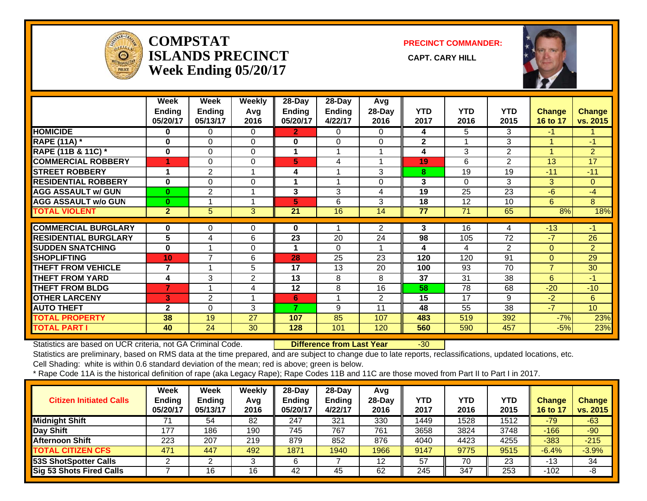

#### **COMPSTATISLANDS PRECINCT** CAPT. CARY HILL **Week Ending 05/20/17**

**PRECINCT COMMANDER:**



|                             | Week           | Week           | <b>Weekly</b>           | $28 - Day$    | $28 - Day$     | <b>Avg</b>     |              |            |                 |                |                |
|-----------------------------|----------------|----------------|-------------------------|---------------|----------------|----------------|--------------|------------|-----------------|----------------|----------------|
|                             | <b>Ending</b>  | <b>Ending</b>  | Avg                     | <b>Ending</b> | <b>Ending</b>  | 28-Day         | YTD          | <b>YTD</b> | <b>YTD</b>      | <b>Change</b>  | <b>Change</b>  |
|                             | 05/20/17       | 05/13/17       | 2016                    | 05/20/17      | 4/22/17        | 2016           | 2017         | 2016       | 2015            | 16 to 17       | vs. 2015       |
| <b>HOMICIDE</b>             | 0              | 0              | 0                       | $\mathbf{2}$  | 0              | 0              | 4            | 5          | 3               | $-1$           |                |
| <b>RAPE (11A) *</b>         | $\bf{0}$       | $\Omega$       | $\Omega$                | 0             | $\Omega$       | 0              | $\mathbf{2}$ |            | 3               | 1              | $-1$           |
| RAPE (11B & 11C) *          | $\bf{0}$       | $\Omega$       | $\Omega$                | 1             | 1              |                | 4            | 3          | $\overline{2}$  | 4              | $\overline{2}$ |
| <b>COMMERCIAL ROBBERY</b>   |                | $\Omega$       | $\Omega$                | 5             | 4              |                | 19           | 6          | 2               | 13             | 17             |
| <b>STREET ROBBERY</b>       | 1              | $\overline{2}$ | $\overline{\mathbf{A}}$ | 4             | 1              | 3              | 8            | 19         | 19              | $-11$          | $-11$          |
| <b>RESIDENTIAL ROBBERY</b>  | $\bf{0}$       | $\Omega$       | $\Omega$                | 1             | $\overline{ }$ | 0              | 3            | $\Omega$   | 3               | 3              | $\Omega$       |
| <b>AGG ASSAULT w/ GUN</b>   | $\bf{0}$       | $\overline{2}$ |                         | 3             | 3              | 4              | 19           | 25         | $\overline{23}$ | $-6$           | $-4$           |
| <b>AGG ASSAULT w/o GUN</b>  | $\bf{0}$       |                |                         | 5             | 6              | 3              | 18           | 12         | 10              | 6              | 8              |
| <b>TOTAL VIOLENT</b>        | $\overline{2}$ | $\overline{5}$ | $\overline{3}$          | 21            | 16             | 14             | 77           | 71         | 65              | 8%             | 18%            |
|                             |                |                |                         |               |                |                |              |            |                 |                |                |
| <b>COMMERCIAL BURGLARY</b>  | $\bf{0}$       | 0              | 0                       | 0             | 1              | $\overline{2}$ | 3            | 16         | 4               | $-13$          | -1             |
| <b>RESIDENTIAL BURGLARY</b> | 5              | 4              | 6                       | 23            | 20             | 24             | 98           | 105        | 72              | $-7$           | 26             |
| <b>SUDDEN SNATCHING</b>     | $\bf{0}$       |                | $\Omega$                |               | $\Omega$       |                | 4            | 4          | $\overline{2}$  | $\Omega$       | $\overline{2}$ |
| <b>SHOPLIFTING</b>          | 10             | $\overline{7}$ | 6                       | 28            | 25             | 23             | 120          | 120        | 91              | $\Omega$       | 29             |
| <b>THEFT FROM VEHICLE</b>   | $\overline{7}$ |                | 5                       | 17            | 13             | 20             | 100          | 93         | 70              | $\overline{7}$ | 30             |
| <b>THEFT FROM YARD</b>      | 4              | 3              | 2                       | 13            | 8              | 8              | 37           | 31         | 38              | 6.             | $-1$           |
| <b>THEFT FROM BLDG</b>      | $\overline{7}$ |                | 4                       | 12            | 8              | 16             | 58           | 78         | 68              | $-20$          | $-10$          |
| <b>OTHER LARCENY</b>        | 3              | 2              |                         | 6             | $\overline{ }$ | $\overline{2}$ | 15           | 17         | 9               | $-2$           | 6              |
| <b>AUTO THEFT</b>           | $\mathbf{2}$   | $\Omega$       | 3                       | 7             | 9              | 11             | 48           | 55         | 38              | $-7$           | 10             |
| <b>TOTAL PROPERTY</b>       | 38             | 19             | 27                      | 107           | 85             | 107            | 483          | 519        | 392             | $-7%$          | 23%            |
| <b>TOTAL PART I</b>         | 40             | 24             | 30                      | 128           | 101            | 120            | 560          | 590        | 457             | $-5%$          | 23%            |

Statistics are based on UCR criteria, not GA Criminal Code. **Difference from Last Year** -30

Statistics are preliminary, based on RMS data at the time prepared, and are subject to change due to late reports, reclassifications, updated locations, etc.

Cell Shading: white is within 0.6 standard deviation of the mean; red is above; green is below.

| <b>Citizen Initiated Calls</b> | <b>Week</b><br><b>Ending</b><br>05/20/17 | <b>Week</b><br><b>Ending</b><br>05/13/17 | Weekly<br>Avg<br>2016 | $28-Dav$<br><b>Ending</b><br>05/20/17 | $28 - Day$<br>Ending<br>4/22/17 | Avg<br>28-Day<br>2016 | <b>YTD</b><br>2017 | YTD<br>2016 | YTD<br>2015 | <b>Change</b><br>16 to 17 | <b>Change</b><br>vs. 2015 |
|--------------------------------|------------------------------------------|------------------------------------------|-----------------------|---------------------------------------|---------------------------------|-----------------------|--------------------|-------------|-------------|---------------------------|---------------------------|
| <b>Midnight Shift</b>          |                                          | 54                                       | 82                    | 247                                   | 321                             | $\overline{330}$      | 1449               | 1528        | 1512        | $-79$                     | $-63$                     |
| Day Shift                      | 177                                      | 186                                      | 190                   | 745                                   | 767                             | 761                   | 3658               | 3824        | 3748        | -166                      | $-90$                     |
| Afternoon Shift                | 223                                      | 207                                      | 219                   | 879                                   | 852                             | 876                   | 4040               | 4423        | 4255        | $-383$                    | $-215$                    |
| <b>TOTAL CITIZEN CFS</b>       | 471                                      | 447                                      | 492                   | 1871                                  | 1940                            | 1966                  | 9147               | 9775        | 9515        | $-6.4%$                   | $-3.9%$                   |
| <b>53S ShotSpotter Calls</b>   |                                          |                                          | ว<br>ບ                |                                       |                                 | 12                    | 57                 | 70          | 23          | $-13$                     | 34                        |
| Sig 53 Shots Fired Calls       |                                          | 16                                       | 16                    | 42                                    | 45                              | 62                    | 245                | 347         | 253         | -102                      | -8                        |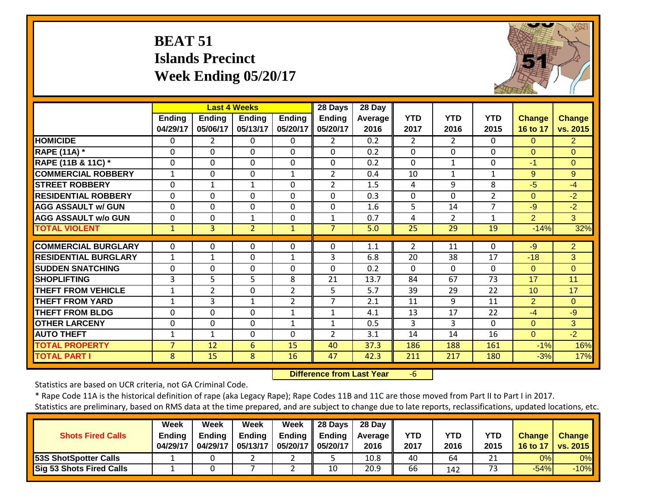## **BEAT 51 Islands Precinct Week Ending 05/20/17**



|                             |                           |                           | <b>Last 4 Weeks</b>       |                           | 28 Days            | 28 Day                 |                    |                    |                    |                           |                           |
|-----------------------------|---------------------------|---------------------------|---------------------------|---------------------------|--------------------|------------------------|--------------------|--------------------|--------------------|---------------------------|---------------------------|
|                             | <b>Ending</b><br>04/29/17 | <b>Ending</b><br>05/06/17 | <b>Ending</b><br>05/13/17 | <b>Ending</b><br>05/20/17 | Ending<br>05/20/17 | <b>Average</b><br>2016 | <b>YTD</b><br>2017 | <b>YTD</b><br>2016 | <b>YTD</b><br>2015 | <b>Change</b><br>16 to 17 | <b>Change</b><br>vs. 2015 |
| <b>HOMICIDE</b>             | $\Omega$                  | $\mathbf{2}$              | $\Omega$                  | $\mathbf{0}$              | $\overline{2}$     | 0.2                    | $\overline{2}$     | $\overline{2}$     | $\Omega$           | $\Omega$                  | $\overline{2}$            |
| <b>RAPE (11A)</b> *         | $\Omega$                  | 0                         | $\Omega$                  | $\Omega$                  | $\Omega$           | 0.2                    | $\Omega$           | $\Omega$           | $\Omega$           | $\Omega$                  | $\Omega$                  |
| RAPE (11B & 11C) *          | $\mathbf 0$               | $\mathbf 0$               | $\Omega$                  | $\mathbf 0$               | 0                  | 0.2                    | $\Omega$           | $\mathbf{1}$       | $\Omega$           | $-1$                      | $\overline{O}$            |
| <b>COMMERCIAL ROBBERY</b>   | $\mathbf{1}$              | 0                         | $\mathbf{0}$              | $\mathbf{1}$              | $\overline{2}$     | 0.4                    | 10                 | 1                  | 1                  | 9                         | 9                         |
| <b>STREET ROBBERY</b>       | $\Omega$                  | $\mathbf{1}$              | $\mathbf{1}$              | $\Omega$                  | $\overline{2}$     | 1.5                    | 4                  | 9                  | 8                  | $-5$                      | $-4$                      |
| <b>RESIDENTIAL ROBBERY</b>  | $\Omega$                  | 0                         | $\Omega$                  | $\Omega$                  | $\Omega$           | 0.3                    | $\Omega$           | $\Omega$           | $\overline{2}$     | $\Omega$                  | $-2$                      |
| <b>AGG ASSAULT w/ GUN</b>   | $\mathbf 0$               | 0                         | $\mathbf{0}$              | 0                         | 0                  | 1.6                    | 5                  | 14                 | 7                  | $-9$                      | $-2$                      |
| <b>AGG ASSAULT w/o GUN</b>  | $\Omega$                  | 0                         | 1                         | 0                         | 1                  | 0.7                    | 4                  | 2                  | 1                  | 2                         | 3 <sup>1</sup>            |
| <b>TOTAL VIOLENT</b>        | $\mathbf{1}$              | $\overline{3}$            | $\overline{2}$            | $\mathbf{1}$              | $\overline{7}$     | 5.0                    | 25                 | 29                 | 19                 | $-14%$                    | 32%                       |
| <b>COMMERCIAL BURGLARY</b>  | $\Omega$                  | 0                         | 0                         | $\Omega$                  | 0                  | 1.1                    | $\overline{2}$     | 11                 | 0                  | $-9$                      | $\overline{2}$            |
| <b>RESIDENTIAL BURGLARY</b> | $\mathbf{1}$              | 1                         | $\mathbf{0}$              | $\mathbf{1}$              | 3                  | 6.8                    | 20                 | 38                 | 17                 | $-18$                     | 3                         |
| <b>ISUDDEN SNATCHING</b>    | $\Omega$                  | 0                         | $\Omega$                  | 0                         | 0                  | 0.2                    | $\Omega$           | $\Omega$           | $\Omega$           | $\Omega$                  | $\Omega$                  |
| <b>SHOPLIFTING</b>          | 3                         | 5                         | 5                         | 8                         | 21                 | 13.7                   | 84                 | 67                 | 73                 | 17                        | 11                        |
| <b>THEFT FROM VEHICLE</b>   | $\mathbf{1}$              | $\overline{2}$            | $\Omega$                  | 2                         | 5                  | 5.7                    | 39                 | 29                 | 22                 | 10 <sup>1</sup>           | 17                        |
| <b>THEFT FROM YARD</b>      | 1                         | 3                         | $\mathbf{1}$              | 2                         | 7                  | 2.1                    | 11                 | 9                  | 11                 | 2                         | $\Omega$                  |
| <b>THEFT FROM BLDG</b>      | $\Omega$                  | $\Omega$                  | $\Omega$                  | 1                         | 1                  | 4.1                    | 13                 | 17                 | 22                 | $-4$                      | $-9$                      |
| <b>OTHER LARCENY</b>        | $\Omega$                  | $\Omega$                  | $\Omega$                  | $\mathbf{1}$              | 1                  | 0.5                    | 3                  | 3                  | $\Omega$           | $\Omega$                  | 3                         |
| <b>AUTO THEFT</b>           | $\mathbf{1}$              | $\mathbf{1}$              | $\mathbf{0}$              | $\Omega$                  | $\overline{2}$     | 3.1                    | 14                 | 14                 | 16                 | $\Omega$                  | $-2$                      |
| <b>TOTAL PROPERTY</b>       | $\overline{7}$            | 12                        | $6\phantom{1}$            | 15                        | 40                 | 37.3                   | 186                | 188                | 161                | $-1%$                     | 16%                       |
| <b>TOTAL PART I</b>         | 8                         | 15                        | 8                         | 16                        | 47                 | 42.3                   | 211                | 217                | 180                | $-3%$                     | 17%                       |

 **Difference from Last Year**‐6

Statistics are based on UCR criteria, not GA Criminal Code.

\* Rape Code 11A is the historical definition of rape (aka Legacy Rape); Rape Codes 11B and 11C are those moved from Part II to Part I in 2017.

|                                 | Week     | Week     | Week          | Week                | $\parallel$ 28 Days | 28 Day            |            |            |      |               |                 |
|---------------------------------|----------|----------|---------------|---------------------|---------------------|-------------------|------------|------------|------|---------------|-----------------|
| <b>Shots Fired Calls</b>        | Ending   | Endina   | <b>Ending</b> | Endina              | <b>Ending</b>       | <b>Average</b> II | <b>YTD</b> | <b>YTD</b> | YTD  | <b>Change</b> | <b>Change</b>   |
|                                 | 04/29/17 | 04/29/17 | 05/13/17      | 05/20/17   05/20/17 |                     | 2016              | 2017       | 2016       | 2015 | 16 to 17      | <b>vs. 2015</b> |
| <b>53S ShotSpotter Calls</b>    |          |          |               |                     |                     | 10.8              | 40         | 64         | 21   | 0%            | 0%              |
| <b>Sig 53 Shots Fired Calls</b> |          |          |               |                     | 10                  | 20.9              | 66         | 142        | 73   | $-54%$        | $-10%$          |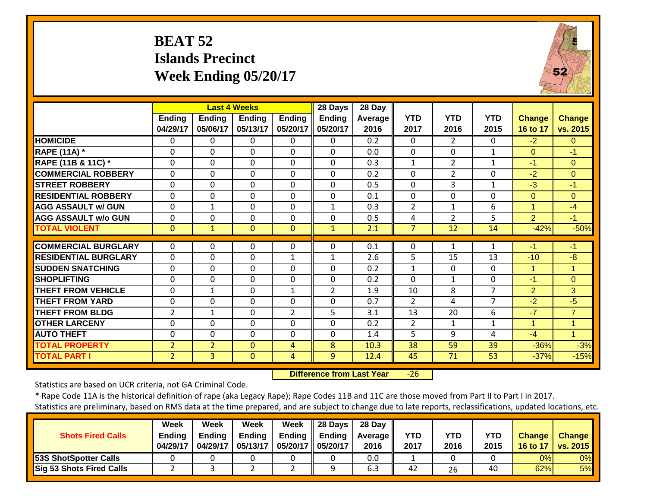## **BEAT 52 Islands Precinct Week Ending 05/20/17**



|                               |                    |                           | <b>Last 4 Weeks</b> |                    | 28 Days                   | 28 Day          |                    |                    |                    |                                  |                      |
|-------------------------------|--------------------|---------------------------|---------------------|--------------------|---------------------------|-----------------|--------------------|--------------------|--------------------|----------------------------------|----------------------|
|                               | Ending<br>04/29/17 | <b>Ending</b><br>05/06/17 | Ending<br>05/13/17  | Ending<br>05/20/17 | <b>Ending</b><br>05/20/17 | Average<br>2016 | <b>YTD</b><br>2017 | <b>YTD</b><br>2016 | <b>YTD</b><br>2015 | <b>Change</b><br><b>16 to 17</b> | Change<br>vs. 2015   |
| <b>HOMICIDE</b>               | $\Omega$           | $\Omega$                  | $\Omega$            | 0                  | $\Omega$                  | 0.2             | $\Omega$           | $\overline{2}$     | $\Omega$           | $-2$                             | $\Omega$             |
| <b>RAPE (11A)</b> *           | $\Omega$           | $\Omega$                  | $\Omega$            | $\Omega$           | 0                         | 0.0             | $\Omega$           | 0                  | 1                  | $\Omega$                         | $-1$                 |
| <b>RAPE (11B &amp; 11C)</b> * | $\mathbf 0$        | 0                         | $\Omega$            | 0                  | 0                         | 0.3             | $\mathbf{1}$       | $\overline{2}$     | $\mathbf 1$        | $-1$                             | $\Omega$             |
| <b>COMMERCIAL ROBBERY</b>     | $\mathbf 0$        | $\Omega$                  | $\mathbf 0$         | $\mathbf 0$        | 0                         | 0.2             | $\Omega$           | $\overline{2}$     | $\Omega$           | $-2$                             | $\Omega$             |
| <b>STREET ROBBERY</b>         | $\mathbf 0$        | $\mathbf 0$               | $\mathbf 0$         | $\mathbf 0$        | $\mathbf 0$               | 0.5             | 0                  | 3                  | $\mathbf{1}$       | $-3$                             | $-1$                 |
| <b>RESIDENTIAL ROBBERY</b>    | $\mathbf 0$        | $\Omega$                  | $\mathbf 0$         | $\Omega$           | $\Omega$                  | 0.1             | $\Omega$           | $\Omega$           | $\Omega$           | $\Omega$                         | $\Omega$             |
| <b>AGG ASSAULT w/ GUN</b>     | $\Omega$           | 1                         | $\Omega$            | $\Omega$           | 1                         | 0.3             | 2                  | 1                  | 6                  | 1                                | $-4$                 |
| <b>AGG ASSAULT w/o GUN</b>    | $\Omega$           | $\Omega$                  | $\Omega$            | $\Omega$           | 0                         | 0.5             | 4                  | $\overline{2}$     | 5                  | $\overline{2}$                   | $-1$                 |
| <b>TOTAL VIOLENT</b>          | $\mathbf{0}$       | $\mathbf{1}$              | $\Omega$            | $\Omega$           | $\mathbf{1}$              | 2.1             | 7                  | 12                 | 14                 | $-42%$                           | $-50%$               |
| <b>COMMERCIAL BURGLARY</b>    | $\Omega$           | 0                         | $\Omega$            | 0                  | 0                         | 0.1             | 0                  | 1                  | 1                  | -1                               | $-1$                 |
| <b>RESIDENTIAL BURGLARY</b>   | $\Omega$           | $\Omega$                  | $\Omega$            | $\mathbf{1}$       | 1                         | 2.6             | 5                  | 15                 | 13                 | $-10$                            | $-8$                 |
| <b>SUDDEN SNATCHING</b>       | 0                  | $\Omega$                  | $\Omega$            | $\Omega$           | 0                         | 0.2             | 1                  | 0                  | $\Omega$           | 1                                | $\blacktriangleleft$ |
| <b>SHOPLIFTING</b>            | 0                  | $\Omega$                  | $\Omega$            | $\Omega$           | 0                         | 0.2             | $\Omega$           | $\mathbf{1}$       | $\Omega$           | $-1$                             | $\Omega$             |
| <b>THEFT FROM VEHICLE</b>     | 0                  | $\mathbf{1}$              | $\Omega$            | $\mathbf{1}$       | $\overline{2}$            | 1.9             | 10                 | 8                  | 7                  | $\overline{2}$                   | 3                    |
| <b>THEFT FROM YARD</b>        | $\Omega$           | $\Omega$                  | $\Omega$            | 0                  | 0                         | 0.7             | 2                  | 4                  | 7                  | $-2$                             | $-5$                 |
| <b>THEFT FROM BLDG</b>        | $\overline{2}$     | $\mathbf{1}$              | $\Omega$            | 2                  | 5                         | 3.1             | 13                 | 20                 | 6                  | $-7$                             | $\overline{7}$       |
| <b>OTHER LARCENY</b>          | $\mathbf 0$        | $\Omega$                  | $\Omega$            | $\Omega$           | $\Omega$                  | 0.2             | $\overline{2}$     | $\mathbf{1}$       | $\mathbf{1}$       | 1                                | 1                    |
| <b>AUTO THEFT</b>             | $\mathbf 0$        | $\mathbf 0$               | $\Omega$            | $\mathbf 0$        | 0                         | 1.4             | 5.                 | 9                  | 4                  | $-4$                             | $\overline{1}$       |
| <b>TOTAL PROPERTY</b>         | $\overline{2}$     | $\overline{2}$            | $\mathbf{0}$        | 4                  | 8                         | 10.3            | 38                 | 59                 | 39                 | $-36%$                           | $-3%$                |
| <b>TOTAL PART I</b>           | $\overline{2}$     | $\overline{3}$            | $\mathbf{0}$        | $\overline{4}$     | 9 <sup>°</sup>            | 12.4            | 45                 | 71                 | 53                 | $-37%$                           | $-15%$               |

 **Difference from Last Year**r -26

Statistics are based on UCR criteria, not GA Criminal Code.

\* Rape Code 11A is the historical definition of rape (aka Legacy Rape); Rape Codes 11B and 11C are those moved from Part II to Part I in 2017.

|                                 | Week     | Week     | Week          | Week                | $\parallel$ 28 Days | 28 Day            |            |            |            |               |                 |
|---------------------------------|----------|----------|---------------|---------------------|---------------------|-------------------|------------|------------|------------|---------------|-----------------|
| <b>Shots Fired Calls</b>        | Endina   | Endina   | <b>Ending</b> | Endina              | Ending              | <b>Average</b> II | <b>YTD</b> | <b>YTD</b> | <b>YTD</b> | <b>Change</b> | <b>Change</b>   |
|                                 | 04/29/17 | 04/29/17 | 05/13/17      | 05/20/17   05/20/17 |                     | 2016              | 2017       | 2016       | 2015       | 16 to 17      | <b>vs. 2015</b> |
| <b>53S ShotSpotter Calls</b>    |          |          |               |                     |                     | 0.0               |            |            |            | 0%I           | 0%              |
| <b>Sig 53 Shots Fired Calls</b> |          |          |               |                     |                     | 6.3               | 42         | 26         | 40         | 62%           | 5%              |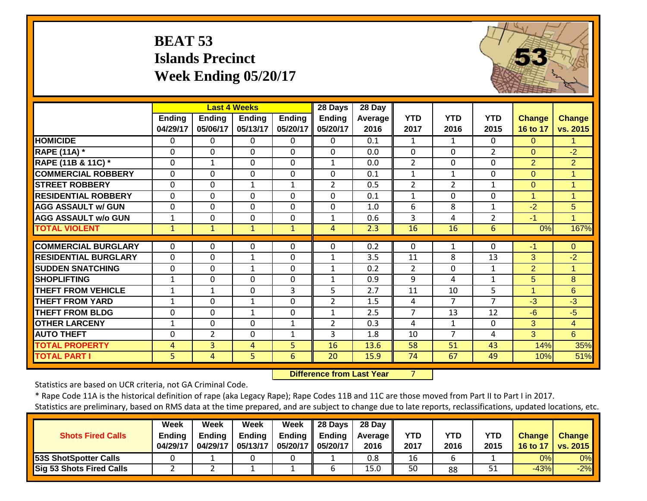## **BEAT 53 Islands Precinct Week Ending 05/20/17**



|                             |                           |                           | <b>Last 4 Weeks</b>       |                           | 28 Days            | 28 Day                 |                    |                    |                    |                           |                           |
|-----------------------------|---------------------------|---------------------------|---------------------------|---------------------------|--------------------|------------------------|--------------------|--------------------|--------------------|---------------------------|---------------------------|
|                             | <b>Ending</b><br>04/29/17 | <b>Ending</b><br>05/06/17 | <b>Ending</b><br>05/13/17 | <b>Ending</b><br>05/20/17 | Ending<br>05/20/17 | <b>Average</b><br>2016 | <b>YTD</b><br>2017 | <b>YTD</b><br>2016 | <b>YTD</b><br>2015 | <b>Change</b><br>16 to 17 | <b>Change</b><br>vs. 2015 |
| <b>HOMICIDE</b>             | $\Omega$                  | 0                         | $\mathbf{0}$              | $\mathbf{0}$              | 0                  | 0.1                    | $\mathbf{1}$       | $\mathbf{1}$       | $\Omega$           | $\Omega$                  |                           |
| <b>RAPE (11A) *</b>         | $\Omega$                  | $\Omega$                  | $\mathbf{0}$              | $\mathbf{0}$              | 0                  | 0.0                    | $\Omega$           | 0                  | $\overline{2}$     | $\Omega$                  | $-2$                      |
| RAPE (11B & 11C) *          | $\Omega$                  | $\mathbf{1}$              | $\mathbf{0}$              | $\Omega$                  | $\mathbf{1}$       | 0.0                    | $\overline{2}$     | 0                  | $\Omega$           | 2                         | $\overline{2}$            |
| <b>COMMERCIAL ROBBERY</b>   | $\Omega$                  | $\Omega$                  | $\Omega$                  | $\Omega$                  | $\Omega$           | 0.1                    | $\mathbf{1}$       | $\mathbf{1}$       | 0                  | $\Omega$                  | 1                         |
| <b>STREET ROBBERY</b>       | $\Omega$                  | $\Omega$                  | $\mathbf{1}$              | $\mathbf{1}$              | $\overline{2}$     | 0.5                    | $\overline{2}$     | $\overline{2}$     | $\mathbf{1}$       | $\Omega$                  | $\overline{1}$            |
| <b>RESIDENTIAL ROBBERY</b>  | $\Omega$                  | 0                         | $\Omega$                  | 0                         | 0                  | 0.1                    | $\mathbf{1}$       | 0                  | 0                  | $\blacktriangleleft$      | 1                         |
| <b>AGG ASSAULT w/ GUN</b>   | $\mathbf 0$               | 0                         | $\mathbf 0$               | 0                         | $\mathbf 0$        | 1.0                    | 6                  | 8                  | $\mathbf{1}$       | $-2$                      | 5                         |
| <b>AGG ASSAULT w/o GUN</b>  | $\mathbf{1}$              | 0                         | $\Omega$                  | 0                         | 1                  | 0.6                    | 3                  | 4                  | $\overline{2}$     | $-1$                      | 1                         |
| <b>TOTAL VIOLENT</b>        | $\mathbf{1}$              | $\mathbf{1}$              | $\mathbf{1}$              | $\mathbf{1}$              | $\overline{4}$     | 2.3                    | 16                 | 16                 | 6                  | 0%                        | 167%                      |
|                             |                           |                           |                           |                           |                    |                        |                    |                    |                    |                           |                           |
| <b>COMMERCIAL BURGLARY</b>  | $\Omega$                  | 0                         | 0                         | 0                         | 0                  | 0.2                    | $\Omega$           | 1                  | $\Omega$           | $-1$                      | $\Omega$                  |
| <b>RESIDENTIAL BURGLARY</b> | $\mathbf 0$               | 0                         | $\mathbf{1}$              | 0                         | 1                  | 3.5                    | 11                 | 8                  | 13                 | 3 <sup>1</sup>            | $-2$                      |
| <b>ISUDDEN SNATCHING</b>    | $\Omega$                  | 0                         | $\mathbf{1}$              | 0                         | $\mathbf{1}$       | 0.2                    | $\overline{2}$     | 0                  | $\mathbf{1}$       | 2                         |                           |
| <b>SHOPLIFTING</b>          | $\mathbf{1}$              | 0                         | $\Omega$                  | 0                         | 1                  | 0.9                    | 9                  | 4                  | $\mathbf{1}$       | 5                         | 8                         |
| <b>THEFT FROM VEHICLE</b>   | 1                         | 1                         | $\Omega$                  | 3                         | 5                  | 2.7                    | 11                 | 10                 | 5                  | 4                         | 6                         |
| <b>THEFT FROM YARD</b>      | $\mathbf{1}$              | 0                         | $\mathbf{1}$              | $\mathbf 0$               | $\overline{2}$     | 1.5                    | 4                  | $\overline{7}$     | 7                  | $-3$                      | $-3$                      |
| <b>THEFT FROM BLDG</b>      | $\Omega$                  | $\Omega$                  | $\mathbf{1}$              | $\Omega$                  | 1                  | 2.5                    | 7                  | 13                 | 12                 | $-6$                      | $-5$                      |
| <b>OTHER LARCENY</b>        | 1                         | $\Omega$                  | $\Omega$                  | $\mathbf{1}$              | $\overline{2}$     | 0.3                    | 4                  | $\mathbf{1}$       | $\Omega$           | 3                         | $\overline{4}$            |
| <b>AUTO THEFT</b>           | $\Omega$                  | $\overline{2}$            | $\Omega$                  | 1                         | 3                  | 1.8                    | 10                 | 7                  | 4                  | 3                         | 6                         |
| <b>TOTAL PROPERTY</b>       | 4                         | 3                         | 4                         | 5                         | 16                 | 13.6                   | 58                 | 51                 | 43                 | 14%                       | 35%                       |
| <b>TOTAL PART I</b>         | 5                         | 4                         | 5                         | 6                         | 20                 | 15.9                   | 74                 | 67                 | 49                 | 10%                       | 51%                       |

 **Difference from Last Year**

7

Statistics are based on UCR criteria, not GA Criminal Code.

| <b>Shots Fired Calls</b>        | Week<br><b>Ending</b><br>04/29/17 | Week<br><b>Ending</b><br>04/29/17 | Week<br><b>Ending</b><br>05/13/17 | Week<br><b>Ending</b><br>05/20/17 | 28 Davs<br><b>Ending</b><br>05/20/17 | 28 Day<br><b>Average</b><br>2016 | YTD<br>2017 | YTD<br>2016 | YTD<br>2015 | <b>Change</b><br>16 to 17 | <b>Change</b><br>vs. 2015 |
|---------------------------------|-----------------------------------|-----------------------------------|-----------------------------------|-----------------------------------|--------------------------------------|----------------------------------|-------------|-------------|-------------|---------------------------|---------------------------|
| <b>53S ShotSpotter Calls</b>    |                                   |                                   |                                   |                                   |                                      | 0.8                              | 16          | b           |             | 0%                        | 0%                        |
| <b>Sig 53 Shots Fired Calls</b> |                                   |                                   |                                   |                                   |                                      | 15.0                             | 50          | 88          | 51          | $-43%$                    | $-2\%$                    |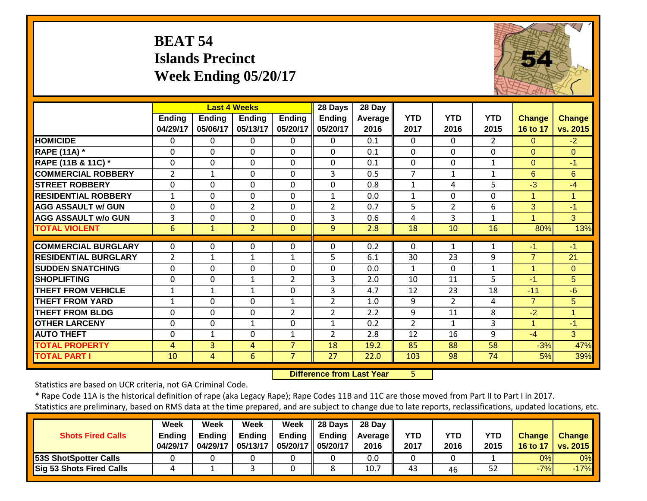## **BEAT 54 Islands Precinct Week Ending 05/20/17**



|                               |                    |                    | <b>Last 4 Weeks</b>       |                           | 28 Days                   | 28 Day                 |                    |                    |                    |                           |                    |
|-------------------------------|--------------------|--------------------|---------------------------|---------------------------|---------------------------|------------------------|--------------------|--------------------|--------------------|---------------------------|--------------------|
|                               | Ending<br>04/29/17 | Ending<br>05/06/17 | <b>Ending</b><br>05/13/17 | <b>Ending</b><br>05/20/17 | <b>Ending</b><br>05/20/17 | <b>Average</b><br>2016 | <b>YTD</b><br>2017 | <b>YTD</b><br>2016 | <b>YTD</b><br>2015 | <b>Change</b><br>16 to 17 | Change<br>vs. 2015 |
| <b>HOMICIDE</b>               | $\Omega$           | 0                  | $\mathbf{0}$              | $\Omega$                  | 0                         | 0.1                    | $\Omega$           | $\Omega$           | $\overline{2}$     | $\Omega$                  | $-2$               |
| <b>RAPE (11A)</b> *           | $\Omega$           | 0                  | $\Omega$                  | $\Omega$                  | $\Omega$                  | 0.1                    | $\Omega$           | $\Omega$           | $\Omega$           | $\Omega$                  | $\Omega$           |
| <b>RAPE (11B &amp; 11C)</b> * | $\mathbf 0$        | 0                  | $\mathbf 0$               | $\mathbf 0$               | 0                         | 0.1                    | $\mathbf{0}$       | $\mathbf 0$        | $\mathbf{1}$       | $\Omega$                  | $-1$               |
| <b>COMMERCIAL ROBBERY</b>     | $\overline{2}$     | 1                  | 0                         | 0                         | 3                         | 0.5                    | $\overline{7}$     | 1                  | $\mathbf{1}$       | 6                         | 6                  |
| <b>STREET ROBBERY</b>         | 0                  | $\Omega$           | 0                         | $\Omega$                  | $\Omega$                  | 0.8                    | $\mathbf{1}$       | 4                  | 5                  | $-3$                      | $-4$               |
| <b>RESIDENTIAL ROBBERY</b>    | 1                  | 0                  | 0                         | 0                         | 1                         | 0.0                    | 1                  | 0                  | $\Omega$           | 1                         |                    |
| <b>AGG ASSAULT w/ GUN</b>     | $\Omega$           | $\Omega$           | $\overline{2}$            | 0                         | $\overline{2}$            | 0.7                    | 5                  | $\overline{2}$     | 6                  | 3                         | $-1$               |
| <b>AGG ASSAULT w/o GUN</b>    | 3                  | $\Omega$           | $\Omega$                  | 0                         | 3                         | 0.6                    | 4                  | 3                  | 1                  | 1                         | 3                  |
| <b>TOTAL VIOLENT</b>          | 6                  | $\mathbf{1}$       | $\overline{2}$            | $\Omega$                  | 9                         | 2.8                    | 18                 | 10                 | 16                 | 80%                       | 13%                |
| <b>COMMERCIAL BURGLARY</b>    | $\Omega$           | 0                  | $\mathbf{0}$              | $\Omega$                  | 0                         | 0.2                    | $\Omega$           |                    | 1                  | -1                        | $-1$               |
| <b>RESIDENTIAL BURGLARY</b>   | $\overline{2}$     | 1                  | $\mathbf{1}$              | $\mathbf{1}$              | 5                         | 6.1                    | 30                 | 23                 | 9                  | $\overline{7}$            | 21                 |
| <b>ISUDDEN SNATCHING</b>      | $\mathbf 0$        | 0                  | $\mathbf 0$               | 0                         | $\mathbf 0$               | 0.0                    | 1                  | $\Omega$           | $\mathbf{1}$       | 1                         | $\Omega$           |
| <b>SHOPLIFTING</b>            | $\Omega$           | $\Omega$           | $\mathbf{1}$              | $\overline{2}$            | 3                         | 2.0                    | 10                 | 11                 | 5                  | $-1$                      | 5                  |
| <b>THEFT FROM VEHICLE</b>     | 1                  | 1                  | 1                         | 0                         | 3                         | 4.7                    | 12                 | 23                 | 18                 | $-11$                     | $-6$               |
| <b>THEFT FROM YARD</b>        |                    | $\Omega$           | $\Omega$                  | $\mathbf{1}$              | $\overline{2}$            | 1.0                    | 9                  | $\overline{2}$     | 4                  | $\overline{7}$            | 5                  |
| <b>THEFT FROM BLDG</b>        | 1<br>$\Omega$      | $\Omega$           | $\mathbf 0$               | $\overline{2}$            | $\overline{2}$            | 2.2                    |                    | 11                 | 8                  | $-2$                      | $\mathbf{1}$       |
|                               |                    |                    |                           |                           |                           |                        | 9                  |                    |                    |                           |                    |
| <b>OTHER LARCENY</b>          | $\Omega$           | 0                  | $\mathbf{1}$              | $\Omega$                  | $\mathbf{1}$              | 0.2                    | $\overline{2}$     | 1                  | 3                  | 1                         | $-1$               |
| <b>AUTO THEFT</b>             | $\mathbf 0$        | $\mathbf{1}$       | $\mathbf 0$               | $\mathbf{1}$              | $\overline{2}$            | 2.8                    | 12                 | 16                 | 9                  | $-4$                      | 3                  |
| <b>TOTAL PROPERTY</b>         | 4                  | 3                  | 4                         | 7                         | 18                        | 19.2                   | 85                 | 88                 | 58                 | $-3%$                     | 47%                |
| <b>TOTAL PART I</b>           | 10                 | 4                  | $6\overline{6}$           | $\overline{7}$            | 27                        | 22.0                   | 103                | 98                 | 74                 | 5%                        | 39%                |

 **Difference from Last Year**5

Statistics are based on UCR criteria, not GA Criminal Code.

\* Rape Code 11A is the historical definition of rape (aka Legacy Rape); Rape Codes 11B and 11C are those moved from Part II to Part I in 2017.

|                              | Week          | Week          | Week          | Week              | 28 Days | 28 Dav            |            |      |            |        |                     |
|------------------------------|---------------|---------------|---------------|-------------------|---------|-------------------|------------|------|------------|--------|---------------------|
| <b>Shots Fired Calls</b>     | <b>Ending</b> | <b>Endina</b> | <b>Ending</b> | Ending            | Ending  | <b>Average</b> II | <b>YTD</b> | YTD  | <b>YTD</b> | Change | <b>Change</b>       |
|                              | 04/29/17      | 04/29/17      | 05/13/17      | 05/20/17 05/20/17 |         | 2016              | 2017       | 2016 | 2015       |        | 16 to 17   vs. 2015 |
| <b>53S ShotSpotter Calls</b> |               |               |               |                   |         | 0.0               |            |      |            | 0%     | 0%                  |
| Sig 53 Shots Fired Calls     |               |               |               |                   |         | 10.7              | 43         | 46   | 52         | $-7%$  | $-17%$              |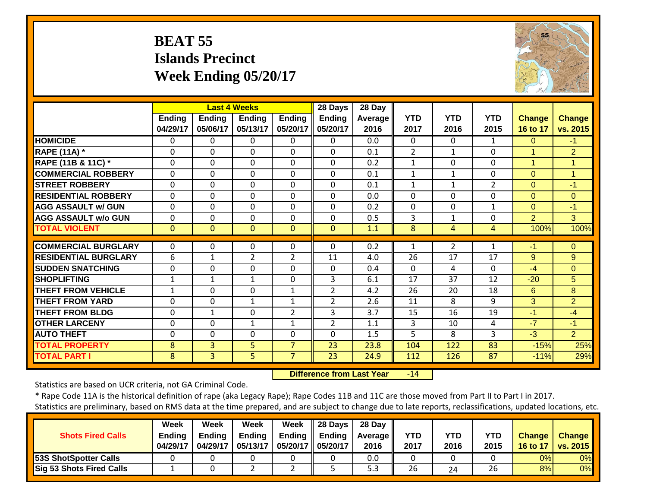## **BEAT 55 Islands Precinct Week Ending 05/20/17**



|                             |                           |                           | <b>Last 4 Weeks</b>       |                           | 28 Days                   | 28 Day          |                    |                    |                    |                           |                           |
|-----------------------------|---------------------------|---------------------------|---------------------------|---------------------------|---------------------------|-----------------|--------------------|--------------------|--------------------|---------------------------|---------------------------|
|                             | <b>Ending</b><br>04/29/17 | <b>Ending</b><br>05/06/17 | <b>Ending</b><br>05/13/17 | <b>Ending</b><br>05/20/17 | <b>Ending</b><br>05/20/17 | Average<br>2016 | <b>YTD</b><br>2017 | <b>YTD</b><br>2016 | <b>YTD</b><br>2015 | <b>Change</b><br>16 to 17 | <b>Change</b><br>vs. 2015 |
| <b>HOMICIDE</b>             | 0                         | 0                         | $\Omega$                  | $\mathbf{0}$              | $\Omega$                  | 0.0             | $\Omega$           | $\Omega$           | $\mathbf{1}$       | $\Omega$                  | $-1$                      |
| <b>RAPE (11A) *</b>         | 0                         | $\Omega$                  | $\Omega$                  | $\Omega$                  | $\mathbf 0$               | 0.1             | $\overline{2}$     | $\mathbf{1}$       | $\Omega$           | 1                         | $\overline{2}$            |
| RAPE (11B & 11C) *          | 0                         | 0                         | $\Omega$                  | 0                         | 0                         | 0.2             | $\mathbf{1}$       | $\Omega$           | $\Omega$           | 1                         | 1                         |
| <b>COMMERCIAL ROBBERY</b>   | 0                         | $\Omega$                  | $\Omega$                  | $\Omega$                  | 0                         | 0.1             | $\mathbf{1}$       | 1                  | $\mathbf 0$        | $\Omega$                  | 1                         |
| <b>STREET ROBBERY</b>       | 0                         | 0                         | $\Omega$                  | $\Omega$                  | 0                         | 0.1             | 1                  | 1                  | 2                  | $\Omega$                  | $-1$                      |
| <b>RESIDENTIAL ROBBERY</b>  | $\Omega$                  | 0                         | $\Omega$                  | $\Omega$                  | $\Omega$                  | 0.0             | $\mathbf{0}$       | $\Omega$           | $\Omega$           | $\Omega$                  | $\Omega$                  |
| <b>AGG ASSAULT w/ GUN</b>   | $\Omega$                  | $\Omega$                  | $\Omega$                  | $\Omega$                  | $\mathbf 0$               | 0.2             | $\mathbf{0}$       | 0                  | $\mathbf{1}$       | $\Omega$                  | $-1$                      |
| <b>AGG ASSAULT w/o GUN</b>  | 0                         | 0                         | $\Omega$                  | 0                         | 0                         | 0.5             | 3                  | 1                  | $\Omega$           | 2                         | 3                         |
| <b>TOTAL VIOLENT</b>        | $\mathbf{0}$              | $\Omega$                  | $\Omega$                  | $\Omega$                  | $\Omega$                  | 1.1             | 8                  | 4                  | 4                  | 100%                      | 100%                      |
| <b>COMMERCIAL BURGLARY</b>  | 0                         | 0                         | 0                         | 0                         | $\Omega$                  | 0.2             | 1                  | 2                  | 1                  | $-1$                      | $\overline{0}$            |
| <b>RESIDENTIAL BURGLARY</b> | 6                         | $\mathbf{1}$              | $\overline{2}$            | $\overline{2}$            | 11                        | 4.0             | 26                 | 17                 | 17                 | 9                         | 9                         |
| <b>SUDDEN SNATCHING</b>     | 0                         | 0                         | $\Omega$                  | $\Omega$                  | $\Omega$                  | 0.4             | $\Omega$           | 4                  | $\Omega$           | $-4$                      | $\overline{0}$            |
| <b>SHOPLIFTING</b>          | $\mathbf 1$               | $\mathbf{1}$              | 1                         | 0                         | 3                         | 6.1             | 17                 | 37                 | 12                 | $-20$                     | 5                         |
| <b>THEFT FROM VEHICLE</b>   | 1                         | 0                         | $\Omega$                  | 1                         | $\overline{2}$            | 4.2             | 26                 | 20                 | 18                 | 6                         | 8                         |
| <b>THEFT FROM YARD</b>      | 0                         | $\Omega$                  | $\mathbf{1}$              | 1                         | $\overline{2}$            | 2.6             | 11                 | 8                  | 9                  | 3                         | $\overline{2}$            |
| <b>THEFT FROM BLDG</b>      | 0                         | $\mathbf{1}$              | $\Omega$                  | $\overline{2}$            | 3                         | 3.7             | 15                 | 16                 | 19                 | $-1$                      | $-4$                      |
| <b>OTHER LARCENY</b>        | $\Omega$                  | $\Omega$                  | $\mathbf{1}$              | $\mathbf{1}$              | $\overline{2}$            | 1.1             | 3                  | 10                 | 4                  | $-7$                      | $-1$                      |
| <b>AUTO THEFT</b>           | 0                         | 0                         | $\mathbf 0$               | $\mathbf 0$               | 0                         | 1.5             | 5                  | 8                  | 3                  | $-3$                      | $\overline{2}$            |
| <b>TOTAL PROPERTY</b>       | 8                         | 3                         | 5                         | $\overline{7}$            | 23                        | 23.8            | 104                | 122                | 83                 | $-15%$                    | 25%                       |
| <b>TOTAL PART I</b>         | 8                         | $\overline{3}$            | 5                         | 7                         | 23                        | 24.9            | 112                | 126                | 87                 | $-11%$                    | 29%                       |

 **Difference from Last Year** $-14$ 

Statistics are based on UCR criteria, not GA Criminal Code.

|                              | Week          | Week          | Week          | Week          | 28 Days  | 28 Day     |            |      |      |        |                     |
|------------------------------|---------------|---------------|---------------|---------------|----------|------------|------------|------|------|--------|---------------------|
| <b>Shots Fired Calls</b>     | <b>Endina</b> | <b>Ending</b> | <b>Ending</b> | <b>Ending</b> | Ending   | Average II | <b>YTD</b> | YTD  | YTD  | Change | <b>Change</b>       |
|                              | 04/29/17      | 04/29/17      | 05/13/17      | 05/20/17      | 05/20/17 | 2016       | 2017       | 2016 | 2015 |        | 16 to 17   vs. 2015 |
| <b>53S ShotSpotter Calls</b> |               |               |               |               |          | 0.0        |            |      |      | 0%l    | $0\%$               |
| Sig 53 Shots Fired Calls     |               |               |               | ▃             |          | 5.3        | 26         | 24   | 26   | 8%     | 0%                  |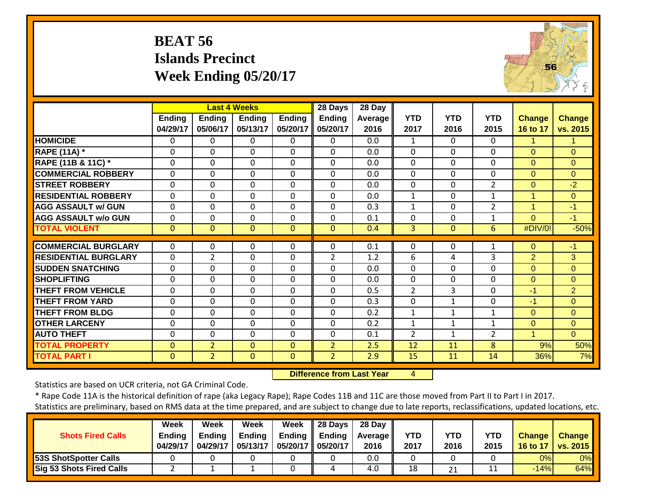## **BEAT 56 Islands Precinct Week Ending 05/20/17**



|                             |                    |                           | <b>Last 4 Weeks</b>       |                    | 28 Days                   | 28 Day                 |                    |                    |                    |                           |                    |
|-----------------------------|--------------------|---------------------------|---------------------------|--------------------|---------------------------|------------------------|--------------------|--------------------|--------------------|---------------------------|--------------------|
|                             | Ending<br>04/29/17 | <b>Ending</b><br>05/06/17 | <b>Ending</b><br>05/13/17 | Ending<br>05/20/17 | <b>Ending</b><br>05/20/17 | <b>Average</b><br>2016 | <b>YTD</b><br>2017 | <b>YTD</b><br>2016 | <b>YTD</b><br>2015 | <b>Change</b><br>16 to 17 | Change<br>vs. 2015 |
| <b>HOMICIDE</b>             | $\Omega$           | $\Omega$                  | $\Omega$                  | 0                  | $\Omega$                  | 0.0                    | $\mathbf{1}$       | $\mathbf{0}$       | $\Omega$           | 1                         | 1                  |
| <b>RAPE (11A) *</b>         | $\Omega$           | $\Omega$                  | $\Omega$                  | $\Omega$           | $\Omega$                  | 0.0                    | $\Omega$           | $\Omega$           | $\Omega$           | $\Omega$                  | $\Omega$           |
| RAPE (11B & 11C) *          | $\mathbf 0$        | $\mathbf 0$               | $\mathbf 0$               | 0                  | 0                         | 0.0                    | $\mathbf{0}$       | $\Omega$           | $\Omega$           | $\Omega$                  | $\overline{0}$     |
| <b>COMMERCIAL ROBBERY</b>   | $\mathbf 0$        | $\Omega$                  | $\Omega$                  | $\Omega$           | $\mathbf 0$               | 0.0                    | $\Omega$           | $\Omega$           | $\Omega$           | $\Omega$                  | $\Omega$           |
| <b>STREET ROBBERY</b>       | $\mathbf 0$        | $\Omega$                  | $\mathbf{0}$              | $\Omega$           | 0                         | 0.0                    | $\Omega$           | $\Omega$           | $\overline{2}$     | $\Omega$                  | $-2$               |
| <b>RESIDENTIAL ROBBERY</b>  | $\mathbf 0$        | $\Omega$                  | $\Omega$                  | $\Omega$           | $\mathbf 0$               | 0.0                    | $\mathbf{1}$       | 0                  | $\mathbf{1}$       | 1                         | $\Omega$           |
| <b>AGG ASSAULT w/ GUN</b>   | $\mathbf 0$        | $\Omega$                  | $\Omega$                  | $\Omega$           | $\mathbf 0$               | 0.3                    | $\mathbf{1}$       | $\Omega$           | $\overline{2}$     | 1                         | $-1$               |
| <b>AGG ASSAULT w/o GUN</b>  | $\mathbf 0$        | $\mathbf 0$               | $\mathbf 0$               | $\mathbf 0$        | $\mathbf 0$               | 0.1                    | 0                  | 0                  | $\mathbf{1}$       | $\Omega$                  | $-1$               |
| <b>TOTAL VIOLENT</b>        | $\mathbf{0}$       | $\Omega$                  | $\Omega$                  | $\Omega$           | 0                         | 0.4                    | $\overline{3}$     | $\Omega$           | 6                  | #DIV/0!                   | $-50%$             |
|                             |                    |                           |                           |                    |                           |                        |                    |                    |                    |                           |                    |
| <b>COMMERCIAL BURGLARY</b>  | $\Omega$           | 0                         | 0                         | 0                  | $\Omega$                  | 0.1                    | 0                  | 0                  | 1                  | $\mathbf{0}$              | $-1$               |
| <b>RESIDENTIAL BURGLARY</b> | $\Omega$           | $\overline{2}$            | 0                         | 0                  | $\overline{2}$            | 1.2                    | 6                  | 4                  | 3                  | $\overline{2}$            | 3                  |
| <b>ISUDDEN SNATCHING</b>    | $\Omega$           | $\Omega$                  | $\Omega$                  | $\Omega$           | 0                         | 0.0                    | 0                  | 0                  | $\mathbf 0$        | $\Omega$                  | $\overline{0}$     |
| <b>SHOPLIFTING</b>          | $\Omega$           | $\Omega$                  | $\Omega$                  | $\Omega$           | $\Omega$                  | 0.0                    | 0                  | 0                  | $\Omega$           | $\Omega$                  | $\Omega$           |
| <b>THEFT FROM VEHICLE</b>   | 0                  | $\Omega$                  | $\Omega$                  | $\Omega$           | 0                         | 0.5                    | 2                  | 3                  | $\Omega$           | -1                        | $\overline{2}$     |
| <b>THEFT FROM YARD</b>      | $\Omega$           | $\Omega$                  | $\Omega$                  | $\Omega$           | 0                         | 0.3                    | $\Omega$           | $\mathbf{1}$       | $\Omega$           | $-1$                      | $\Omega$           |
| <b>THEFT FROM BLDG</b>      | 0                  | $\Omega$                  | $\Omega$                  | $\Omega$           | 0                         | 0.2                    | $\mathbf{1}$       | 1                  | $\mathbf{1}$       | $\Omega$                  | $\Omega$           |
| <b>OTHER LARCENY</b>        | 0                  | $\Omega$                  | $\Omega$                  | $\Omega$           | $\Omega$                  | 0.2                    | 1                  | 1                  | 1                  | $\Omega$                  | $\Omega$           |
| <b>AUTO THEFT</b>           | 0                  | $\Omega$                  | $\Omega$                  | $\Omega$           | 0                         | 0.1                    | $\overline{2}$     | $\mathbf{1}$       | $\overline{2}$     | 1                         | $\Omega$           |
| <b>TOTAL PROPERTY</b>       | $\Omega$           | $\overline{2}$            | $\Omega$                  | $\Omega$           | $\overline{2}$            | 2.5                    | 12                 | 11                 | 8                  | 9%                        | 50%                |
| <b>TOTAL PART I</b>         | $\mathbf 0$        | $\overline{2}$            | $\mathbf{0}$              | $\mathbf{0}$       | $\overline{2}$            | 2.9                    | 15                 | 11                 | 14                 | 36%                       | 7%                 |

 **Difference from Last Year**4

Statistics are based on UCR criteria, not GA Criminal Code.

| <u>additional material community and all initial and at the time prepareal and and sapper to shange and to iate reports) requisitions, apauted roomtoms, etc.</u> |        |      |                                                     |      |                |      |            |            |            |                              |
|-------------------------------------------------------------------------------------------------------------------------------------------------------------------|--------|------|-----------------------------------------------------|------|----------------|------|------------|------------|------------|------------------------------|
|                                                                                                                                                                   |        |      |                                                     |      |                |      |            |            |            |                              |
|                                                                                                                                                                   | Week   | Week | Week                                                | Week | 28 Days 28 Day |      |            |            |            |                              |
| <b>Shots Fired Calls</b>                                                                                                                                          | Endina |      | Ending   Ending   Ending   Ending   Average         |      |                |      | <b>YTD</b> | <b>YTD</b> | <b>YTD</b> | Change   Change              |
|                                                                                                                                                                   |        |      | $A/20/47   A/20/47   AFA2/47   AFA2/47   AFA2/47  $ |      |                | 201C | 2017       | 204C       | 201F       | $1.46 + 1.47 + 1.00$ $0.045$ |

| <b>Shots Fired Calls</b>        | <b>Ending</b> | <b>Endina</b> | <b>Ending</b> | <b>Ending</b>        | Endina | <b>Average II</b> | <b>YTD</b> | YTD     | YTD  | <b>Change</b> | <b>Change</b>   |
|---------------------------------|---------------|---------------|---------------|----------------------|--------|-------------------|------------|---------|------|---------------|-----------------|
|                                 | 04/29/17      | 04/29/17      | 05/13/17      | 05/20/17    05/20/17 |        | 2016              | 2017       | 2016    | 2015 | 16 to 17      | <b>vs. 2015</b> |
| 53S ShotSpotter Calls           |               |               |               |                      |        | 0.0               |            |         |      | 0%            | 0%              |
| <b>Sig 53 Shots Fired Calls</b> |               |               |               |                      |        | 4.0               | 18         | า1<br>ᅀ | --   | $-14%$        | 64%             |
|                                 |               |               |               |                      |        |                   |            |         |      |               |                 |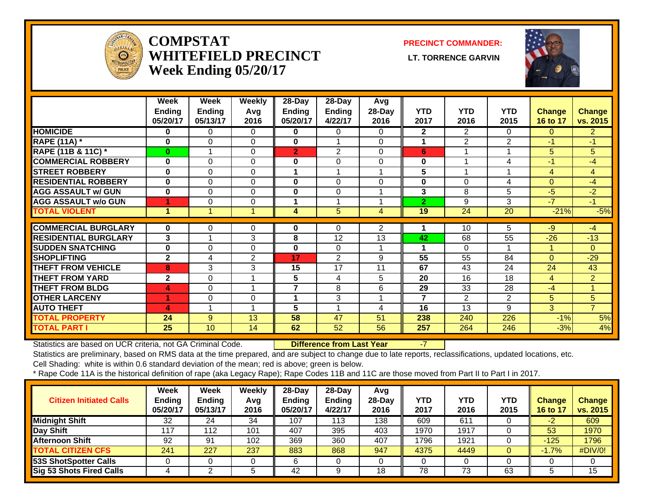

#### **COMPSTATWHITEFIELD PRECINCT LT. TORRENCE GARVINWeek Ending 05/20/17**

**PRECINCT COMMANDER:**



|                             | Week<br><b>Ending</b><br>05/20/17 | Week<br><b>Ending</b><br>05/13/17 | <b>Weekly</b><br>Avg<br>2016 | $28 - Day$<br><b>Ending</b><br>05/20/17 | $28 - Day$<br><b>Ending</b><br>4/22/17 | Avg<br>28-Day<br>2016 | <b>YTD</b><br>2017 | <b>YTD</b><br>2016 | <b>YTD</b><br>2015 | <b>Change</b><br>16 to 17 | Change<br>vs. 2015 |
|-----------------------------|-----------------------------------|-----------------------------------|------------------------------|-----------------------------------------|----------------------------------------|-----------------------|--------------------|--------------------|--------------------|---------------------------|--------------------|
| <b>HOMICIDE</b>             | $\bf{0}$                          | 0                                 | 0                            | 0                                       | 0                                      | 0                     | $\mathbf{2}$       | $\overline{2}$     | $\Omega$           | $\Omega$                  | $\overline{2}$     |
| <b>RAPE (11A) *</b>         | $\bf{0}$                          | $\Omega$                          | $\Omega$                     | 0                                       |                                        | 0                     |                    | $\overline{2}$     | $\overline{2}$     | $-1$                      | $\blacktriangle$   |
| RAPE (11B & 11C) *          | $\bf{0}$                          |                                   | $\Omega$                     | $\overline{2}$                          | 2                                      | $\Omega$              | 6                  |                    |                    | 5 <sup>5</sup>            | 5                  |
| <b>COMMERCIAL ROBBERY</b>   | $\bf{0}$                          | $\Omega$                          | $\Omega$                     | $\bf{0}$                                | 0                                      | 0                     | $\mathbf 0$        |                    | 4                  | $-1$                      | $-4$               |
| <b>STREET ROBBERY</b>       | $\bf{0}$                          | $\Omega$                          | $\Omega$                     | 1                                       | -1                                     |                       | 5                  |                    |                    | 4                         | $\overline{4}$     |
| <b>RESIDENTIAL ROBBERY</b>  | $\bf{0}$                          | $\Omega$                          | $\Omega$                     | $\bf{0}$                                | $\Omega$                               | $\Omega$              | $\bf{0}$           | $\Omega$           | 4                  | $\Omega$                  | $-4$               |
| <b>AGG ASSAULT w/ GUN</b>   | $\bf{0}$                          | $\Omega$                          | $\Omega$                     | $\bf{0}$                                | $\Omega$                               |                       | 3                  | 8                  | 5                  | $-5$                      | $-2$               |
| <b>AGG ASSAULT w/o GUN</b>  | 4                                 | $\Omega$                          | 0                            | 1                                       | -1                                     |                       | $\overline{2}$     | 9                  | 3                  | $-7$                      | $\blacktriangle$   |
| <b>TOTAL VIOLENT</b>        | 1                                 |                                   |                              | 4                                       | 5                                      | 4                     | 19                 | 24                 | 20                 | $-21%$                    | $-5%$              |
| <b>COMMERCIAL BURGLARY</b>  | $\bf{0}$                          | 0                                 | 0                            | 0                                       | 0                                      | $\overline{2}$        |                    | 10                 | 5                  | $-9$                      | -4                 |
|                             |                                   |                                   |                              |                                         |                                        |                       |                    |                    |                    |                           |                    |
| <b>RESIDENTIAL BURGLARY</b> | 3                                 |                                   | 3                            | 8                                       | 12                                     | 13                    | 42                 | 68                 | 55                 | $-26$                     | $-13$              |
| <b>SUDDEN SNATCHING</b>     | $\bf{0}$                          | $\Omega$                          | $\Omega$                     | 0                                       | $\Omega$                               |                       | 1                  | $\Omega$           |                    | 1                         | $\overline{0}$     |
| <b>SHOPLIFTING</b>          | $\mathbf{2}$                      | 4                                 | 2                            | 17                                      | 2                                      | 9                     | 55                 | 55                 | 84                 | $\Omega$                  | $-29$              |
| <b>THEFT FROM VEHICLE</b>   | 8                                 | 3                                 | 3                            | 15                                      | 17                                     | 11                    | 67                 | 43                 | 24                 | 24                        | 43                 |
| <b>THEFT FROM YARD</b>      | $\mathbf{2}$                      | $\Omega$                          | $\overline{\mathbf{A}}$      | 5                                       | 4                                      | 5                     | 20                 | 16                 | 18                 | $\overline{4}$            | $\overline{2}$     |
| <b>THEFT FROM BLDG</b>      | 4                                 | $\Omega$                          | $\overline{\mathbf{A}}$      | 7                                       | 8                                      | 6                     | 29                 | 33                 | 28                 | $-4$                      | $\overline{A}$     |
| <b>OTHER LARCENY</b>        | ٩                                 | $\Omega$                          | $\Omega$                     | 1                                       | 3                                      |                       | $\overline{7}$     | $\overline{2}$     | $\overline{2}$     | 5                         | 5                  |
| <b>AUTO THEFT</b>           | Ι4,                               |                                   |                              | 5                                       | 1                                      | 4                     | 16                 | 13                 | 9                  | 3                         | $\overline{7}$     |
| <b>TOTAL PROPERTY</b>       | 24                                | 9                                 | 13                           | $\overline{58}$                         | 47                                     | 51                    | 238                | 240                | 226                | $-1%$                     | 5%                 |
| <b>TOTAL PART I</b>         | 25                                | 10                                | 14                           | 62                                      | 52                                     | 56                    | 257                | 264                | 246                | $-3%$                     | 4%                 |

Statistics are based on UCR criteria, not GA Criminal Code. **Difference from Last Year** -7

Statistics are preliminary, based on RMS data at the time prepared, and are subject to change due to late reports, reclassifications, updated locations, etc.

Cell Shading: white is within 0.6 standard deviation of the mean; red is above; green is below.

| <b>Citizen Initiated Calls</b>  | <b>Week</b><br><b>Ending</b><br>05/20/17 | <b>Week</b><br><b>Ending</b><br>05/13/17 | Weekly<br>Avg<br>2016 | $28-Day$<br><b>Ending</b><br>05/20/17 | $28 - Day$<br>Ending<br>4/22/17 | Avg<br>28-Day<br>2016 | <b>YTD</b><br>2017 | YTD<br>2016 | <b>YTD</b><br>2015 | <b>Change</b><br>16 to 17 | <b>Change</b><br>vs. 2015 |
|---------------------------------|------------------------------------------|------------------------------------------|-----------------------|---------------------------------------|---------------------------------|-----------------------|--------------------|-------------|--------------------|---------------------------|---------------------------|
| <b>Midnight Shift</b>           | 32                                       | 24                                       | 34                    | 107                                   | 113                             | 138                   | 609                | 611         |                    |                           | 609                       |
| Day Shift                       | 117                                      | 112                                      | 101                   | 407                                   | 395                             | 403                   | 1970               | 1917        |                    | 53                        | 1970                      |
| Afternoon Shift                 | 92                                       | 91                                       | 102                   | 369                                   | 360                             | 407                   | 1796               | 1921        |                    | $-125$                    | 1796                      |
| <b>TOTAL CITIZEN CFS</b>        | 241                                      | 227                                      | 237                   | 883                                   | 868                             | 947                   | 4375               | 4449        |                    | $-1.7%$                   | #DIV/0!                   |
| <b>53S ShotSpotter Calls</b>    |                                          |                                          |                       |                                       |                                 |                       | u                  |             |                    |                           |                           |
| <b>Sig 53 Shots Fired Calls</b> |                                          |                                          |                       | 42                                    |                                 | 18                    | 78                 | 73          | 63                 |                           | 15                        |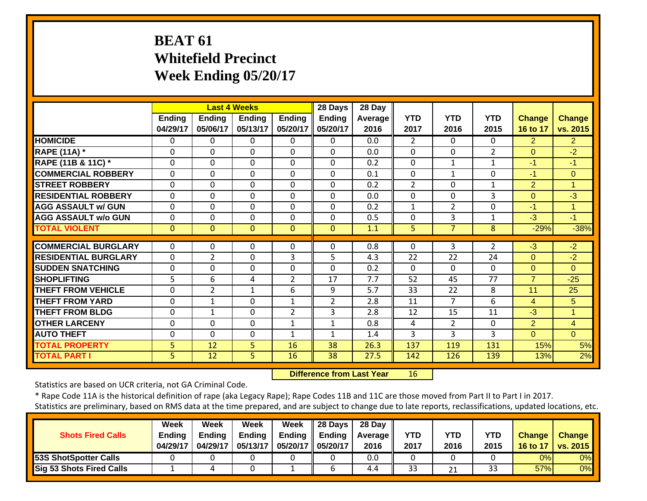## **BEAT 61 Whitefield Precinct Week Ending 05/20/17**

|                               |                |                | <b>Last 4 Weeks</b> |                | 28 Days        | 28 Day  |                |                |                |                |                |
|-------------------------------|----------------|----------------|---------------------|----------------|----------------|---------|----------------|----------------|----------------|----------------|----------------|
|                               | <b>Ending</b>  | Ending         | <b>Ending</b>       | <b>Ending</b>  | <b>Ending</b>  | Average | <b>YTD</b>     | <b>YTD</b>     | <b>YTD</b>     | Change         | Change         |
|                               | 04/29/17       | 05/06/17       | 05/13/17            | 05/20/17       | 05/20/17       | 2016    | 2017           | 2016           | 2015           | 16 to 17       | vs. 2015       |
| <b>HOMICIDE</b>               | $\Omega$       | 0              | 0                   | $\mathbf{0}$   | 0              | 0.0     | $\overline{2}$ | $\Omega$       | 0              | $\overline{2}$ | $\overline{2}$ |
| <b>RAPE (11A) *</b>           | $\Omega$       | 0              | 0                   | $\Omega$       | $\Omega$       | 0.0     | $\Omega$       | $\Omega$       | $\overline{2}$ | $\Omega$       | $-2$           |
| <b>RAPE (11B &amp; 11C)</b> * | $\mathbf 0$    | $\Omega$       | 0                   | $\Omega$       | $\Omega$       | 0.2     | $\Omega$       | 1              |                | -1             | $-1$           |
| <b>COMMERCIAL ROBBERY</b>     | 0              | $\Omega$       | 0                   | $\mathbf 0$    | $\Omega$       | 0.1     | $\mathbf 0$    | $\mathbf{1}$   | $\Omega$       | -1             | $\Omega$       |
| <b>STREET ROBBERY</b>         | 0              | $\Omega$       | 0                   | $\Omega$       | $\Omega$       | 0.2     | $\overline{2}$ | 0              | $\mathbf{1}$   | $\overline{2}$ | $\overline{1}$ |
| <b>RESIDENTIAL ROBBERY</b>    | $\Omega$       | 0              | 0                   | $\Omega$       | $\Omega$       | 0.0     | $\mathbf 0$    | 0              | 3              | $\Omega$       | $-3$           |
| <b>AGG ASSAULT w/ GUN</b>     | $\Omega$       | 0              | 0                   | $\Omega$       | $\Omega$       | 0.2     | $\mathbf{1}$   | $\overline{2}$ | $\Omega$       | $-1$           | $\overline{1}$ |
| <b>AGG ASSAULT w/o GUN</b>    | $\overline{0}$ | 0              | 0                   | $\Omega$       | $\Omega$       | 0.5     | $\mathbf 0$    | 3              |                | $-3$           | $-1$           |
| <b>TOTAL VIOLENT</b>          | $\Omega$       | $\Omega$       | $\Omega$            | $\mathbf{0}$   | $\Omega$       | 1.1     | 5              | 7              | 8              | $-29%$         | $-38%$         |
|                               |                |                |                     |                |                |         |                |                |                |                |                |
| <b>COMMERCIAL BURGLARY</b>    | $\Omega$       | 0              | 0                   | $\Omega$       | 0              | 0.8     | 0              | 3              | $\overline{2}$ | $-3$           | $-2$           |
| <b>RESIDENTIAL BURGLARY</b>   | $\Omega$       | $\overline{2}$ | 0                   | 3              | 5              | 4.3     | 22             | 22             | 24             | $\Omega$       | $-2$           |
| <b>SUDDEN SNATCHING</b>       | $\Omega$       | $\Omega$       | 0                   | $\mathbf 0$    | $\Omega$       | 0.2     | $\mathbf 0$    | $\Omega$       | $\Omega$       | $\Omega$       | $\Omega$       |
| <b>SHOPLIFTING</b>            | 5              | 6              | 4                   | $\overline{2}$ | 17             | 7.7     | 52             | 45             | 77             | $\overline{7}$ | $-25$          |
| <b>THEFT FROM VEHICLE</b>     | $\Omega$       | $\overline{2}$ | 1                   | 6              | 9              | 5.7     | 33             | 22             | 8              | 11             | 25             |
| <b>THEFT FROM YARD</b>        | $\Omega$       | 1              | $\Omega$            | $\mathbf{1}$   | $\overline{2}$ | 2.8     | 11             | $\overline{7}$ | 6              | 4              | 5              |
| <b>THEFT FROM BLDG</b>        | 0              | $\mathbf{1}$   | 0                   | $\overline{2}$ | 3              | 2.8     | 12             | 15             | 11             | $-3$           | $\mathbf{1}$   |
| <b>OTHER LARCENY</b>          | $\Omega$       | $\Omega$       | 0                   | $\mathbf{1}$   | $\mathbf{1}$   | 0.8     | 4              | 2              | $\Omega$       | $\overline{2}$ | $\overline{4}$ |
| <b>AUTO THEFT</b>             | $\Omega$       | $\Omega$       | 0                   | $\mathbf{1}$   | $\mathbf{1}$   | 1.4     | 3              | 3              | 3              | $\Omega$       | $\Omega$       |
| <b>TOTAL PROPERTY</b>         | 5              | 12             | 5                   | 16             | 38             | 26.3    | 137            | 119            | 131            | 15%            | 5%             |
| <b>TOTAL PART I</b>           | 5              | 12             | 5 <sup>1</sup>      | 16             | 38             | 27.5    | 142            | 126            | 139            | 13%            | 2%             |

 **Difference from Last Year**r 16

Statistics are based on UCR criteria, not GA Criminal Code.

|                                 | Week          | Week          | <b>Week</b>   | Week          | 28 Days       | 28 Day     |            |      |      |               |                 |
|---------------------------------|---------------|---------------|---------------|---------------|---------------|------------|------------|------|------|---------------|-----------------|
| <b>Shots Fired Calls</b>        | <b>Ending</b> | <b>Ending</b> | <b>Ending</b> | <b>Ending</b> | <b>Ending</b> | Average II | <b>YTD</b> | YTD  | YTD  | <b>Change</b> | <b>Change</b>   |
|                                 | 04/29/17      | 04/29/17      | 05/13/17      | 05/20/17      | 05/20/17      | 2016       | 2017       | 2016 | 2015 | 16 to 17      | <b>vs. 2015</b> |
| <b>53S ShotSpotter Calls</b>    |               |               |               |               |               | 0.0        |            |      |      | $0\%$         | 0%              |
| <b>Sig 53 Shots Fired Calls</b> |               |               |               |               |               | 4.4        | 33         | 21   | 33   | 57%           | 0%              |